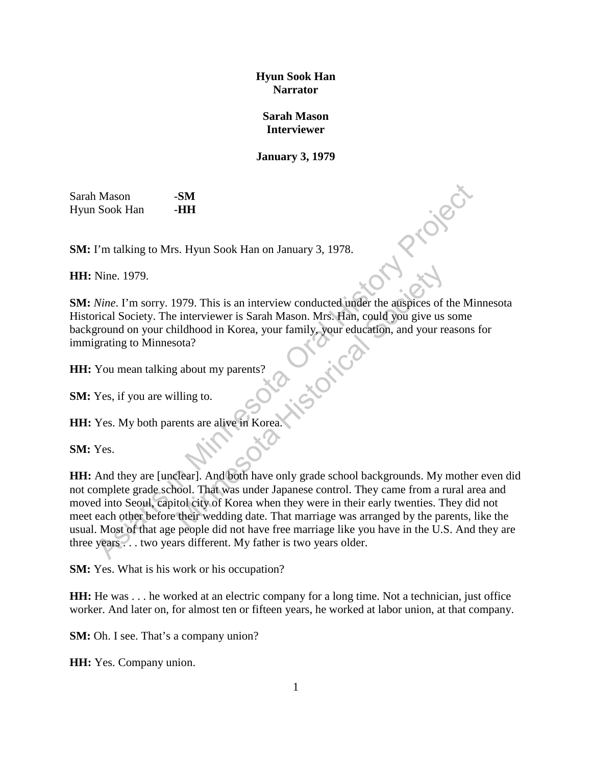## **Hyun Sook Han Narrator**

## **Sarah Mason Interviewer**

## **January 3, 1979**

Sarah Mason -**SM** Hyun Sook Han -**HH** 

**SM:** I'm talking to Mrs. Hyun Sook Han on January 3, 1978.

**HH:** Nine. 1979.

**SM:** I'm talking to Mrs. Hyun Sook Han on January 3, 1978.<br> **HH:** Nine. 1979.<br> **SM:** *Nine*. I'm sorry. 1979. This is an interview conducted under the auspices of the Minnesota Historical Society. The interviewer is Sarah Mason. Mrs. Han, could you give us some background on your childhood in Korea, your family, your education, and your reasons for immigrating to Minnesota?

**HH:** You mean talking about my parents?

**SM:** Yes, if you are willing to.

**HH:** Yes. My both parents are alive in Korea.

**SM:** Yes.

**HH:** And they are [unclear]. And both have only grade school backgrounds. My mother even did not complete grade school. That was under Japanese control. They came from a rural area and moved into Seoul, capitol city of Korea when they were in their early twenties. They did not meet each other before their wedding date. That marriage was arranged by the parents, like the usual. Most of that age people did not have free marriage like you have in the U.S. And they are three years . . . two years different. My father is two years older. Mason SM<br>
Sook Han HH<br>
Tm talking to Mrs. Hyun Sook Han on January 3, 1978.<br>
Nine. 1979.<br>
Nine. 1979.<br>
Nine. I'm sory. 1979. This is an interview conducted under the auspices of the Mirical Society. The interviewer is Sara 979. This is an interview conducted under the auspices of the interviewer is Sarah Mason. Mrs. Han, could you give us<br>iddhood in Korea, your family, your education, and your re<br>ota?<br>the society about my parents?<br>Illing to.

**SM:** Yes. What is his work or his occupation?

**HH:** He was . . . he worked at an electric company for a long time. Not a technician, just office worker. And later on, for almost ten or fifteen years, he worked at labor union, at that company.

**SM:** Oh. I see. That's a company union?

**HH:** Yes. Company union.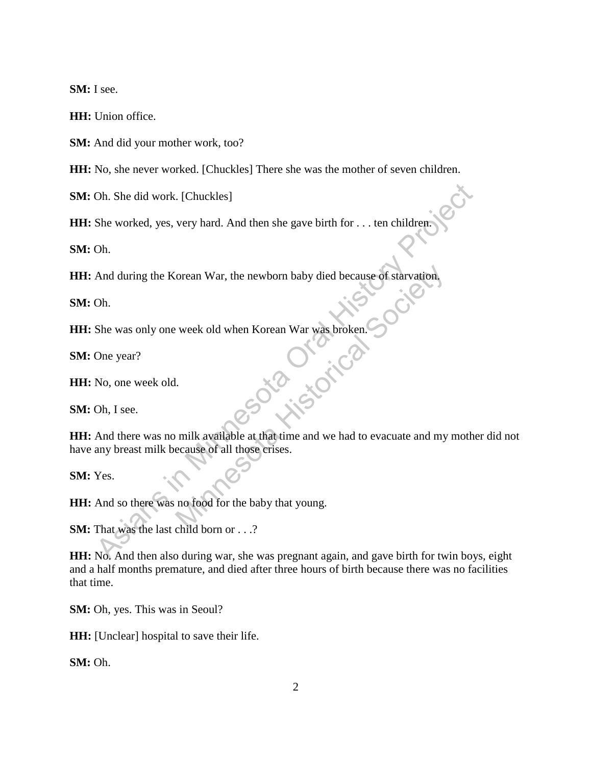**SM:** I see.

**HH:** Union office.

**SM:** And did your mother work, too?

**HH:** No, she never worked. [Chuckles] There she was the mother of seven children.

**SM:** Oh. She did work. [Chuckles]

**HH:** She worked, yes, very hard. And then she gave birth for . . . ten children

**SM:** Oh.

**HH:** And during the Korean War, the newborn baby died because of starvation.

**SM:** Oh.

**HH:** She was only one week old when Korean War was broken. Was broke

**SM:** One year?

**HH:** No, one week old.

**SM:** Oh, I see.

**HH:** And there was no milk available at that time and we had to evacuate and my mother did not have any breast milk because of all those crises. Oh. She did work. [Chuckles]<br>
She worked, yes, very hard. And then she gave birth for . . . ten children (Oh.<br>
And during the Korean War, the newborn baby died because of starvation,<br>
Oh.<br>
She was only one week old when K

**SM:** Yes.

**HH:** And so there was no food for the baby that young.

**SM:** That was the last child born or . . .?

**HH:** No. And then also during war, she was pregnant again, and gave birth for twin boys, eight and a half months premature, and died after three hours of birth because there was no facilities that time.

**SM:** Oh, yes. This was in Seoul?

**HH:** [Unclear] hospital to save their life.

**SM:** Oh.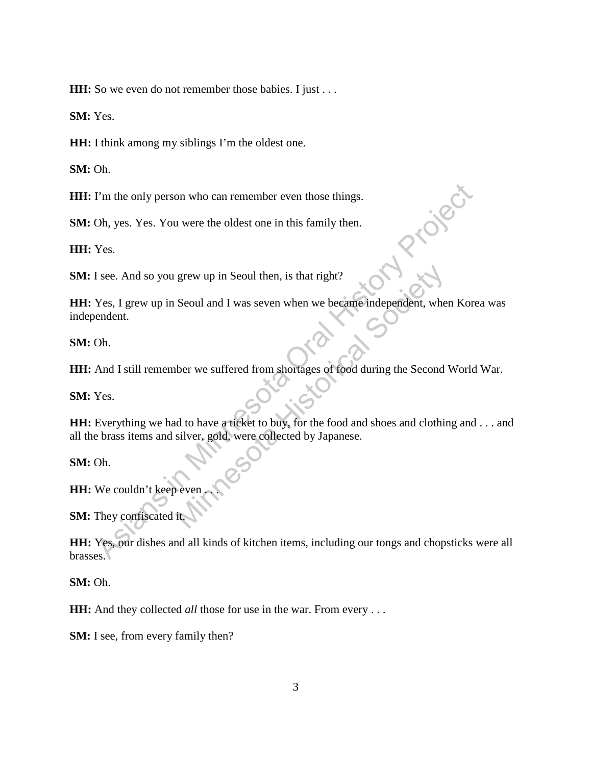**HH:** So we even do not remember those babies. I just . . .

**SM:** Yes.

**HH:** I think among my siblings I'm the oldest one.

**SM:** Oh.

**HH:** I'm the only person who can remember even those things.

**SM:** Oh, yes. Yes. You were the oldest one in this family then.

**HH:** Yes.

**SM:** I see. And so you grew up in Seoul then, is that right?

**HH:** Yes, I grew up in Seoul and I was seven when we became independent, when Korea was independent. I'm the only person who can remember even those things.<br>
Oh, yes. Yes. You were the oldest one in this family then.<br>
Yes.<br>
I see. And so you grew up in Seoul then, is that right?<br>
Yes, I grew up in Seoul and I was seven wh grew up in Seoul then, is that right?<br>
Seoul and I was seven when we became independent, where<br>
there we suffered from shortages of food during the Second<br>
d to have a ticket to buy, for the food and shoes and clothin<br>
sil

**SM:** Oh.

**HH:** And I still remember we suffered from shortages of food during the Second World War.

**SM:** Yes.

**HH:** Everything we had to have a ticket to buy, for the food and shoes and clothing and . . . and all the brass items and silver, gold, were collected by Japanese.

**SM:** Oh.

**HH:** We couldn't keep even

**SM:** They confiscated i

**HH:** Yes, our dishes and all kinds of kitchen items, including our tongs and chopsticks were all brasses.

**SM:** Oh.

**HH:** And they collected *all* those for use in the war. From every ...

**SM:** I see, from every family then?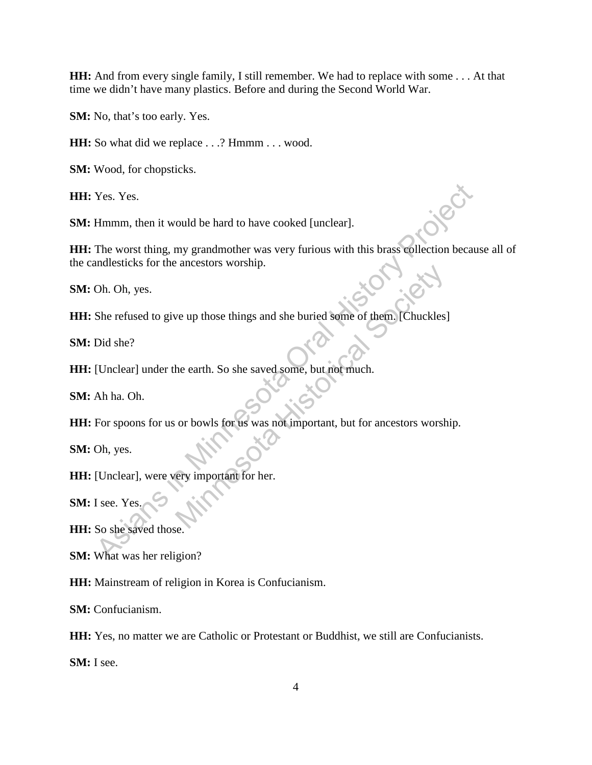**HH:** And from every single family, I still remember. We had to replace with some . . . At that time we didn't have many plastics. Before and during the Second World War.

**SM:** No, that's too early. Yes.

**HH:** So what did we replace . . .? Hmmm . . . wood.

**SM:** Wood, for chopsticks.

**HH:** Yes. Yes.

**SM:** Hmmm, then it would be hard to have cooked [unclear].

**HH:** The worst thing, my grandmother was very furious with this brass collection because all of the candlesticks for the ancestors worship. The worst thing, my grandmother was very furious with this brass collection because<br>the worst thing, my grandmother was very furious with this brass collection because<br>indlesticks for the ancestors worship.<br>Oh. Oh, yes.<br>Sh

**SM:** Oh. Oh, yes.

**HH:** She refused to give up those things and she buried some of them. [Chuckles]

**SM:** Did she?

**HH:** [Unclear] under the earth. So she saved some, but not much.

**SM:** Ah ha. Oh.

**HH:** For spoons for us or bowls for us was not important, but for ancestors worship. We up those things and she buried some of them. [Chuckles]<br>the earth. So she saved some, but not much.<br>or bowls for us was not important, but for ancestors worsh<br>erry important for her.

**SM:** Oh, yes.

**HH:** [Unclear], were very important for her.

**SM:** I see. Yes.

**HH:** So she saved those.

**SM:** What was her religion?

**HH:** Mainstream of religion in Korea is Confucianism.

**SM:** Confucianism.

**HH:** Yes, no matter we are Catholic or Protestant or Buddhist, we still are Confucianists.

**SM:** I see.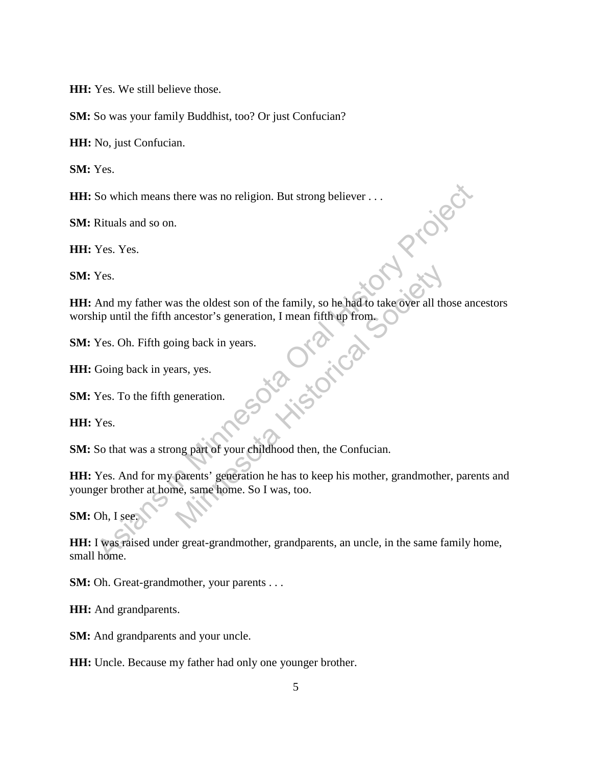**HH:** Yes. We still believe those.

**SM:** So was your family Buddhist, too? Or just Confucian?

**HH:** No, just Confucian.

**SM:** Yes.

**HH:** So which means there was no religion. But strong believer . . .

**SM:** Rituals and so on.

**HH:** Yes. Yes.

**SM:** Yes.

**HH:** Yes. Yes.<br> **HH:** And my father was the oldest son of the family, so he had to take over all those ancestors worship until the fifth ancestor's generation, I mean fifth up from. So which means there was no religion. But strong believer . . .<br>
Nes. Yes.<br>
And my father was the oldest son of the family, so he had to take over all those and<br>
the minimum different was the oldest son of the family, so h as the oldest son of the family, so he had to take over all the<br>ancestor's generation, I mean fifth up from.<br>ing back in years.<br>ars, yes.<br>generation.<br>ars, yes.<br>generation.<br>ars, yes.<br>generation.<br>argents of your childhood th

**SM:** Yes. Oh. Fifth going back in years.

**HH:** Going back in years, yes.

**SM:** Yes. To the fifth generation.

**HH:** Yes.

**SM:** So that was a strong part of your childhood then, the Confucian.

**HH:** Yes. And for my parents' generation he has to keep his mother, grandmother, parents and younger brother at home, same home. So I was, too.

**SM:** Oh, I see.

**HH:** I was raised under great-grandmother, grandparents, an uncle, in the same family home, small home.

**SM:** Oh. Great-grandmother, your parents . . .

**HH:** And grandparents.

**SM:** And grandparents and your uncle.

**HH:** Uncle. Because my father had only one younger brother.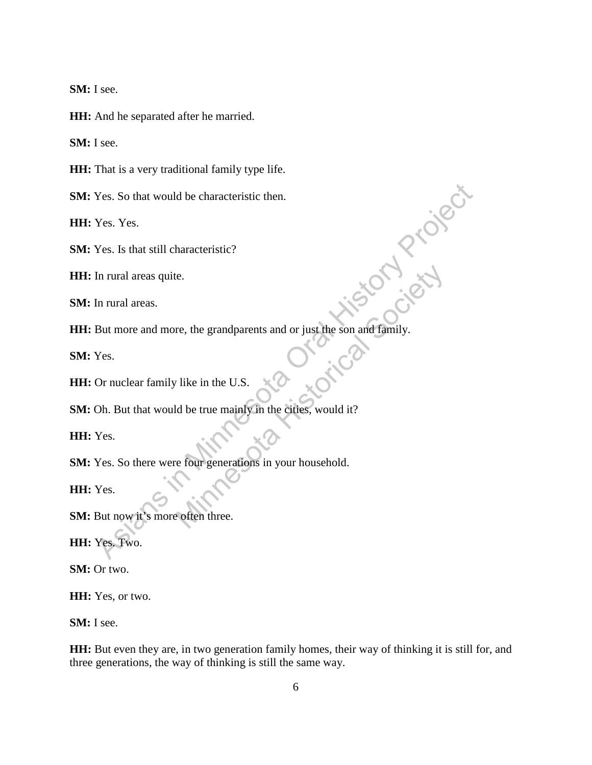**SM:** I see.

**HH:** And he separated after he married.

**SM:** I see.

**HH:** That is a very traditional family type life.

**SM:** Yes. So that would be characteristic then.

**HH:** Yes. Yes.

**SM:** Yes. Is that still characteristic?

**HH:** In rural areas quite.

**SM:** In rural areas.

**HH:** But more and more, the grandparents and or just the son and family. Nes. So that would be characteristic then.<br>
Nes. Yes.<br>
In rural areas quite.<br>
In rural areas quite.<br>
In rural areas quite.<br>
In rural areas.<br>
But more and more, the grandparents and or just the son and family.<br>
Nes.<br>
Or nuc Examples and or just the son and family.<br>
The set of a strain of the society of the society.<br>
The society of the society of the society of the society of the society of the society<br>
The society of the society of the societ

**SM:** Yes.

**HH:** Or nuclear family like in the U.S.

**SM:** Oh. But that would be true mainly in the cities, would it?

**HH:** Yes.

**SM:** Yes. So there were four generations in your household.

**HH:** Yes.

**SM:** But now it's more often three.

**HH:** Yes. Two.

**SM:** Or two.

**HH:** Yes, or two.

**SM:** I see.

**HH:** But even they are, in two generation family homes, their way of thinking it is still for, and three generations, the way of thinking is still the same way.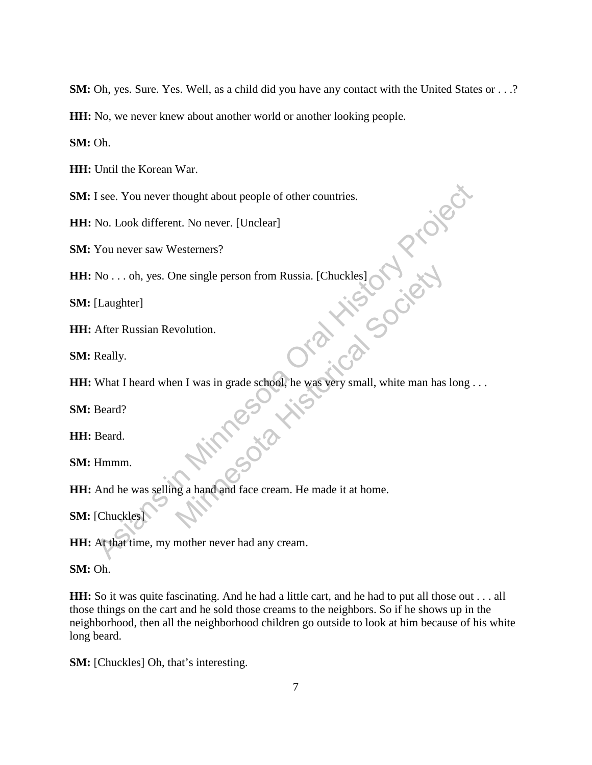**SM:** Oh, yes. Sure. Yes. Well, as a child did you have any contact with the United States or . . .?

**HH:** No, we never knew about another world or another looking people.

**SM:** Oh.

**HH:** Until the Korean War.

**SM:** I see. You never thought about people of other countries.

**HH:** No. Look different. No never. [Unclear]

**SM:** You never saw Westerners?

**HH:** No . . . oh, yes. One single person from Russia. [Chuckles]

**SM:** [Laughter]

**HH:** After Russian Revolution.

**SM:** Really.

**HH:** What I heard when I was in grade school, he was very small, white man has long . . .<br> **SM:** Beard.<br> **SM:** Hmmm I see. You never thought about people of other countries.<br>
No. Look different. No never. [Unclear]<br>
You never saw Westerners?<br>
No. . . . oh, yes. One single person from Russia. [Chuckles]<br>
[Laughter]<br>
After Russian Revolut me single person from Russia. [Chuckles]<br>
volution.<br>
In I was in grade school, he was very small, white man has<br>
so the way with small, white man has<br>
g a hand and face cream. He made it at home.

**SM:** Beard?

**HH:** Beard.

**SM:** Hmmm.

**HH:** And he was selling a hand and face cream. He made it at home.

**SM:** [Chuckles]

**HH:** At that time, my mother never had any cream.

**SM:** Oh.

**HH:** So it was quite fascinating. And he had a little cart, and he had to put all those out . . . all those things on the cart and he sold those creams to the neighbors. So if he shows up in the neighborhood, then all the neighborhood children go outside to look at him because of his white long beard.

**SM:** [Chuckles] Oh, that's interesting.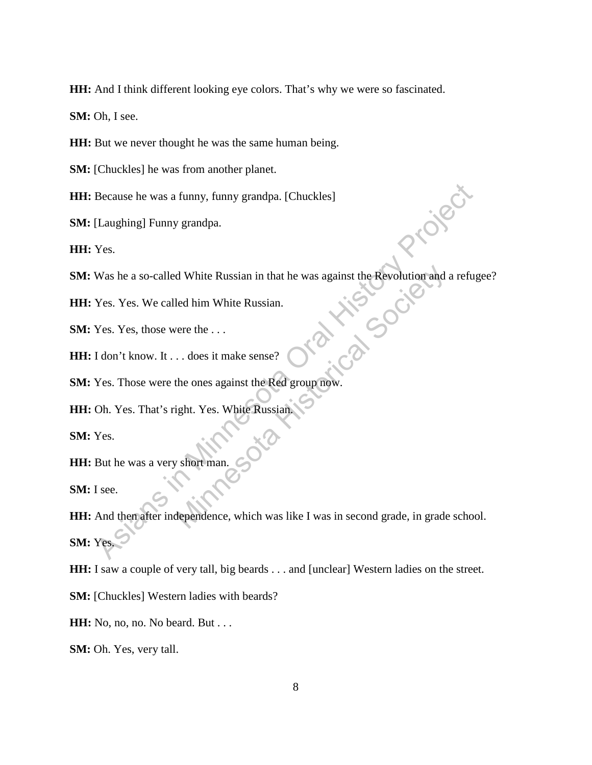**HH:** And I think different looking eye colors. That's why we were so fascinated.

**SM:** Oh, I see.

**HH:** But we never thought he was the same human being.

**SM:** [Chuckles] he was from another planet.

**HH:** Because he was a funny, funny grandpa. [Chuckles]

**SM:** [Laughing] Funny grandpa.

**HH:** Yes.

**SM:** Was he a so-called White Russian in that he was against the Revolution and a refugee? Minnesota Society

**HH:** Yes. Yes. We called him White Russian.

**SM:** Yes. Yes, those were the ...

**HH:** I don't know. It . . . does it make sense?

**SM:** Yes. Those were the ones against the Red group now.

**HH:** Oh. Yes. That's right. Yes. White Russian.

**SM:** Yes.

**HH:** But he was a very short man

**SM:** I see.

**HH:** And then after independence, which was like I was in second grade, in grade school. **SM:** Yes. Because he was a funny, funny grandpa. [Chuckles]<br>
[Laughing] Funny grandpa.<br>
Yes.<br>
Yes. Yes. We called him White Russian.<br>
Yes. Yes. We called him White Russian.<br>
Yes. Yes. those were the ...<br>
I don't know. It ... does it

**HH:** I saw a couple of very tall, big beards . . . and [unclear] Western ladies on the street.

**SM:** [Chuckles] Western ladies with beards?

**HH:** No, no, no. No beard. But . . .

**SM:** Oh. Yes, very tall.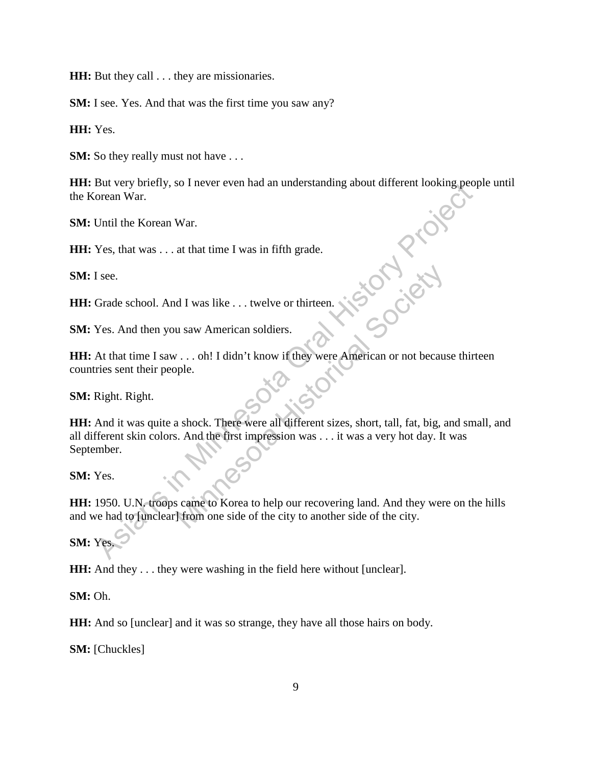**HH:** But they call . . . they are missionaries.

**SM:** I see. Yes. And that was the first time you saw any?

**HH:** Yes.

**SM:** So they really must not have . . .

**HH:** But very briefly, so I never even had an understanding about different looking people until the Korean War.

**SM:** Until the Korean War.

**HH:** Yes, that was . . . at that time I was in fifth grade.

**SM:** I see.

**HH:** Grade school. And I was like . . . twelve or thirteen.

**SM:** Yes. And then you saw American soldiers.

**HH:** At that time I saw . . . oh! I didn't know if they were American or not because thirteen countries sent their people.

**SM:** Right. Right.

**HH:** And it was quite a shock. There were all different sizes, short, tall, fat, big, and small, and all different skin colors. And the first impression was . . . it was a very hot day. It was September. But very one were even mad an understanding about directmin looking peop<br>orean War.<br>The Korean War.<br>The Korean War.<br>The Korean War.<br>The Korean War.<br>The Sce.<br>Grade school. And I was like ... twelve or thirteen.<br>Nes.<br>At that d I was like ... twelve or thirteen.<br>
u saw American soldiers.<br>
....oh! I didn't know if they were American or not because<br>
ple.<br>
a shock. There were all different sizes, short, tall, fat, big, a<br>
s. And the first impressi

**SM:** Yes.

**HH:** 1950. U.N. troops came to Korea to help our recovering land. And they were on the hills and we had to [unclear] from one side of the city to another side of the city.

**SM:** Yes.

**HH:** And they . . . they were washing in the field here without [unclear].

**SM:** Oh.

**HH:** And so [unclear] and it was so strange, they have all those hairs on body.

**SM:** [Chuckles]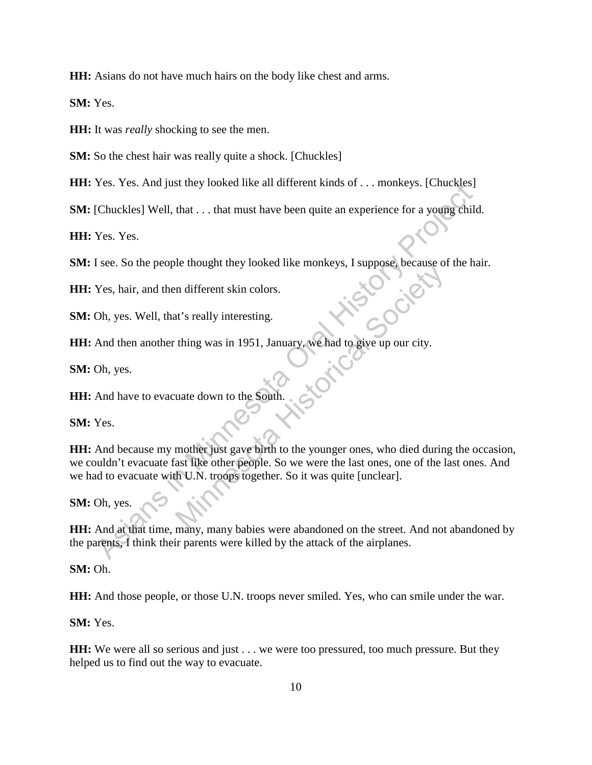**HH:** Asians do not have much hairs on the body like chest and arms.

**SM:** Yes.

**HH:** It was *really* shocking to see the men.

**SM:** So the chest hair was really quite a shock. [Chuckles]

**HH:** Yes. Yes. And just they looked like all different kinds of . . . monkeys. [Chuckles]

**SM:** [Chuckles] Well, that . . . that must have been quite an experience for a young child.

**HH:** Yes. Yes.

**SM:** I see. So the people thought they looked like monkeys, I suppose, because of the hair.

**HH:** Yes, hair, and then different skin colors.

**SM:** Oh, yes. Well, that's really interesting.

**HH:** And then another thing was in 1951, January, we had to give up our city.

**SM:** Oh, yes.

**HH:** And have to evacuate down to the South.

**SM:** Yes.

**HH:** And because my mother just gave birth to the younger ones, who died during the occasion, we couldn't evacuate fast like other people. So we were the last ones, one of the last ones. And we had to evacuate with U.N. troops together. So it was quite [unclear]. Tes. Tes. And just they looked nke an amerent kinds of ... monkeys. [Chuckles]<br>
(Chuckles] Well, that ... that must have been quite an experience for a young child<br>
Yes. Yes.<br>
I see. So the people thought they looked like In different skin colors.<br>
It's really interesting.<br>
thing was in 1951, January, we had to give up our city.<br>
uate down to the South.<br>
we had to give up our city.<br>
we had to give up our city.<br>
we had to give up our city.<br>

## **SM:** Oh, yes.

**HH:** And at that time, many, many babies were abandoned on the street. And not abandoned by the parents, I think their parents were killed by the attack of the airplanes.

**SM:** Oh.

**HH:** And those people, or those U.N. troops never smiled. Yes, who can smile under the war.

**SM:** Yes.

**HH:** We were all so serious and just . . . we were too pressured, too much pressure. But they helped us to find out the way to evacuate.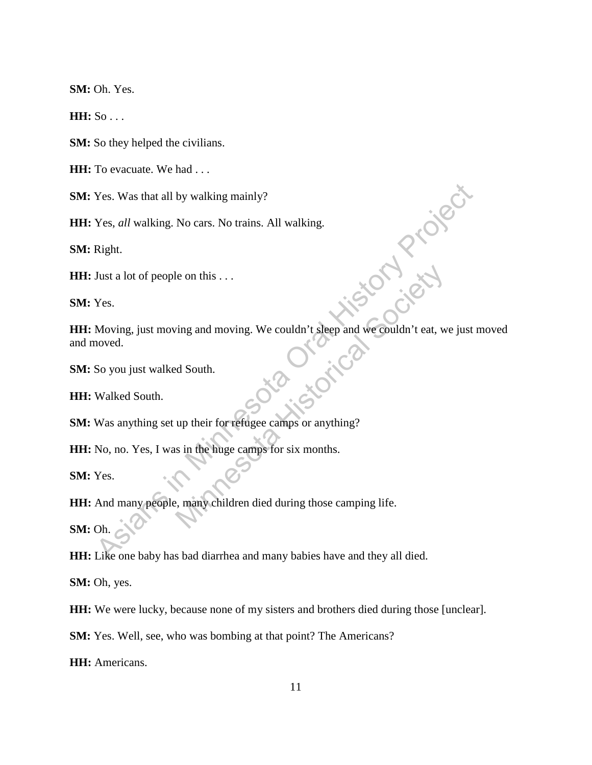**SM:** Oh. Yes.

**HH:** So . . .

**SM:** So they helped the civilians.

**HH:** To evacuate. We had . . .

**SM:** Yes. Was that all by walking mainly?

**HH:** Yes, *all* walking. No cars. No trains. All walking.

**SM:** Right.

**HH:** Just a lot of people on this . . .

**SM:** Yes.

**HH:** Moving, just moving and moving. We couldn't sleep and we couldn't eat, we just moved and moved. Ves. Was that all by walking mainly?<br>
Yes, *all* walking. No cars. No trains. All walking.<br>
Right.<br>
Just a lot of people on this ...<br>
Yes.<br>
Moving, just moving and moving. We couldn't sleep and we couldn't eat, we just no<br> The contrast we couldn't sleep and we couldn't eat, we couldn't sleep and we couldn't eat, we do South.<br>
We couldn't sleep and we couldn't eat, we do South.<br>
Up their for refugee camps for six months.<br>
So in the huge camps

**SM:** So you just walked South.

**HH:** Walked South.

**SM:** Was anything set up their for refugee camps or anything?

**HH:** No, no. Yes, I was in the huge camps for six months.

**SM:** Yes.

**HH:** And many people, many children died during those camping life.

**SM:** Oh.

**HH:** Like one baby has bad diarrhea and many babies have and they all died.

**SM:** Oh, yes.

**HH:** We were lucky, because none of my sisters and brothers died during those [unclear].

**SM:** Yes. Well, see, who was bombing at that point? The Americans?

**HH:** Americans.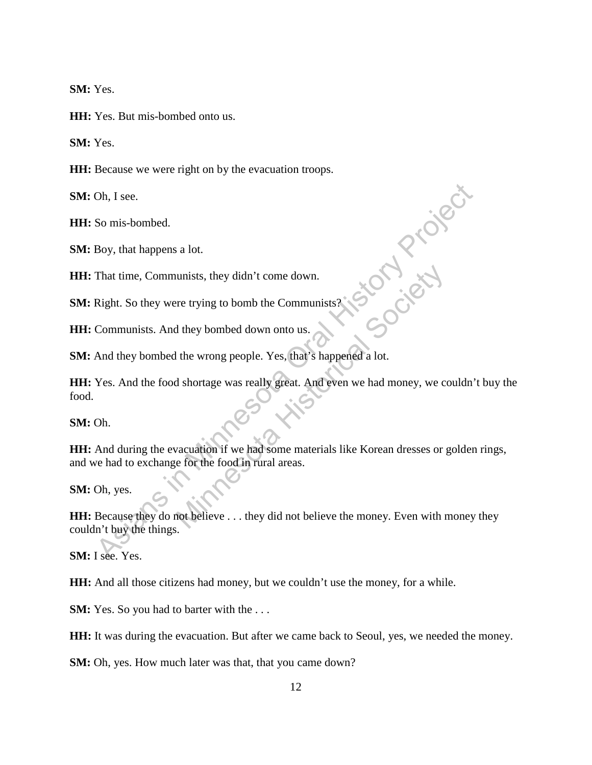**SM:** Yes.

**HH:** Yes. But mis-bombed onto us.

**SM:** Yes.

**HH:** Because we were right on by the evacuation troops.

**SM:** Oh, I see.

**HH:** So mis-bombed.

**SM:** Boy, that happens a lot.

**HH:** That time, Communists, they didn't come down.

**SM:** Right. So they were trying to bomb the Communists?

**HH:** Communists. And they bombed down onto us.

**SM:** And they bombed the wrong people. Yes, that's happened a lot.

**HH:** Yes. And the food shortage was really great. And even we had money, we couldn't buy the food. Oh, I see.<br>
So mis-bombed.<br>
Boy, that happens a lot.<br>
That time, Communists, they didn't come down.<br>  $\begin{pmatrix} 0 & 0 \\ 0 & 0 \end{pmatrix}$ <br>
Communists. And they bombed down onto us.<br>
And they bombed the wrong people. Yes, that's happ unists, they didn't come down.<br>
The trying to bomb the Communists?<br>
If they bombed down onto us.<br>
If the wrong people. Yes, that's happened a lot.<br>
If the wrong people. Yes, that's happened a lot.<br>
If shortage was really g

**SM:** Oh.

**HH:** And during the evacuation if we had some materials like Korean dresses or golden rings, and we had to exchange for the food in rural areas.

**SM:** Oh, yes.

**HH:** Because they do not believe . . . they did not believe the money. Even with money they couldn't buy the things.

**SM:** I see. Yes.

**HH:** And all those citizens had money, but we couldn't use the money, for a while.

**SM:** Yes. So you had to barter with the ...

**HH:** It was during the evacuation. But after we came back to Seoul, yes, we needed the money.

**SM:** Oh, yes. How much later was that, that you came down?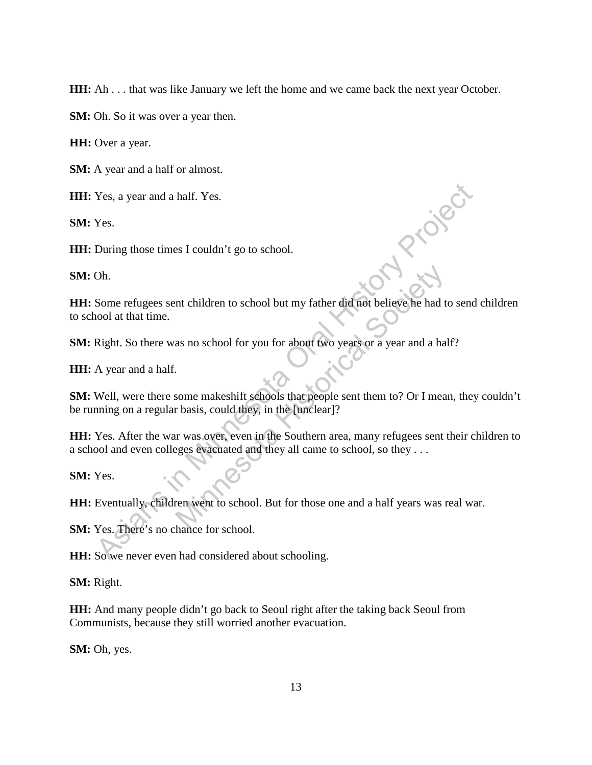**HH:** Ah . . . that was like January we left the home and we came back the next year October.

**SM:** Oh. So it was over a year then.

**HH:** Over a year.

**SM:** A year and a half or almost.

**HH:** Yes, a year and a half. Yes.

**SM:** Yes.

**HH:** During those times I couldn't go to school.

**SM:** Oh.

**HH:** Some refugees sent children to school but my father did not believe he had to send children to school at that time. **Example 18 As a year and a half.** Yes.<br>
Yes.<br>
During those times I couldn't go to school.<br>
Oh.<br>
Some refugees sent children to school but my father did not believe he had to send<br>
nool at that time.<br>
Right. So there was Interdidment to school but my father did not believe he had the as no school for you for about two years or a year and a half and the source make shift schools that people sent them to? Or I mear basis, could they, in the

**SM:** Right. So there was no school for you for about two years or a year and a half?

**HH:** A year and a half.

**SM:** Well, were there some makeshift schools that people sent them to? Or I mean, they couldn't be running on a regular basis, could they, in the [unclear]?

**HH:** Yes. After the war was over, even in the Southern area, many refugees sent their children to a school and even colleges evacuated and they all came to school, so they . . .

**SM:** Yes.

**HH:** Eventually, children went to school. But for those one and a half years was real war.

**SM:** Yes. There's no chance for school.

**HH:** So we never even had considered about schooling.

**SM:** Right.

**HH:** And many people didn't go back to Seoul right after the taking back Seoul from Communists, because they still worried another evacuation.

**SM:** Oh, yes.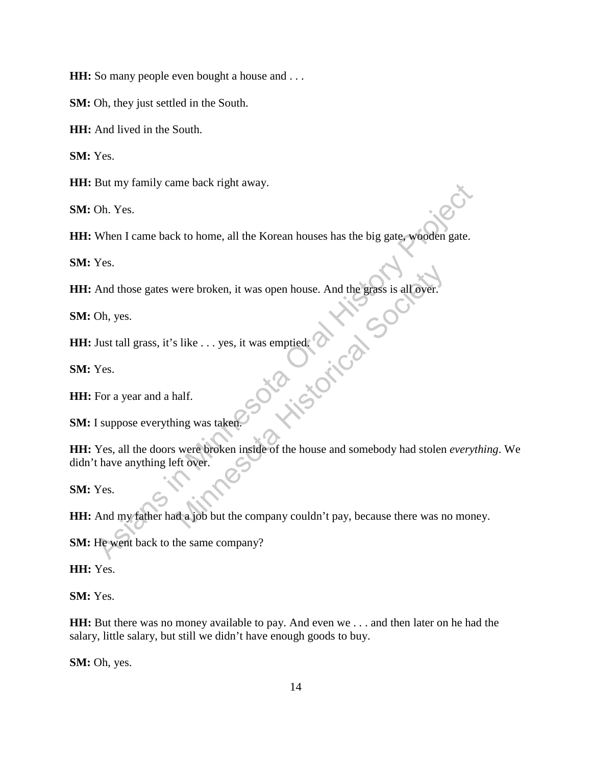**HH:** So many people even bought a house and . . .

**SM:** Oh, they just settled in the South.

**HH:** And lived in the South.

**SM:** Yes.

**HH:** But my family came back right away.

**SM:** Oh. Yes.

**HH:** When I came back to home, all the Korean houses has the big gate, wooden gate.

**SM:** Yes.

**HH:** And those gates were broken, it was open house. And the grass is all over.

**SM:** Oh, yes.

**HH:** Just tall grass, it's like . . . yes, it was emptied. July 1 or 1 or

**SM:** Yes.

**HH:** For a year and a half.

**SM:** I suppose everything was taken.

**HH:** Yes, all the doors were broken inside of the house and somebody had stolen *everything*. We didn't have anything left over. But my laminy came back tright away.<br>
Oh. Yes.<br>
When I came back to home, all the Korean houses has the big gate, wooden gate.<br>
Yes.<br>
And those gates were broken, it was open house. And the grass is all over.<br>
Oh, yes.<br>
Du

**SM:** Yes.

**HH:** And my father had a job but the company couldn't pay, because there was no money.

**SM:** He went back to the same company?

**HH:** Yes.

**SM:** Yes.

**HH:** But there was no money available to pay. And even we . . . and then later on he had the salary, little salary, but still we didn't have enough goods to buy.

**SM:** Oh, yes.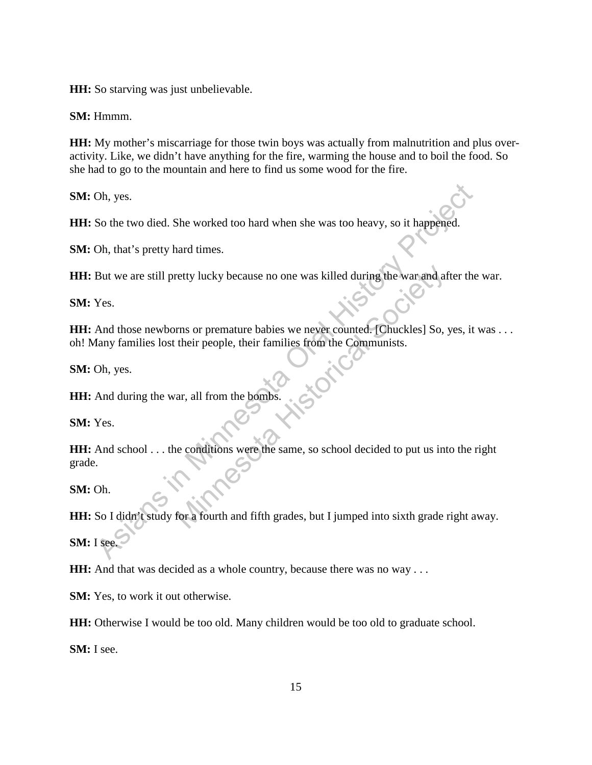**HH:** So starving was just unbelievable.

**SM:** Hmmm.

**HH:** My mother's miscarriage for those twin boys was actually from malnutrition and plus overactivity. Like, we didn't have anything for the fire, warming the house and to boil the food. So she had to go to the mountain and here to find us some wood for the fire.

**SM:** Oh, yes.

**HH:** So the two died. She worked too hard when she was too heavy, so it happened.

**SM:** Oh, that's pretty hard times.

**HH:** But we are still pretty lucky because no one was killed during the war and after the war.

**SM:** Yes.

**HH:** And those newborns or premature babies we never counted. [Chuckles] So, yes, it was ... oh! Many families lost their people, their families from the Communists.

**SM:** Oh, yes.

**HH:** And during the war, all from the bombs.

**SM:** Yes.

**HH:** And school . . . the conditions were the same, so school decided to put us into the right grade. Oh, yes.<br>
So the two died. She worked too hard when she was too heavy, so it happened.<br>
Oh, that's pretty hard times.<br>
But we are still pretty lucky because no one was killed during the war and after the<br>
Yes.<br>
And those n retty lucky because no one was killed during the war and at<br>
rms or premature babies we never counted. [Chuckles] So,<br>
their people, their families from the Communists.<br>
ar, all from the bombs.<br>
e conditions were the same,

**SM:** Oh.

**HH:** So I didn't study for a fourth and fifth grades, but I jumped into sixth grade right away.

**SM:** I see.

**HH:** And that was decided as a whole country, because there was no way . . .

**SM:** Yes, to work it out otherwise.

**HH:** Otherwise I would be too old. Many children would be too old to graduate school.

**SM:** I see.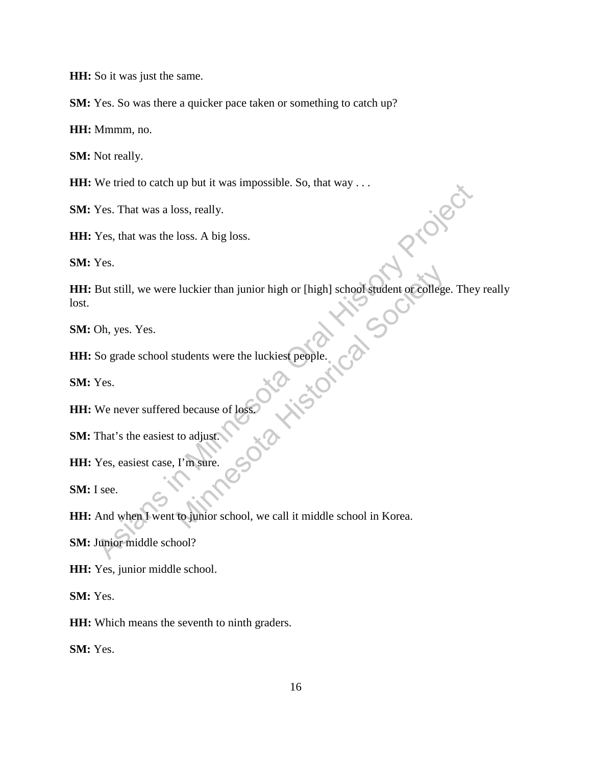**HH:** So it was just the same.

**SM:** Yes. So was there a quicker pace taken or something to catch up?

**HH:** Mmmm, no.

**SM:** Not really.

**HH:** We tried to catch up but it was impossible. So, that way . . .

**SM:** Yes. That was a loss, really.

**HH:** Yes, that was the loss. A big loss.

**SM:** Yes.

**HH:** But still, we were luckier than junior high or [high] school student or college. They really lost. Wes. That was a loss, really.<br>
Yes. That was a loss, really.<br>
Yes. that was the loss. A big loss.<br>
Yes.<br>
But still, we were luckier than junior high or [high] school sudent of college. They<br>
Oh, yes. Yes.<br>
So grade school

**SM:** Oh, yes. Yes.

**HH:** So grade school students were the luckiest people. Mistorical Minnesot

**SM:** Yes.

**HH:** We never suffered because of loss.

**SM:** That's the easiest to adjust.

**HH:** Yes, easiest case, I'm sure.

**SM:** I see.

**HH:** And when I went to junior school, we call it middle school in Korea.

**SM:** Junior middle school?

**HH:** Yes, junior middle school.

**SM:** Yes.

**HH:** Which means the seventh to ninth graders.

**SM:** Yes.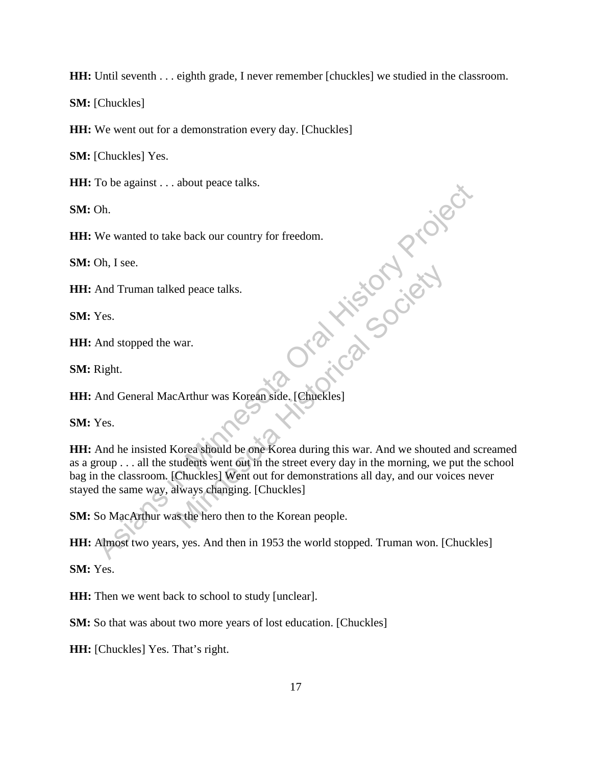**HH:** Until seventh . . . eighth grade, I never remember [chuckles] we studied in the classroom.

**SM:** [Chuckles]

**HH:** We went out for a demonstration every day. [Chuckles]

**SM:** [Chuckles] Yes.

**HH:** To be against . . . about peace talks.

**SM:** Oh.

**HH:** We wanted to take back our country for freedom.

**SM:** Oh, I see.

**HH:** And Truman talked peace talks.

**SM:** Yes.

**HH:** And stopped the war.

**SM:** Right.

**HH:** And General MacArthur was Korean side. [Chuckles]

**SM:** Yes.

**HH:** And he insisted Korea should be one Korea during this war. And we shouted and screamed as a group . . . all the students went out in the street every day in the morning, we put the school bag in the classroom. [Chuckles] Went out for demonstrations all day, and our voices never stayed the same way, always changing. [Chuckles] The value of the same way, always changing. [Chuckles]<br>
As MacArthur was Korean side. [Chuckles]<br>
And General MacArthur was Korean side. [Chuckles]<br>
And General MacArthur was Korean side. [Chuckles]<br>
Yes.<br>
And General MacA ed peace talks.<br>
War.<br>
War.<br>
Arthur was Korean side. [Chuckles]<br>
Chuckles]<br>
Corea should be one Korea during this war. And we shouted<br>
tudents went out in the street every day in the morning, we<br>
Chuckles] Went out for dem

**SM:** So MacArthur was the hero then to the Korean people.

**HH:** Almost two years, yes. And then in 1953 the world stopped. Truman won. [Chuckles]

**SM:** Yes.

**HH:** Then we went back to school to study [unclear].

**SM:** So that was about two more years of lost education. [Chuckles]

**HH:** [Chuckles] Yes. That's right.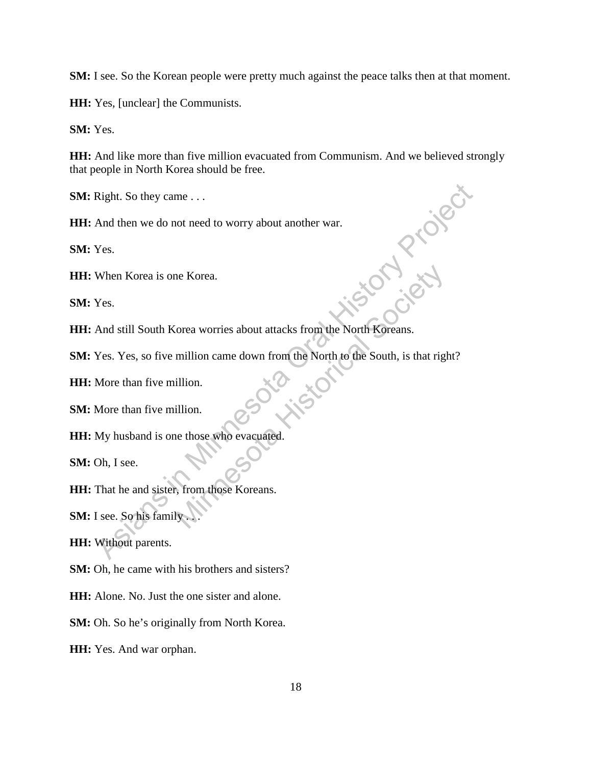**SM:** I see. So the Korean people were pretty much against the peace talks then at that moment.

**HH:** Yes, [unclear] the Communists.

**SM:** Yes.

**HH:** And like more than five million evacuated from Communism. And we believed strongly that people in North Korea should be free.

**SM:** Right. So they came . . .

**HH:** And then we do not need to worry about another war.

**SM:** Yes.

**HH:** When Korea is one Korea.

**SM:** Yes.

**HH:** And still South Korea worries about attacks from the North Koreans.

**SM:** Yes. Yes, so five million came down from the North to the South, is that right? Right. So they came . . .<br>
And then we do not need to worry about another war.<br>
Yes.<br>
When Korea is one Korea.<br>
Yes.<br>
And still South Korea worries about attacks from the North Koreans.<br>
Yes. Yes, so five million came down The Korea<br>
Society and the Society of Contracts about attacks from the North Koreans.<br>
million.<br>
Ellion.<br>
Ellion.<br>
Ellion.<br>
Ellion.<br>
Ellion.<br>
Society and the South, is that right<br>
the South, is that right<br>
the South, is th

**HH:** More than five million.

**SM:** More than five million.

**HH:** My husband is one those who evacuated.

**SM:** Oh, I see.

**HH:** That he and sister, from those Koreans.

**SM:** I see. So his family

**HH:** Without parents.

**SM:** Oh, he came with his brothers and sisters?

**HH:** Alone. No. Just the one sister and alone.

**SM:** Oh. So he's originally from North Korea.

**HH:** Yes. And war orphan.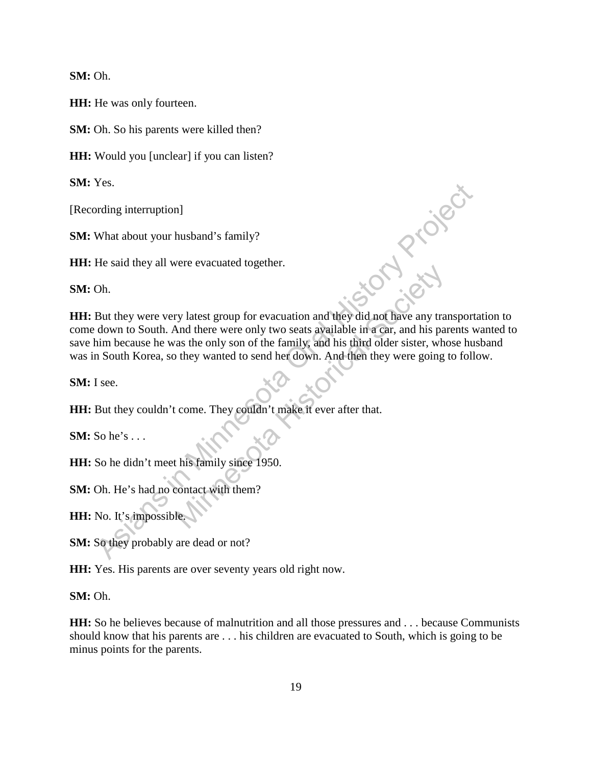**SM:** Oh.

**HH:** He was only fourteen.

**SM:** Oh. So his parents were killed then?

**HH:** Would you [unclear] if you can listen?

**SM:** Yes.

[Recording interruption]

**SM:** What about your husband's family?

**HH:** He said they all were evacuated together.

**SM:** Oh.

**HH:** But they were very latest group for evacuation and they did not have any transportation to come down to South. And there were only two seats available in a car, and his parents wanted to save him because he was the only son of the family, and his third older sister, whose husband was in South Korea, so they wanted to send her down. And then they were going to follow. And Project ry latest group for evacuation and they did not have any tra<br>And there were only two seats available in a car, and his pair<br>as the only son of the family, and his third older sister, who<br>they wanted to send her down. And t

**SM:** I see.

**HH:** But they couldn't come. They couldn't make it ever after that.

**SM:** So he's . . .

**HH:** So he didn't meet his family since 1950.

**SM:** Oh. He's had no contact with them?

**HH:** No. It's impossible.

**SM:** So they probably are dead or not?

**HH:** Yes. His parents are over seventy years old right now.

**SM:** Oh.

**HH:** So he believes because of malnutrition and all those pressures and . . . because Communists should know that his parents are . . . his children are evacuated to South, which is going to be minus points for the parents.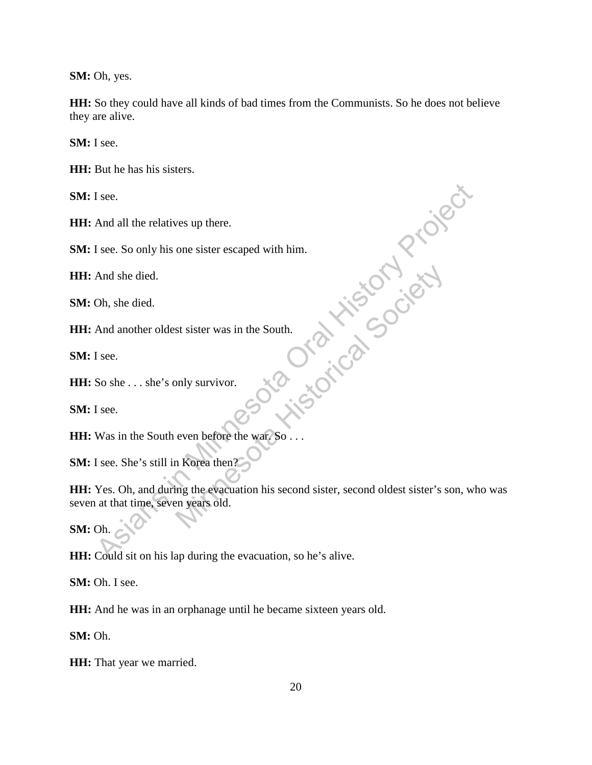**SM:** Oh, yes.

**HH:** So they could have all kinds of bad times from the Communists. So he does not believe they are alive.

**SM:** I see.

**HH:** But he has his sisters.

**SM:** I see.

**HH:** And all the relatives up there.

**SM:** I see. So only his one sister escaped with him.

**HH:** And she died.

**SM:** Oh, she died.

**HH:** And another oldest sister was in the South.

**SM:** I see.

**HH:** So she . . . she's only survivor.

**SM:** I see.

**HH:** Was in the South even before the war. So . . .

**SM:** I see. She's still in Korea then?

**HH:** Yes. Oh, and during the evacuation his second sister, second oldest sister's son, who was seven at that time, seven years old. If see.<br>
And all the relatives up there.<br>
If see. So only his one sister escaped with him.<br>
And she died.<br>
And another oldest sister was in the South.<br>
If see.<br>
So she . . . she's only survivor.<br>
If see.<br>
Was in the South expective Minister was in the South.<br>
Society of the Society of the Society of the Society of the Society of the Society of the Society of the Society of the Society of the Society of the Society of the Society of the Soci

**SM:** Oh.

**HH:** Could sit on his lap during the evacuation, so he's alive.

**SM:** Oh. I see.

**HH:** And he was in an orphanage until he became sixteen years old.

**SM:** Oh.

**HH:** That year we married.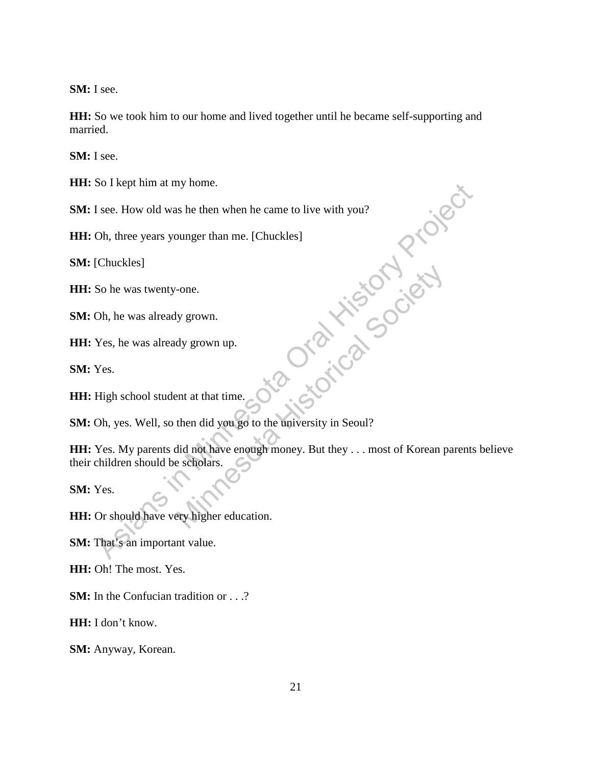**SM:** I see.

**HH:** So we took him to our home and lived together until he became self-supporting and married.

**SM:** I see.

**HH:** So I kept him at my home.

**SM:** I see. How old was he then when he came to live with you?

**HH:** Oh, three years younger than me. [Chuckles]

**SM:** [Chuckles]

**HH:** So he was twenty-one.

**SM:** Oh, he was already grown.

**HH:** Yes, he was already grown up.

**SM:** Yes.

**HH:** High school student at that time.

**SM:** Oh, yes. Well, so then did you go to the university in Seoul?

HH: Yes. My parents did not have enough money. But they . . . most of Korean parents believe their children should be scholars. So I sept mim at my none.<br>
Since How old was he then when he came to live with you?<br>
Oh, three years younger than me. [Chuckles]<br>
Chuckles]<br>
So he was atwenty-one.<br>
Oh, he was already grown up.<br>
Yes.<br>
High school student a Franchise College and Society<br>
My grown up.<br>
and y grown up.<br>
ent at that time.<br>
then did you go to the university in Seoul?<br>
did not have enough money. But they . . . most of Korean p<br>
e scholars.<br>
Sery higher education.

**SM:** Yes.

**HH:** Or should have very higher education.

**SM:** That's an important value.

**HH:** Oh! The most. Yes.

**SM:** In the Confucian tradition or . . .?

**HH:** I don't know.

**SM:** Anyway, Korean.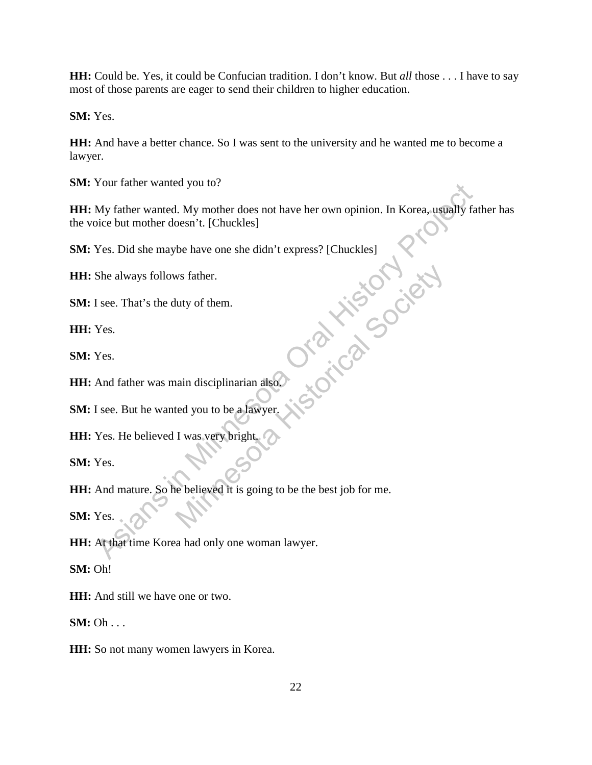**HH:** Could be. Yes, it could be Confucian tradition. I don't know. But *all* those . . . I have to say most of those parents are eager to send their children to higher education.

**SM:** Yes.

**HH:** And have a better chance. So I was sent to the university and he wanted me to become a lawyer.

**SM:** Your father wanted you to?

**HH:** My father wanted. My mother does not have her own opinion. In Korea, usually father has the voice but mother doesn't. [Chuckles] Four latter wanted you to?<br>
My father wanted. My mother does not have her own opinion. In Korea, usually fat<br>
ice but mother doesn't. [Chuckles]<br>
Yes. Did she maybe have one she didn't express? [Chuckles]<br>
She always follo

**SM:** Yes. Did she maybe have one she didn't express? [Chuckles]

**HH:** She always follows father.

**SM:** I see. That's the duty of them.

**HH:** Yes.

**SM:** Yes.

**HH:** And father was main disciplinarian also.

**SM:** I see. But he wanted you to be a lawyer.

**HH:** Yes. He believed I was very bright.

**SM:** Yes.

**HH:** And mature. So he believed it is going to be the best job for me. We father.<br>
Muty of them.<br>
Nain disciplinarian also<br>
Led you to be a lawyer.<br>
I was very bright.<br>
Thus yery bright.<br>
Contract of the best job for me.

**SM:** Yes.

**HH:** At that time Korea had only one woman lawyer.

**SM:** Oh!

**HH:** And still we have one or two.

**SM:** Oh . . .

**HH:** So not many women lawyers in Korea.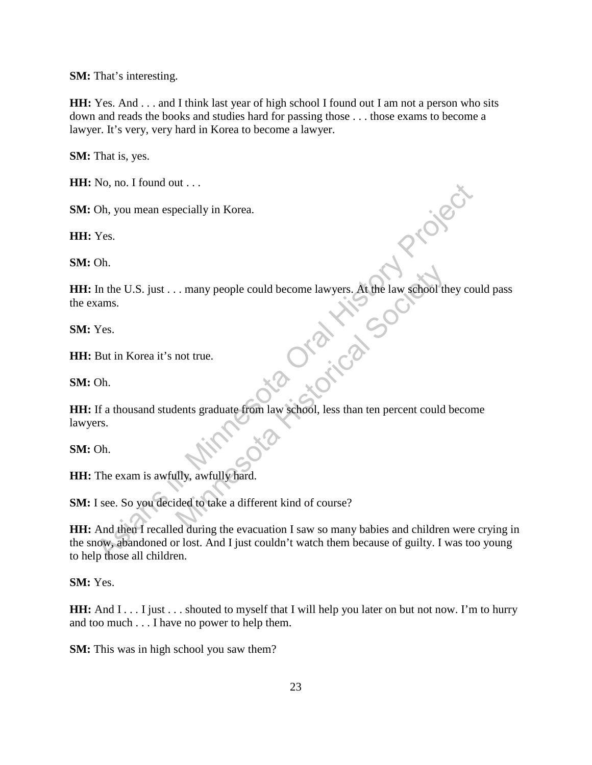**SM:** That's interesting.

**HH:** Yes. And . . . and I think last year of high school I found out I am not a person who sits down and reads the books and studies hard for passing those . . . those exams to become a lawyer. It's very, very hard in Korea to become a lawyer.

**SM:** That is, yes.

**HH:** No, no. I found out . . .

**SM:** Oh, you mean especially in Korea.

**HH:** Yes.

**SM:** Oh.

HH: In the U.S. just . . . many people could become lawyers. At the law school they could pass the exams.

**SM:** Yes.

**HH:** But in Korea it's not true.

**SM:** Oh.

**HH:** If a thousand students graduate from law school, less than ten percent could become lawyers. many people could become lawyers. At the law school the<br>
not true.

**SM:** Oh.

**HH:** The exam is awfully, awfully hard.

**SM:** I see. So you decided to take a different kind of course?

**HH:** And then I recalled during the evacuation I saw so many babies and children were crying in the snow, abandoned or lost. And I just couldn't watch them because of guilty. I was too young to help those all children. No, no. 1 nound out ...<br>
The Minnesotally in Korea.<br>
The U.S. just ... many people could become lawyers. At the law school they courd<br>
Minnesota Oral Historica It's not true.<br>
Oh.<br>
If a thousand students graduate from law

**SM:** Yes.

**HH:** And I . . . I just . . . shouted to myself that I will help you later on but not now. I'm to hurry and too much . . . I have no power to help them.

**SM:** This was in high school you saw them?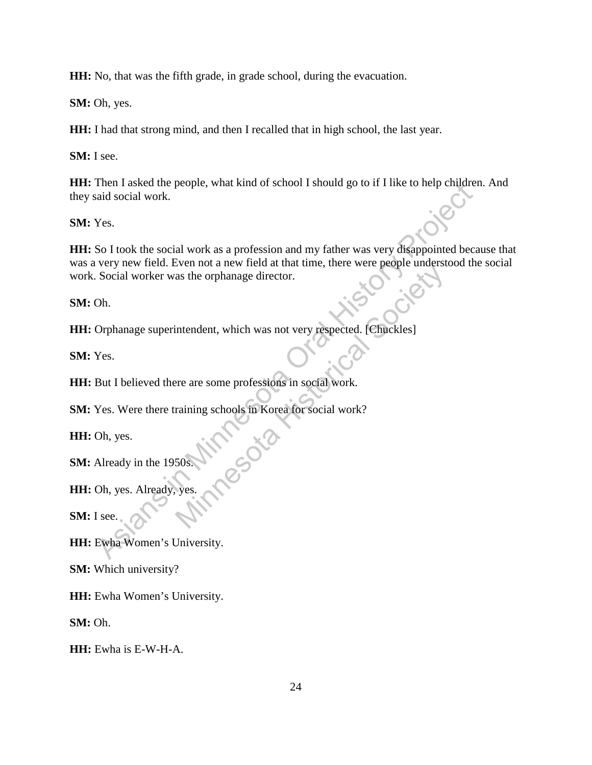**HH:** No, that was the fifth grade, in grade school, during the evacuation.

**SM:** Oh, yes.

**HH:** I had that strong mind, and then I recalled that in high school, the last year.

**SM:** I see.

**HH:** Then I asked the people, what kind of school I should go to if I like to help children. And they said social work.

**SM:** Yes.

**HH:** So I took the social work as a profession and my father was very disappointed because that was a very new field. Even not a new field at that time, there were people understood the social work. Social worker was the orphanage director. Then Tasked the people, what kind of school Tshould go to if Thike to help empire<br>
Nes.<br>
So I took the social work as a profession and my father was very disappointed because of very new field. Even not a new field at that Social Society of the Minds at the term of the Minds at the orphanage director.<br>
Intendent, which was not very respected. [Chuckles]<br>
The are some professions in social work.<br>
The Minds of Social Work?<br>
Sos.

**SM:** Oh.

**HH:** Orphanage superintendent, which was not very respected. [Chuckles]

**SM:** Yes.

**HH:** But I believed there are some professions in social work.

**SM:** Yes. Were there training schools in Korea for social work?

**HH:** Oh, yes.

**SM:** Already in the 1950s.

**HH:** Oh, yes. Already, yes.

**SM:** I see.

**HH:** Ewha Women's University.

**SM:** Which university?

**HH:** Ewha Women's University.

**SM:** Oh.

**HH:** Ewha is E-W-H-A.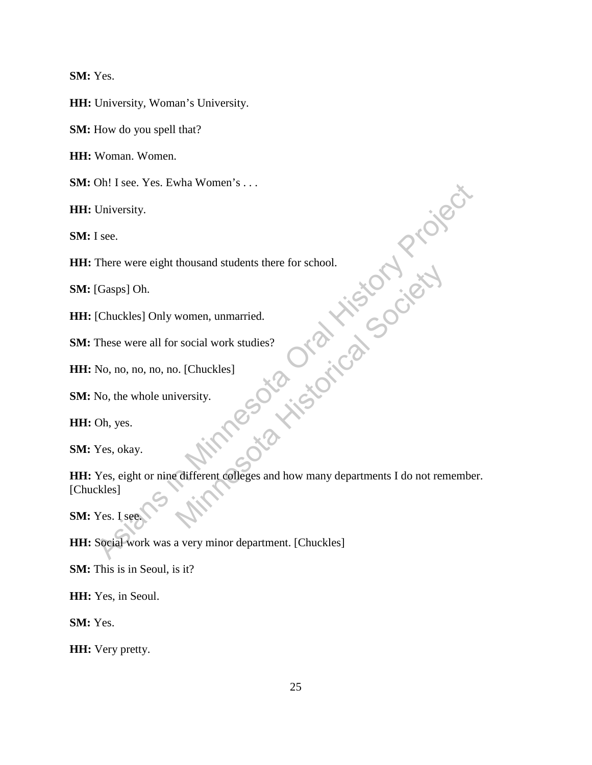**SM:** Yes.

**HH:** University, Woman's University.

**SM:** How do you spell that?

**HH:** Woman. Women.

**SM:** Oh! I see. Yes. Ewha Women's . . .

**HH:** University.

**SM:** I see.

**HH:** There were eight thousand students there for school.

**SM:** [Gasps] Oh.

**HH:** [Chuckles] Only women, unmarried.

**SM:** These were all for social work studies?

**HH:** No, no, no, no, no. [Chuckles]

**SM:** No, the whole university.

**HH:** Oh, yes.

**SM:** Yes, okay.

**HH:** Yes, eight or nine different colleges and how many departments I do not remember. [Chuckles] University.<br>
University.<br>
If see.<br>
There were eight thousand students there for school.<br>
[Gasps] Oh.<br>
[Chuckles] Only women, unmarried.<br>
These were all for social work studies?<br>
No, no, no, no, no, no, l. [Chuckles]<br>
No, n Women, unmarried.<br>
The Social Work studies?<br>
D. [Chuckles]<br>
Versity.<br>
C. Conception Concepts and how many departments I do not ren

**SM:** Yes. I see.

**HH:** Social work was a very minor department. [Chuckles]

**SM:** This is in Seoul, is it?

**HH:** Yes, in Seoul.

**SM:** Yes.

**HH:** Very pretty.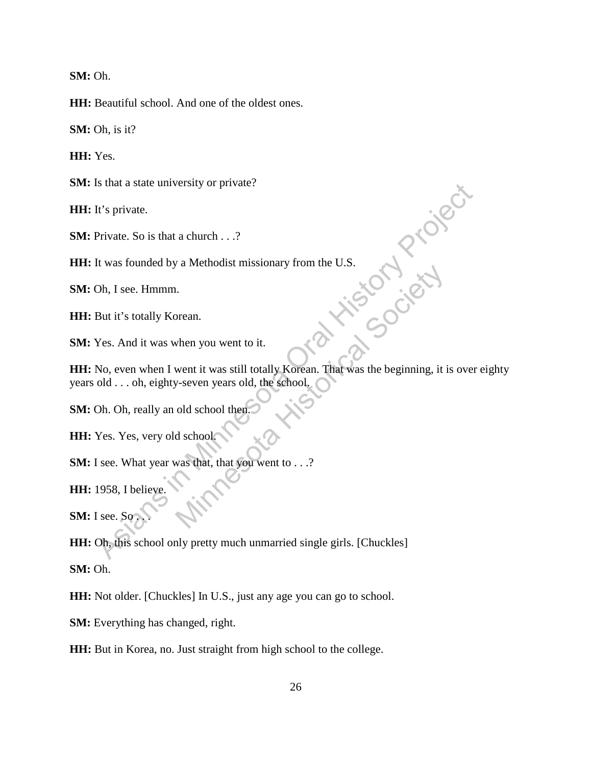**SM:** Oh.

**HH:** Beautiful school. And one of the oldest ones.

**SM:** Oh, is it?

**HH:** Yes.

**SM:** Is that a state university or private?

**HH:** It's private.

**SM:** Private. So is that a church . . .?

**HH:** It was founded by a Methodist missionary from the U.S.

**SM:** Oh, I see. Hmmm.

**HH:** But it's totally Korean.

**SM:** Yes. And it was when you went to it.

**HH:** No, even when I went it was still totally Korean. That was the beginning, it is over eighty years old . . . oh, eighty-seven years old, the school. It's private.<br>
The sprivate.<br>
The sprivate.<br>
As is that a church ...?<br>
The was founded by a Methodist missionary from the U.S.<br>
Ob, I see. Hmmm.<br>
But it's totally Korean.<br>
Yes. And it was when you went to it.<br>
No, even whe When you went to it.<br>
When you went to it.<br>
Went it was still totally Korean. That was the beginning, it is<br>
dischool then.<br>
Max that, that you went to . . .?<br>
What was that, that you went to . . .?

**SM:** Oh. Oh, really an old school then.

**HH:** Yes. Yes, very old school.

**SM:** I see. What year was that, that you went to . . .?

**HH:** 1958, I believe.

**SM:** I see. So

**HH:** Oh, this school only pretty much unmarried single girls. [Chuckles]

**SM:** Oh.

**HH:** Not older. [Chuckles] In U.S., just any age you can go to school.

**SM:** Everything has changed, right.

**HH:** But in Korea, no. Just straight from high school to the college.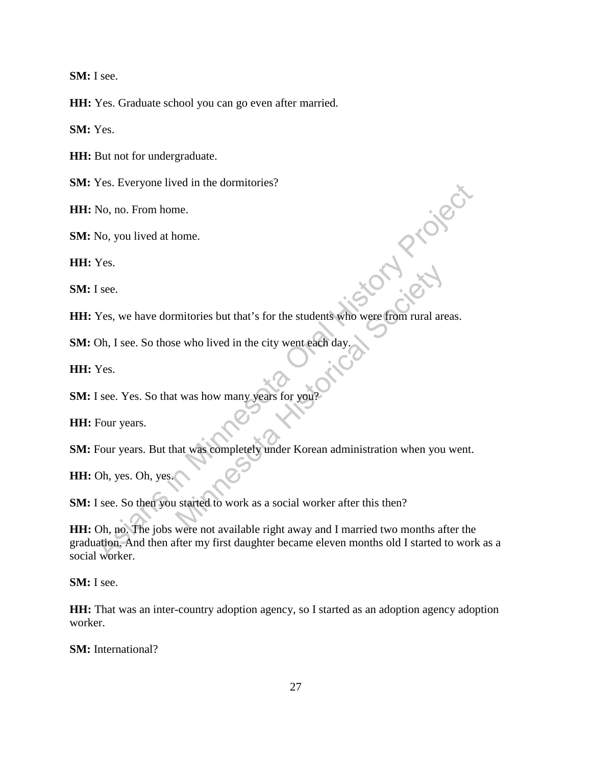**SM:** I see.

**HH:** Yes. Graduate school you can go even after married.

**SM:** Yes.

**HH:** But not for undergraduate.

**SM:** Yes. Everyone lived in the dormitories?

**HH:** No, no. From home.

**SM:** No, you lived at home.

**HH:** Yes.

**SM:** I see.

**HH:** Yes, we have dormitories but that's for the students who were from rural areas. **Asian Draid** mitories but that's for the students who were from rural are<br>e who lived in the city went each day<br>t was how many years for you?<br>at was completely under Korean administration when you<br>started to work as a social worker aft

**SM:** Oh, I see. So those who lived in the city went each day.

**HH:** Yes.

**SM:** I see. Yes. So that was how many years for you

**HH:** Four years.

**SM:** Four years. But that was completely under Korean administration when you went.

**HH:** Oh, yes. Oh, yes.

**SM:** I see. So then you started to work as a social worker after this then?

**HH:** Oh, no. The jobs were not available right away and I married two months after the graduation. And then after my first daughter became eleven months old I started to work as a social worker.

**SM:** I see.

**HH:** That was an inter-country adoption agency, so I started as an adoption agency adoption worker.

**SM:** International?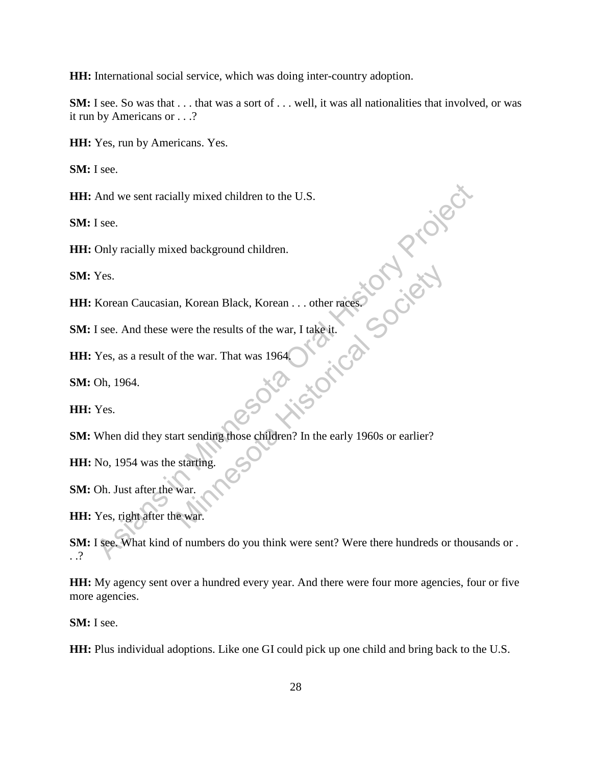**HH:** International social service, which was doing inter-country adoption.

**SM:** I see. So was that . . . that was a sort of . . . well, it was all nationalities that involved, or was it run by Americans or . . .?

**HH:** Yes, run by Americans. Yes.

**SM:** I see.

**HH:** And we sent racially mixed children to the U.S.

**SM:** I see.

**HH:** Only racially mixed background children.

**SM:** Yes.

**HH:** Korean Caucasian, Korean Black, Korean . . . other races.

**SM:** I see. And these were the results of the war, I take it.<br> **HH:** Yes, as a result of the war. That was 1964,<br> **SM:** Oh, 1964.<br> **HH:** Yes

**HH:** Yes, as a result of the war. That was 1964.

**SM:** Oh, 1964.

**HH:** Yes.

**SM:** When did they start sending those children? In the early 1960s or earlier? M. Korean Black, Korean . . . other races

**HH:** No, 1954 was the starting.

**SM:** Oh. Just after the war.

**HH:** Yes, right after the war.

**SM:** I see. What kind of numbers do you think were sent? Were there hundreds or thousands or . . .? And we sent racially mixed children to the U.S.<br>
I see.<br>
Only racially mixed background children.<br>
Yes.<br>
Korean Caucasian, Korean Black, Korean ... other races<br>
See.<br>
Xes. as a result of the war. That was 1964<br>
Ob. 1964.<br>

**HH:** My agency sent over a hundred every year. And there were four more agencies, four or five more agencies.

**SM:** I see.

**HH:** Plus individual adoptions. Like one GI could pick up one child and bring back to the U.S.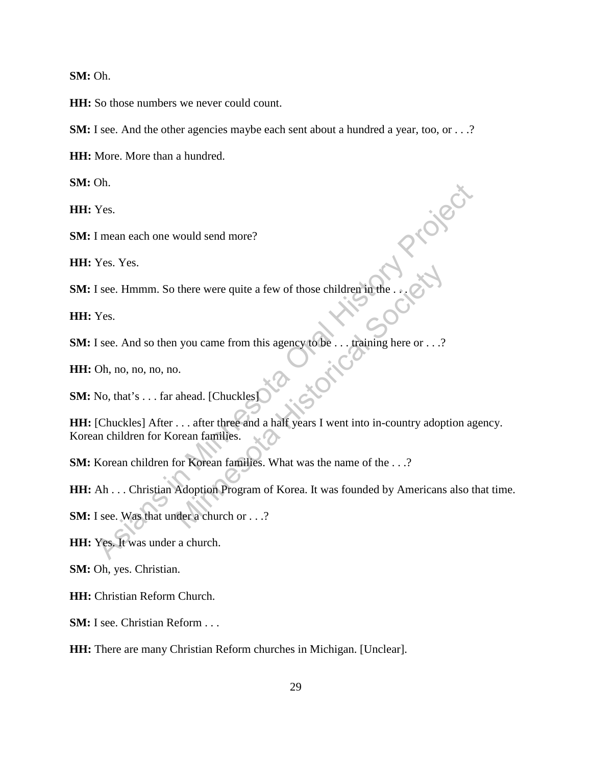**SM:** Oh.

**HH:** So those numbers we never could count.

**SM:** I see. And the other agencies maybe each sent about a hundred a year, too, or . . .?

**HH:** More. More than a hundred.

**SM:** Oh.

**HH:** Yes.

**SM:** I mean each one would send more?

**HH:** Yes. Yes.

**SM:** I see. Hmmm. So there were quite a few of those children in the . . .

**HH:** Yes.

**SM:** I see. And so then you came from this agency to be . . . training here or . . .?

**HH:** Oh, no, no, no, no.

**SM:** No, that's . . . far ahead. [Chuckles]

**HH:** [Chuckles] After . . . after three and a half years I went into in-country adoption agency. Korean children for Korean families. These Elmann each one would send more?<br>
Yes. Yes.<br>
These Elmann. So there were quite a few of those children in the ...<br>
Yes.<br>
Yes.<br>
Yes.<br>
Asian Asia of the property of the sense of the sense of the control of the control there were quite a few of those children in the ... (<br>
you came from this agency to be ... training here or ...?<br>
... after three and a half years I went into in-country adopt<br>
rean families.<br>
Yor Korean families. What was

**SM:** Korean children for Korean families. What was the name of the . . .?

**HH:** Ah . . . Christian Adoption Program of Korea. It was founded by Americans also that time.

**SM:** I see. Was that under a church or . . .?

**HH:** Yes. It was under a church.

**SM:** Oh, yes. Christian.

**HH:** Christian Reform Church.

**SM:** I see. Christian Reform . . .

**HH:** There are many Christian Reform churches in Michigan. [Unclear].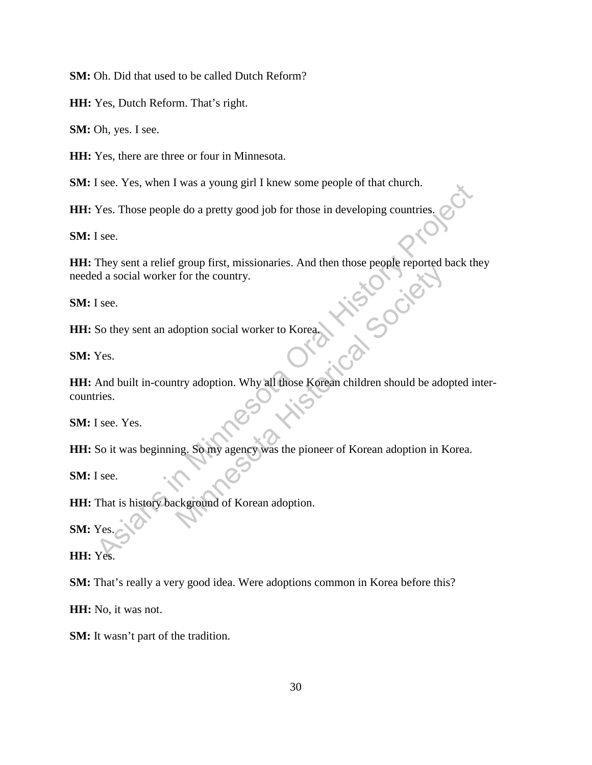**SM:** Oh. Did that used to be called Dutch Reform?

**HH:** Yes, Dutch Reform. That's right.

**SM:** Oh, yes. I see.

**HH:** Yes, there are three or four in Minnesota.

**SM:** I see. Yes, when I was a young girl I knew some people of that church.

**HH:** Yes. Those people do a pretty good job for those in developing countries.

**SM:** I see.

**HH:** They sent a relief group first, missionaries. And then those people reported back they needed a social worker for the country. Misu Sree

**SM:** I see.

**HH:** So they sent an adoption social worker to Korea.

**SM:** Yes.

**HH:** And built in-country adoption. Why all those Korean children should be adopted intercountries. See. They send a relief group first, missionaries. And then those people or that entures.<br>
Yes. Those people do a pretty good job for those in developing countries.<br>
They sent a relief group first, missionaries. And then t

**SM:** I see. Yes.

**HH:** So it was beginning. So my agency was the pioneer of Korean adoption in Korea.

**SM:** I see.

**HH:** That is history background of Korean adoption.

**SM:** Yes.

**HH:** Yes.

**SM:** That's really a very good idea. Were adoptions common in Korea before this?

**HH:** No, it was not.

**SM:** It wasn't part of the tradition.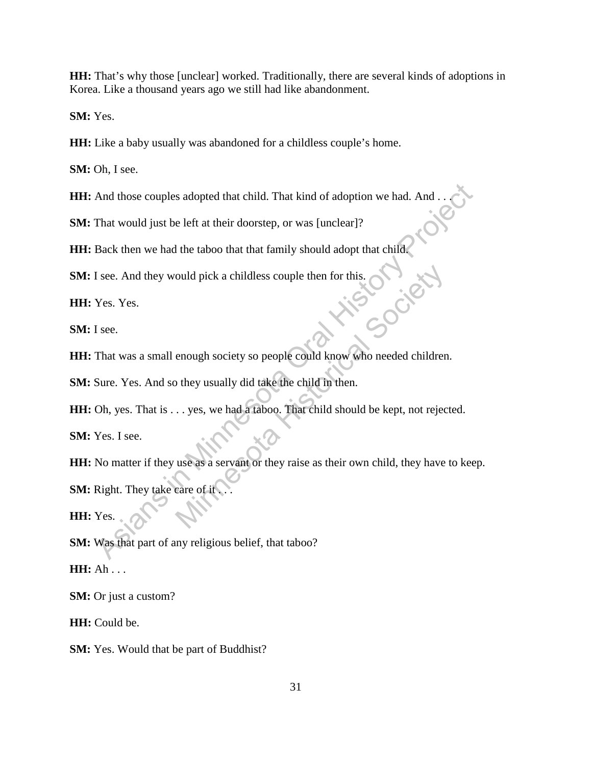**HH:** That's why those [unclear] worked. Traditionally, there are several kinds of adoptions in Korea. Like a thousand years ago we still had like abandonment.

**SM:** Yes.

**HH:** Like a baby usually was abandoned for a childless couple's home.

**SM:** Oh, I see.

HH: And those couples adopted that child. That kind of adoption we had. And .

**SM:** That would just be left at their doorstep, or was [unclear]?

**HH:** Back then we had the taboo that that family should adopt that child.<br> **SM:** I see. And they would pick a childless couple then for this.<br> **HH:** Yes. Yes.<br> **SM:** I see

**SM:** I see. And they would pick a childless couple then for this.

**HH:** Yes. Yes.

**SM:** I see.

**HH:** That was a small enough society so people could know who needed children. ould pick a childless couple then for this.<br>
enough society so people could know who needed children<br>
they usually did take the child in then.<br>
.. yes, we had a taboo. That child should be kept, not rejections<br>
use as a se

**SM:** Sure. Yes. And so they usually did take the child in then.

**HH:** Oh, yes. That is . . . yes, we had a taboo. That child should be kept, not rejected.

**SM:** Yes. I see.

**HH:** No matter if they use as a servant or they raise as their own child, they have to keep. And those couples adopted that child. That kind of adoption we had. And ...<br>
That would just be left at their doorstep, or was [unclear]?<br>
Back then we had the taboo that that family should adopt that child.<br>
See. And they

**SM:** Right. They take care of it

**HH:** Yes.

**SM:** Was that part of any religious belief, that taboo?

**HH:** Ah . . .

**SM:** Or just a custom?

**HH:** Could be.

**SM:** Yes. Would that be part of Buddhist?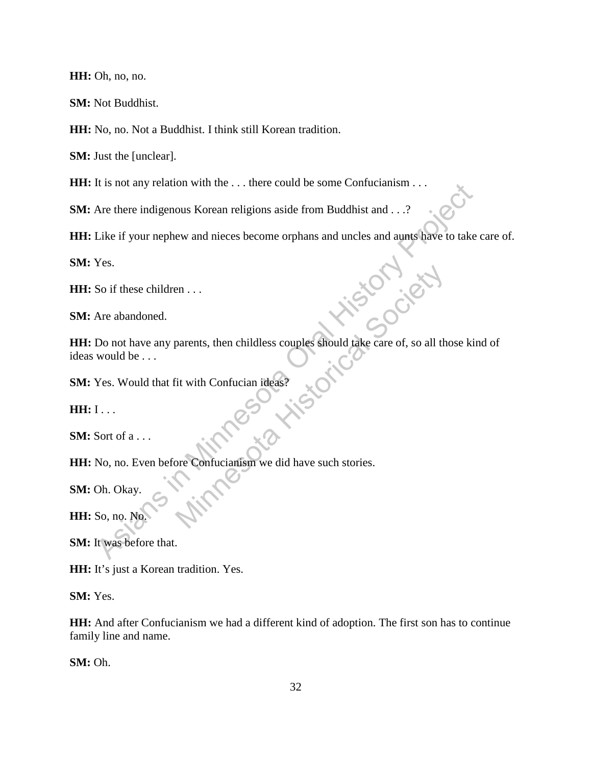**HH:** Oh, no, no.

**SM:** Not Buddhist.

**HH:** No, no. Not a Buddhist. I think still Korean tradition.

**SM:** Just the [unclear].

**HH:** It is not any relation with the ... there could be some Confucianism ...

**SM:** Are there indigenous Korean religions aside from Buddhist and . . .?

**HH:** Like if your nephew and nieces become orphans and uncles and aunts have to take care of.

**SM:** Yes.

**HH:** So if these children . . .

**SM:** Are abandoned.

**HH:** Do not have any parents, then childless couples should take care of, so all those kind of ideas would be . . . The there indigenous Korean religions aside from Buddhist and ...?<br>
Are there indigenous Korean religions aside from Buddhist and ...?<br>
Are abandoned.<br>
Yes.<br>
So if these children ...<br>
Are abandoned.<br>
Do not have any parent ess couples should take care of, so all t

**SM:** Yes. Would that fit with Confucian ideas?

**HH:**  $I \ldots$ 

**SM:** Sort of a . . .

**HH:** No, no. Even before Confucianism we did have such stories.

**SM:** Oh. Okay.

**HH:** So, no. No.

**SM:** It was before that.

**HH:** It's just a Korean tradition. Yes.

**SM:** Yes.

**HH:** And after Confucianism we had a different kind of adoption. The first son has to continue family line and name.

**SM:** Oh.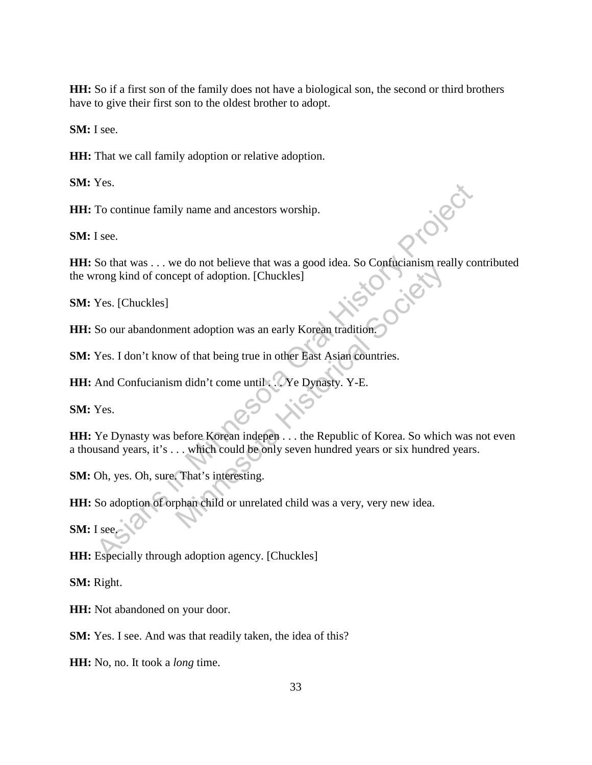**HH:** So if a first son of the family does not have a biological son, the second or third brothers have to give their first son to the oldest brother to adopt.

**SM:** I see.

**HH:** That we call family adoption or relative adoption.

**SM:** Yes.

**HH:** To continue family name and ancestors worship.

**SM:** I see.

**HH:** So that was . . . we do not believe that was a good idea. So Confucianism really contributed the wrong kind of concept of adoption. [Chuckles] To continue family name and ancestors worship.<br>
If see.<br>
So that was ... we do not believe that was a good idea. So Confucianism really cor<br>
Morong kind of concept of adoption. [Chuckles]<br>
Yes. [Chuckles]<br>
So our abandonme

**SM:** Yes. [Chuckles]

**HH:** So our abandonment adoption was an early Korean tradition.

**SM:** Yes. I don't know of that being true in other East Asian countries.

**HH:** And Confucianism didn't come until . . . Ye Dynasty. Y-E.

**SM:** Yes.

**HH:** Ye Dynasty was before Korean indepen . . . the Republic of Korea. So which was not even a thousand years, it's . . . which could be only seven hundred years or six hundred years. Minnesota Historical Society

**SM:** Oh, yes. Oh, sure. That's interesting.

**HH:** So adoption of orphan child or unrelated child was a very, very new idea.

**SM:** I see.

**HH:** Especially through adoption agency. [Chuckles]

**SM:** Right.

**HH:** Not abandoned on your door.

**SM:** Yes. I see. And was that readily taken, the idea of this?

**HH:** No, no. It took a *long* time.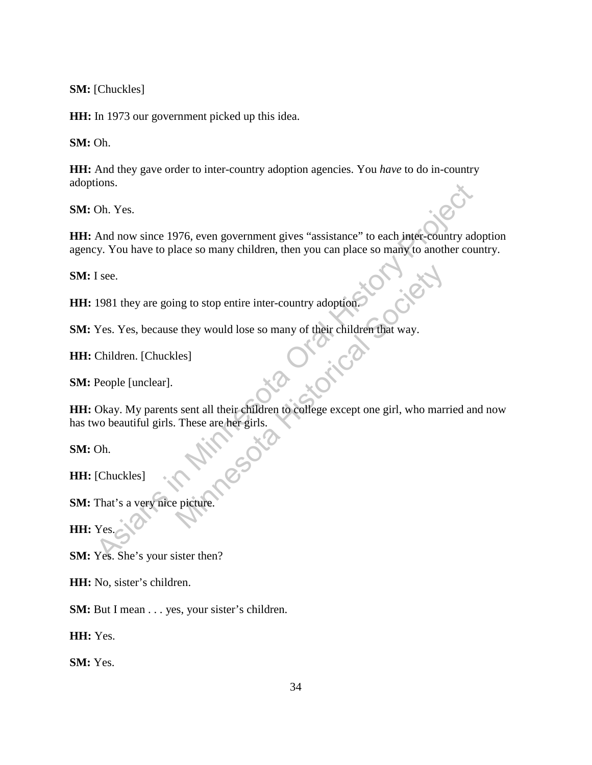**SM:** [Chuckles]

**HH:** In 1973 our government picked up this idea.

**SM:** Oh.

**HH:** And they gave order to inter-country adoption agencies. You *have* to do in-country adoptions.

**SM:** Oh. Yes.

**HH:** And now since 1976, even government gives "assistance" to each inter-country adoption agency. You have to place so many children, then you can place so many to another country. From the Same of the Same of the Same of the Same of the Same of the Same of the Same of the Same of the Same oral History Projects. The Same of the Same of the Same of the Same of the Same of the Same of the Same oral His

**SM:** I see.

**HH:** 1981 they are going to stop entire inter-country adoption.

**SM:** Yes. Yes, because they would lose so many of their children that way.

**HH:** Children. [Chuckles]

**SM:** People [unclear].

HH: Okay. My parents sent all their children to college except one girl, who married and now has two beautiful girls. These are her girls. mg to stop entire inter-country adoption.<br>
Explicit the method of their children that way.<br>
Les]<br>
Social Society of their children fact way.<br>
These are her girls.<br>
These are her girls.

**SM:** Oh.

**HH:** [Chuckles]

**SM:** That's a very nice picture.

**HH:** Yes.

**SM:** Yes. She's your sister then?

**HH:** No, sister's children.

**SM:** But I mean . . . yes, your sister's children.

**HH:** Yes.

**SM:** Yes.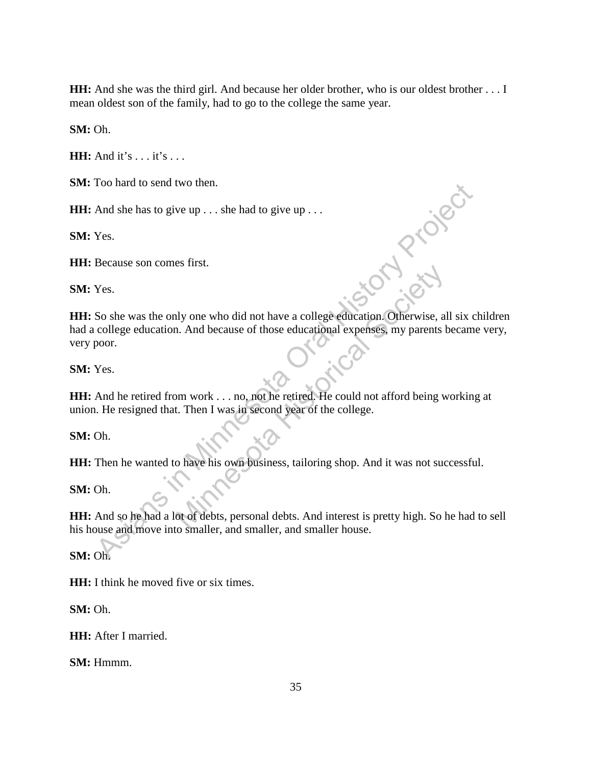**HH:** And she was the third girl. And because her older brother, who is our oldest brother . . . I mean oldest son of the family, had to go to the college the same year.

**SM:** Oh.

**HH:** And it's . . . it's . . .

**SM:** Too hard to send two then.

**HH:** And she has to give up . . . she had to give up . . .

**SM:** Yes.

**HH:** Because son comes first.

**SM:** Yes.

HH: Because son comes first.<br> **SM:** Yes.<br>
HH: So she was the only one who did not have a college education. Otherwise, all six children had a college education. And because of those educational expenses, my parents became very, very poor. The Mass is to give up . . . she had to give up . . .<br>
And she has to give up . . . she had to give up . . .<br>
Yes.<br>
So she was the only one who did not have a college education. Otherwise, all six college education. And be May one who did not have a college education. Otherwise, all<br>
a historical Society and the educational expenses, my parents b<br>
the move of the society of the college.<br>
Then I was in second year of the college.<br>
And it was

**SM:** Yes.

**HH:** And he retired from work . . . no, not he retired. He could not afford being working at union. He resigned that. Then I was in second year of the college.

**SM:** Oh.

**HH:** Then he wanted to have his own business, tailoring shop. And it was not successful.

**SM:** Oh.

**HH:** And so he had a lot of debts, personal debts. And interest is pretty high. So he had to sell his house and move into smaller, and smaller, and smaller house.

**SM:** Oh.

**HH:** I think he moved five or six times.

**SM:** Oh.

**HH:** After I married.

**SM:** Hmmm.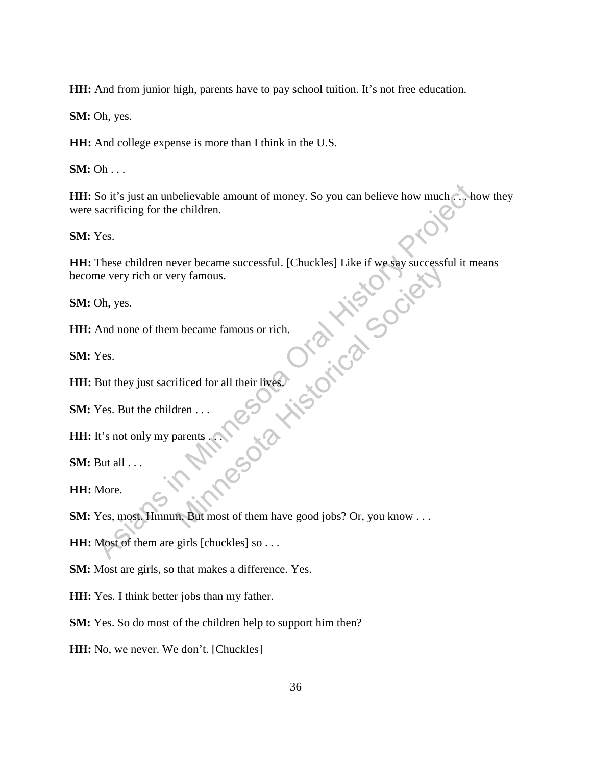**HH:** And from junior high, parents have to pay school tuition. It's not free education.

**SM:** Oh, yes.

**HH:** And college expense is more than I think in the U.S.

**SM:** Oh . . .

**HH:** So it's just an unbelievable amount of money. So you can believe how much . . . how they were sacrificing for the children. So it's just an unbelievable amount of money. So you can believe how much sacrificing for the children.<br>
Yes.<br>
These children never became successful. [Chuckles] Like if we say successful it measure or every rich or very f

**SM:** Yes.

**HH:** These children never became successful. [Chuckles] Like if we say successful it means become very rich or very famous. The Society famous.<br>
The Life of Contract History Contract History Contract History Contract History Contract History Contract History Contract History Contract History Contract History Contract History Contract History Co

**SM:** Oh, yes.

**HH:** And none of them became famous or rich.

**SM:** Yes.

**HH:** But they just sacrificed for all their lives.

**SM:** Yes. But the children . . .

**HH:** It's not only my parents . . .

**SM:** But all . . .

**HH:** More.

**SM:** Yes, most. Hmmm. But most of them have good jobs? Or, you know . . .

**HH:** Most of them are girls [chuckles] so . . .

**SM:** Most are girls, so that makes a difference. Yes.

**HH:** Yes. I think better jobs than my father.

**SM:** Yes. So do most of the children help to support him then?

**HH:** No, we never. We don't. [Chuckles]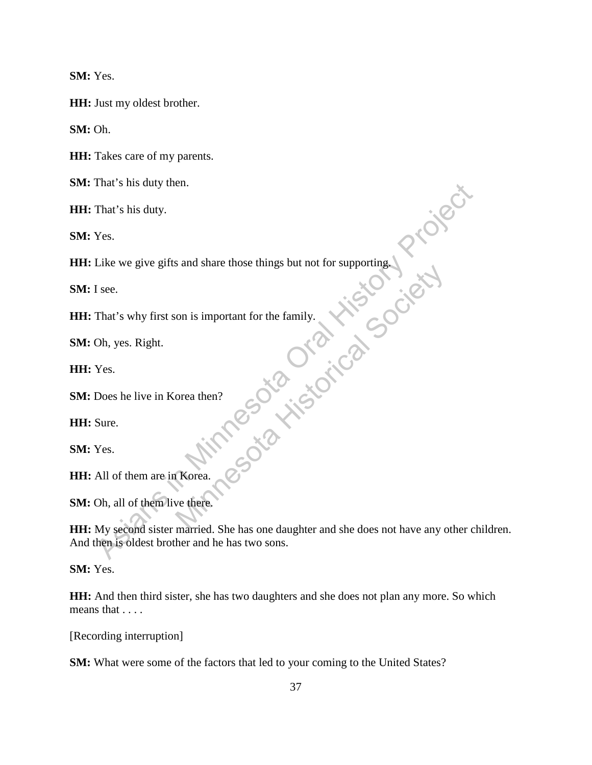**SM:** Yes.

**HH:** Just my oldest brother.

**SM:** Oh.

**HH:** Takes care of my parents.

**SM:** That's his duty then.

**HH:** That's his duty.

**SM:** Yes.

**HH:** Like we give gifts and share those things but not for supporting.

**SM:** I see.

**HH:** That's why first son is important for the family. on is important for the family.

**SM:** Oh, yes. Right.

**HH:** Yes.

**SM:** Does he live in Korea then?

**HH:** Sure.

**SM:** Yes.

**HH:** All of them are in Korea.

**SM:** Oh, all of them live there.

**HH:** My second sister married. She has one daughter and she does not have any other children. And then is oldest brother and he has two sons. That's his duty.<br>
That's his duty.<br>
Yes.<br>
Like we give gifts and share those things but not for supporting.<br>
Yes.<br>
That's why first son is important for the family.<br>
Oh, yes. Right.<br>
Yes.<br>
Does he live in Korea then?<br>
Sure

**SM:** Yes.

**HH:** And then third sister, she has two daughters and she does not plan any more. So which means that . . . .

[Recording interruption]

**SM:** What were some of the factors that led to your coming to the United States?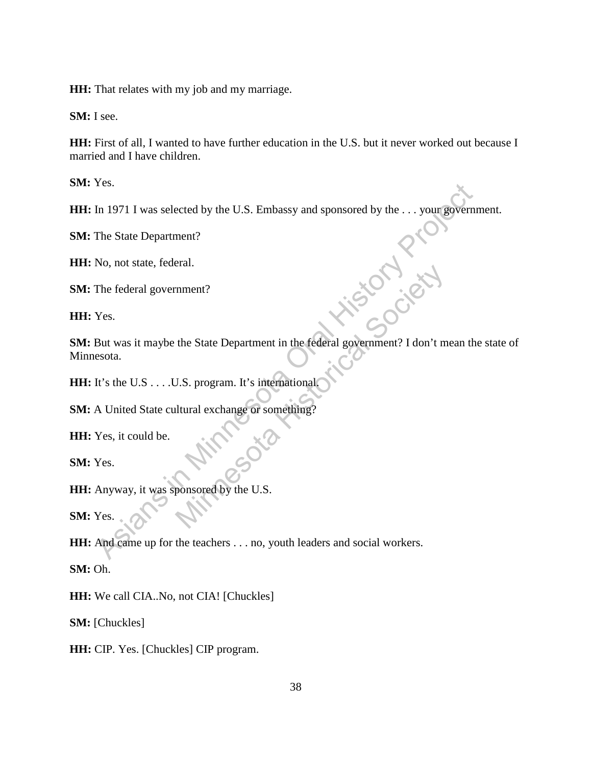**HH:** That relates with my job and my marriage.

**SM:** I see.

**HH:** First of all, I wanted to have further education in the U.S. but it never worked out because I married and I have children.

**SM:** Yes.

**HH:** In 1971 I was selected by the U.S. Embassy and sponsored by the . . . your government.

**SM:** The State Department?

**HH:** No, not state, federal.

**SM:** The federal government?

**HH:** Yes.

**SM:** But was it maybe the State Department in the federal government? I don't mean the state of Minnesota. The State Department?<br>
Ass. In 1971 I was selected by the U.S. Embassy and sponsored by the . . . your government?<br>
The federal government?<br>
No, not state, federal.<br>
The federal government?<br>
Yes.<br>
But was it maybe the Stat mment?<br>
the State Department in the federal government? I don't m<br>
U.S. program. It's international<br>
ltural exchange or something?<br>
ponsored by the U.S.

**HH:** It's the U.S . . . . U.S. program. It's international.

**SM:** A United State cultural exchange or something?

**HH:** Yes, it could be.

**SM:** Yes.

**HH:** Anyway, it was sponsored by the U.S.

**SM:** Yes.

**HH:** And came up for the teachers . . . no, youth leaders and social workers.

**SM:** Oh.

**HH:** We call CIA..No, not CIA! [Chuckles]

**SM:** [Chuckles]

**HH:** CIP. Yes. [Chuckles] CIP program.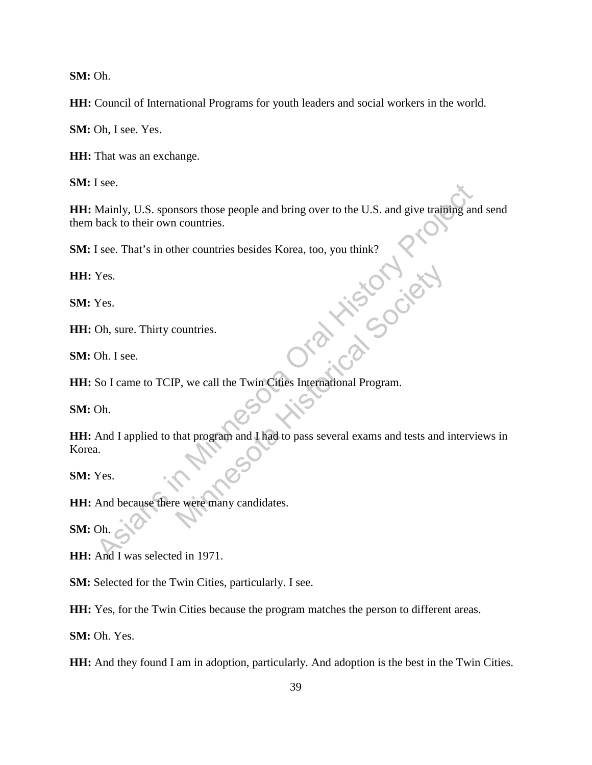**SM:** Oh.

**HH:** Council of International Programs for youth leaders and social workers in the world.

**SM:** Oh, I see. Yes.

**HH:** That was an exchange.

**SM:** I see.

**HH:** Mainly, U.S. sponsors those people and bring over to the U.S. and give training and send them back to their own countries.

**SM:** I see. That's in other countries besides Korea, too, you think?

**HH:** Yes.

**SM:** Yes.

**HH:** Oh, sure. Thirty countries.

**SM:** Oh. I see.

**HH:** So I came to TCIP, we call the Twin Cities International Program.

**SM:** Oh.

**HH:** And I applied to that program and I had to pass several exams and tests and interviews in Korea. See.<br>
Mainly, U.S. sponsors those people and bring over to the U.S. and give training and<br>
hack to their own countries.<br>
Tsee. That's in other countries besides Korea, too, you think?<br>
Yes.<br>
Yes.<br>
Oh. I see.<br>
Oh. I see.<br>
S ountries.<br>
P, we call the Twin Cities International Program.<br>
And program and I had to pass several exams and tests and<br>
that program and I had to pass several exams and tests and

**SM:** Yes.

**HH:** And because there were many candidates.

**SM:** Oh.

**HH:** And I was selected in 1971.

**SM:** Selected for the Twin Cities, particularly. I see.

**HH:** Yes, for the Twin Cities because the program matches the person to different areas.

**SM:** Oh. Yes.

**HH:** And they found I am in adoption, particularly. And adoption is the best in the Twin Cities.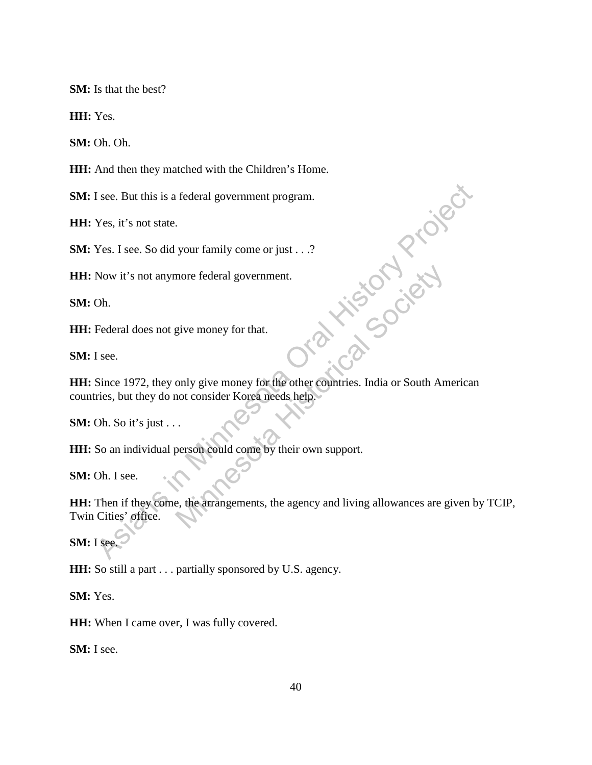**SM:** Is that the best?

**HH:** Yes.

**SM:** Oh. Oh.

**HH:** And then they matched with the Children's Home.

**SM:** I see. But this is a federal government program.

**HH:** Yes, it's not state.

**SM:** Yes. I see. So did your family come or just . . .?

**HH:** Now it's not anymore federal government.

**SM:** Oh.

**HH:** Federal does not give money for that.

**SM:** I see.

**HH:** Since 1972, they only give money for the other countries. India or South American countries, but they do not consider Korea needs help. If see. But this is a federal government program.<br>
Yes, it's not state.<br>
Yes. I see. So did your family come or just . . .?<br>
Now it's not anymore federal government.<br>
Oh.<br>
Eederal does not give money for that.<br>
If see.<br>
Si more federal government.<br>
give money for that.<br>
only give money for the other countries. India or South An<br>
not consider Korea needs help.<br>
Description of South An<br>
person could come by their own support.<br>
e.<br>
the arrangem

**SM:** Oh. So it's just . . .

**HH:** So an individual person could come by their own support.

**SM:** Oh. I see.

**HH:** Then if they come, the arrangements, the agency and living allowances are given by TCIP, Twin Cities' office.

**SM:** I see.

**HH:** So still a part . . . partially sponsored by U.S. agency.

**SM:** Yes.

**HH:** When I came over, I was fully covered.

**SM:** I see.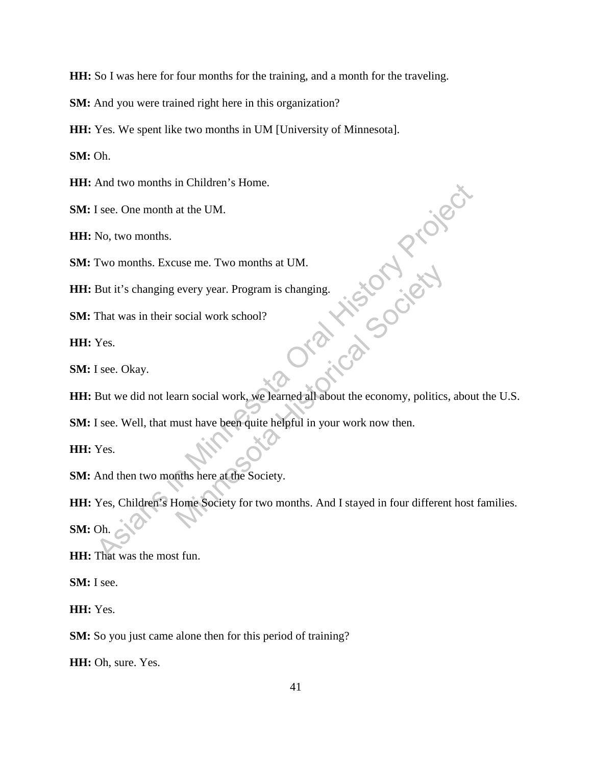**HH:** So I was here for four months for the training, and a month for the traveling.

**SM:** And you were trained right here in this organization?

**HH:** Yes. We spent like two months in UM [University of Minnesota].

**SM:** Oh.

**HH:** And two months in Children's Home.

**SM:** I see. One month at the UM.

**HH:** No, two months.

**SM:** Two months. Excuse me. Two months at UM.

**HH:** But it's changing every year. Program is changing.

**SM:** That was in their social work school?

**HH:** Yes.

**SM:** I see. Okay.

**HH:** But we did not learn social work, we learned all about the economy, politics, about the U.S.

**SM:** I see. Well, that must have been quite helpful in your work now then.

**HH:** Yes.

**SM:** And then two months here at the Society.

**HH:** Yes, Children's Home Society for two months. And I stayed in four different host families. **SM:** Oh. And two months in Children's Home<br>
Isec. One month at the UM.<br>
No, two months. Excuse me. Two months at UM.<br>
No, two months. Excuse me. Two months at UM.<br>
But it's changing every year. Program is changing.<br>
That was in the every year. Program is changing.<br>
social work school?<br>
ann social work, we learned all about the economy, politics<br>
ann social work, we learned all about the economy, politics<br>
ann social work, we learned all about the eco

**HH:** That was the most fun.

**SM:** I see.

**HH:** Yes.

**SM:** So you just came alone then for this period of training?

**HH:** Oh, sure. Yes.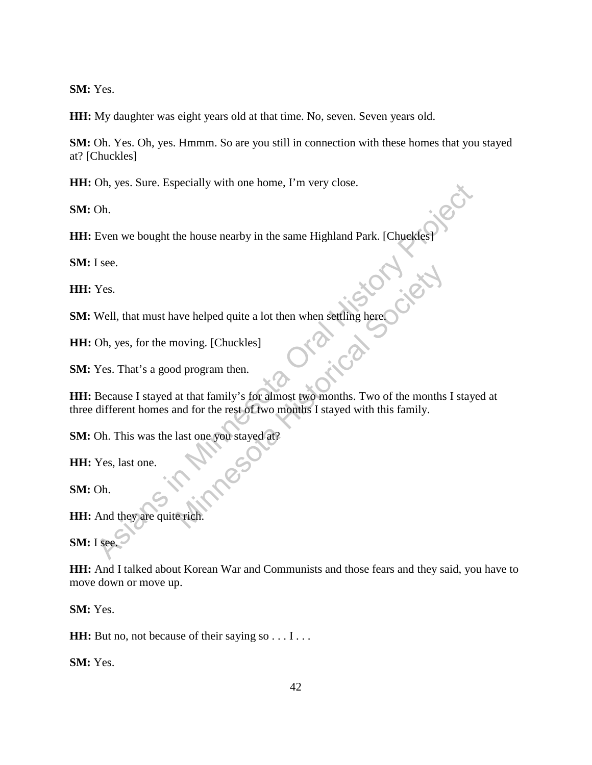**SM:** Yes.

**HH:** My daughter was eight years old at that time. No, seven. Seven years old.

**SM:** Oh. Yes. Oh, yes. Hmmm. So are you still in connection with these homes that you stayed at? [Chuckles]

**HH:** Oh, yes. Sure. Especially with one home, I'm very close.

**SM:** Oh.

**HH:** Even we bought the house nearby in the same Highland Park. [Chuckles]<br>**SM:** I see.<br>**HH:** Yes.<br>**SM:** We'

**SM:** I see.

**HH:** Yes.

**SM:** Well, that must have helped quite a lot then when settling here.

**HH:** Oh, yes, for the moving. [Chuckles]

**SM:** Yes. That's a good program then.

**HH:** Because I stayed at that family's for almost two months. Two of the months I stayed at three different homes and for the rest of two months I stayed with this family. On, yes. sure. Especially with one nome, I in very close.<br>
Even we bought the house nearby in the same Highland Park. [Chuck[es]<br>
I see.<br>
Yes.<br>
Well, that must have helped quite a lot then when settling here<br>
Oh, yes, for ave helped quite a lot then when settling here<br>noving. [Chuckles]<br>d program then.<br>at that family's for almost two months. Two of the months<br>and for the rest of two months I stayed with this family.<br>last one you stayed at?<br>

**SM:** Oh. This was the last one you stayed at?

**HH:** Yes, last one.

**SM:** Oh.

**HH:** And they are quite rich.

**SM:** I see.

**HH:** And I talked about Korean War and Communists and those fears and they said, you have to move down or move up.

**SM:** Yes.

**HH:** But no, not because of their saying so . . . I . . .

**SM:** Yes.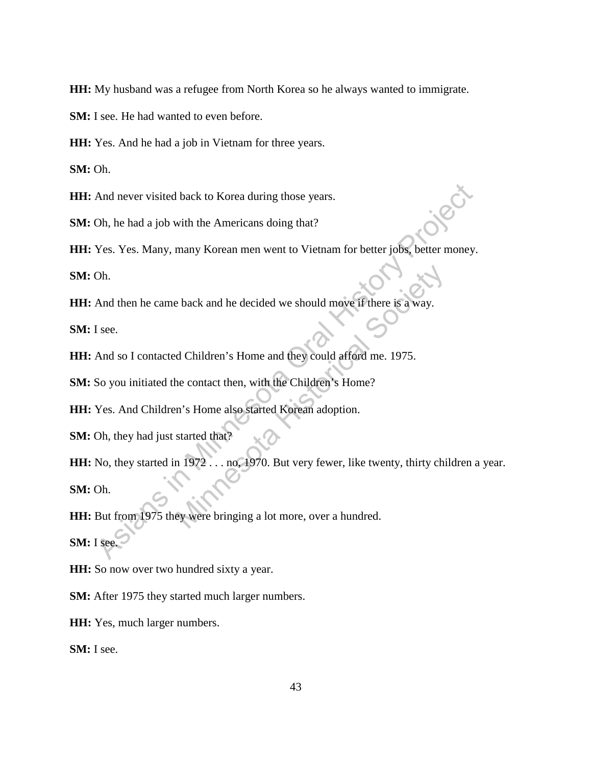**HH:** My husband was a refugee from North Korea so he always wanted to immigrate.

**SM:** I see. He had wanted to even before.

**HH:** Yes. And he had a job in Vietnam for three years.

**SM:** Oh.

**HH:** And never visited back to Korea during those years.

**SM:** Oh, he had a job with the Americans doing that?

**HH:** Yes. Yes. Many, many Korean men went to Vietnam for better jobs, better money.

**SM:** Oh.

**HH:** And then he came back and he decided we should move if there is a way.

**SM:** I see.

**HH:** And so I contacted Children's Home and they could afford me. 1975.

**SM:** So you initiated the contact then, with the Children's Home?

**HH:** Yes. And Children's Home also started Korean adoption.

**SM:** Oh, they had just started that?

**HH:** No, they started in 1972 . . . no, 1970. But very fewer, like twenty, thirty children a year. **SM:** Oh. And never visited back to Korea during those years.<br>
Oh, he had a job with the Americans doing that?<br>
Yes. Yes. Many, many Korean men went to Vietnam for better jobs, better money.<br>
Oh.<br>
And then he came back and he decide Moreover 2012<br>
Mark and he decided we should move if there is a way.<br>
A Children's Home and they could afford me. 1975.<br>
The contact then, with the Children's Home?<br>
The contact then, with the Children's Home?<br>
The started

**HH:** But from 1975 they were bringing a lot more, over a hundred. **SM:** I see.

**HH:** So now over two hundred sixty a year.

**SM:** After 1975 they started much larger numbers.

**HH:** Yes, much larger numbers.

**SM:** I see.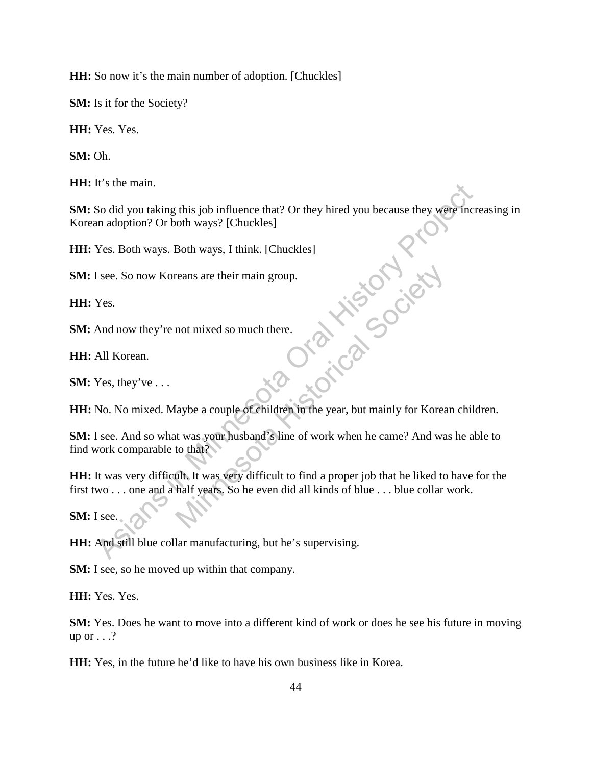**HH:** So now it's the main number of adoption. [Chuckles]

**SM:** Is it for the Society?

**HH:** Yes. Yes.

**SM:** Oh.

**HH:** It's the main.

**SM:** So did you taking this job influence that? Or they hired you because they were increasing in Korean adoption? Or both ways? [Chuckles] As it is in the main.<br>
So did you taking this job influence that? Or they hired you because they were there an adoption? Or both ways. I think. [Chuckles]<br>
Yes. Both ways. Both ways, I think. [Chuckles]<br>
If see. So now Kor

**HH:** Yes. Both ways. Both ways, I think. [Chuckles]

**SM:** I see. So now Koreans are their main group.

**HH:** Yes.

**SM:** And now they're not mixed so much there.

**HH:** All Korean.

**SM:** Yes, they've . . .

**HH:** No. No mixed. Maybe a couple of children in the year, but mainly for Korean children.

**SM:** I see. And so what was your husband's line of work when he came? And was he able to find work comparable to that? mot mixed so much there<br>
Not mixed so much there<br>
a couple of children in the year, but mainly for Korea<br>
t was your husband's line of work when he came? And wa<br>
to that?<br>
UIt. It was very difficult to find a proper job th

**HH:** It was very difficult. It was very difficult to find a proper job that he liked to have for the first two . . . one and a half years. So he even did all kinds of blue . . . blue collar work.

**SM:** I see.

**HH:** And still blue collar manufacturing, but he's supervising.

**SM:** I see, so he moved up within that company.

**HH:** Yes. Yes.

**SM:** Yes. Does he want to move into a different kind of work or does he see his future in moving up or  $\dots$ ?

**HH:** Yes, in the future he'd like to have his own business like in Korea.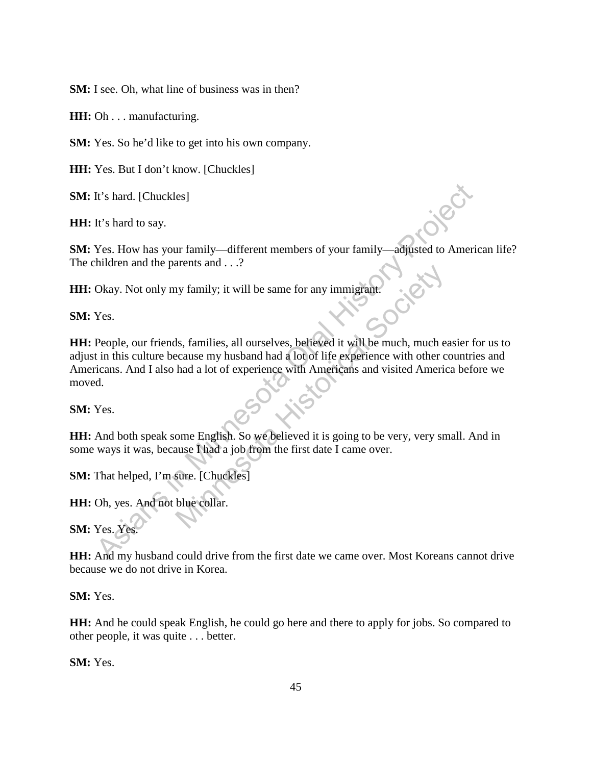**SM:** I see. Oh, what line of business was in then?

**HH:** Oh . . . manufacturing.

**SM:** Yes. So he'd like to get into his own company.

**HH:** Yes. But I don't know. [Chuckles]

**SM:** It's hard. [Chuckles]

**HH:** It's hard to say.

**SM:** Yes. How has your family—different members of your family—adjusted to American life? The children and the parents and . . .?

**HH:** Okay. Not only my family; it will be same for any immigrant.

**SM:** Yes.

**HH:** People, our friends, families, all ourselves, believed it will be much, much easier for us to adjust in this culture because my husband had a lot of life experience with other countries and Americans. And I also had a lot of experience with Americans and visited America before we moved. It's hard. [Chuckles]<br>
It's hard to say.<br>
Yes. How has your family—different members of your family—adjusted to Americaliditien and the parents and ...?<br>
Okay. Not only my family; it will be same for any immigrant<br>
Yes.<br>
Y In the same for any immigrant.<br>
Solution of a same for any immigrant.<br>
In the much, much excause my husband had a lot of life experience with other c<br>
had a lot of experience with Americans and visited American<br>
ome Englis

**SM:** Yes.

**HH:** And both speak some English. So we believed it is going to be very, very small. And in some ways it was, because I had a job from the first date I came over.

**SM:** That helped, I'm sure. [Chuckles]

**HH:** Oh, yes. And not blue collar.

**SM:** Yes. Yes.

**HH:** And my husband could drive from the first date we came over. Most Koreans cannot drive because we do not drive in Korea.

**SM:** Yes.

**HH:** And he could speak English, he could go here and there to apply for jobs. So compared to other people, it was quite . . . better.

**SM:** Yes.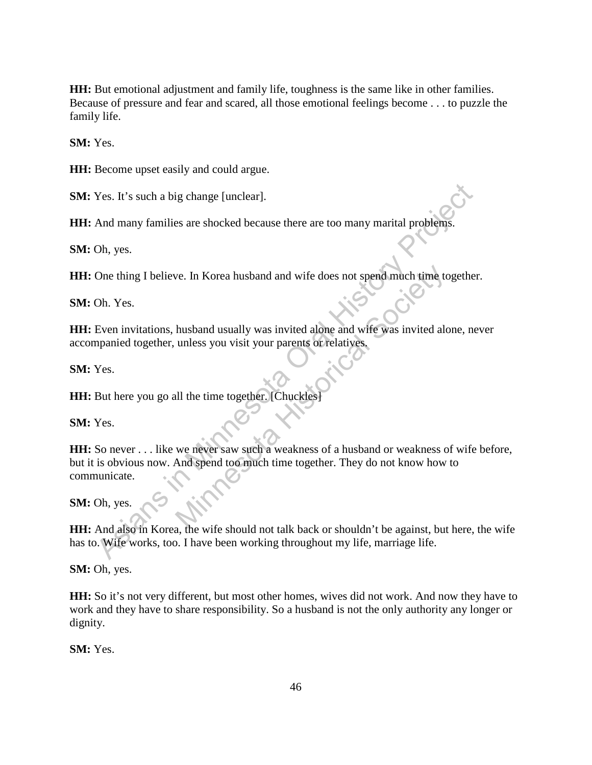**HH:** But emotional adjustment and family life, toughness is the same like in other families. Because of pressure and fear and scared, all those emotional feelings become . . . to puzzle the family life.

**SM:** Yes.

**HH:** Become upset easily and could argue.

**SM:** Yes. It's such a big change [unclear].

**HH:** And many families are shocked because there are too many marital problems.

**SM:** Oh, yes.

**HH:** One thing I believe. In Korea husband and wife does not spend much time together.

**SM:** Oh. Yes.

**HH:** Even invitations, husband usually was invited alone and wife was invited alone, never accompanied together, unless you visit your parents or relatives.

**SM:** Yes.

HH: But here you go all the time together. [Chuckles

**SM:** Yes.

**HH:** So never . . . like we never saw such a weakness of a husband or weakness of wife before, but it is obvious now. And spend too much time together. They do not know how to communicate. Nes. It's such a big change [unclear].<br>
And many families are shocked because there are too many marital problems.<br>
One thing I believe. In Korea husband and wife does not spend much time together<br>
Oh. Yes.<br>
Even invitatio we. In Korea husband and wife does not spend much time to<br>husband usually was invited alone and wife was invited alo<br>unless you visit your parents or relatives.<br><br>Ill the time together. [Chuckles]<br>we never saw such a weakne

**SM:** Oh, yes.

**HH:** And also in Korea, the wife should not talk back or shouldn't be against, but here, the wife has to. Wife works, too. I have been working throughout my life, marriage life.

**SM:** Oh, yes.

**HH:** So it's not very different, but most other homes, wives did not work. And now they have to work and they have to share responsibility. So a husband is not the only authority any longer or dignity.

**SM:** Yes.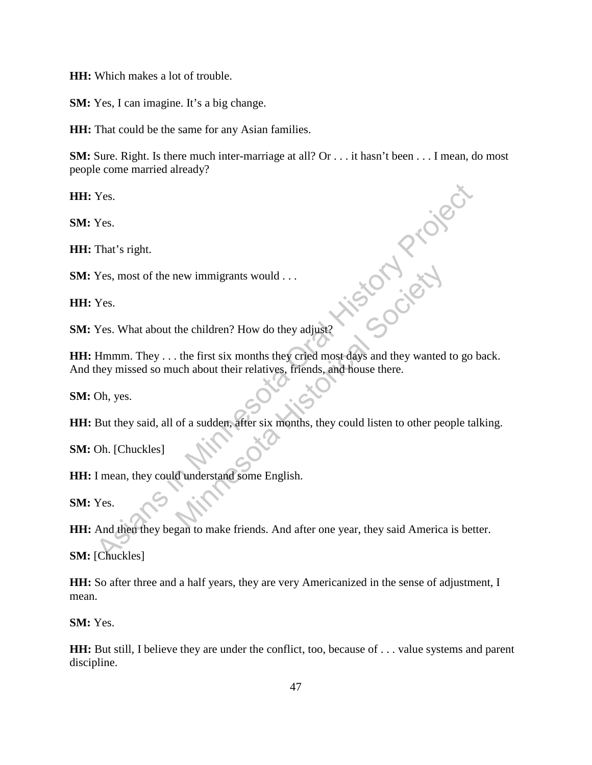**HH:** Which makes a lot of trouble.

**SM:** Yes, I can imagine. It's a big change.

**HH:** That could be the same for any Asian families.

**SM:** Sure. Right. Is there much inter-marriage at all? Or . . . it hasn't been . . . I mean, do most people come married already?

**HH:** Yes.

**SM:** Yes.

**HH:** That's right.

**SM:** Yes, most of the new immigrants would . . .

**HH:** Yes.

**SM:** Yes. What about the children? How do they adjust?

**HH:** Hmmm. They . . . the first six months they cried most days and they wanted to go back. And they missed so much about their relatives, friends, and house there. Yes.<br>
Yes.<br>
That's right.<br>
Yes, most of the new immigrants would ...<br>
Yes.<br>
Yes.<br>
Yes.<br>
Yes.<br>
Minnesota Asian about the children? How do they adjust?<br>
Himmm. They ... the first six months they crited most days and they wan He children? How do they adjust?<br>
the children? How do they adjust?<br>
the first six months they cried most days and they wanted<br>
conditions their relatives, friends, and house there.<br>
of a sudden, after six months, they cou

**SM:** Oh, yes.

**HH:** But they said, all of a sudden, after six months, they could listen to other people talking.

**SM:** Oh. [Chuckles]

**HH:** I mean, they could understand some English.

**SM:** Yes.

**HH:** And then they began to make friends. And after one year, they said America is better.

**SM:** [Chuckles]

**HH:** So after three and a half years, they are very Americanized in the sense of adjustment, I mean.

**SM:** Yes.

**HH:** But still, I believe they are under the conflict, too, because of . . . value systems and parent discipline.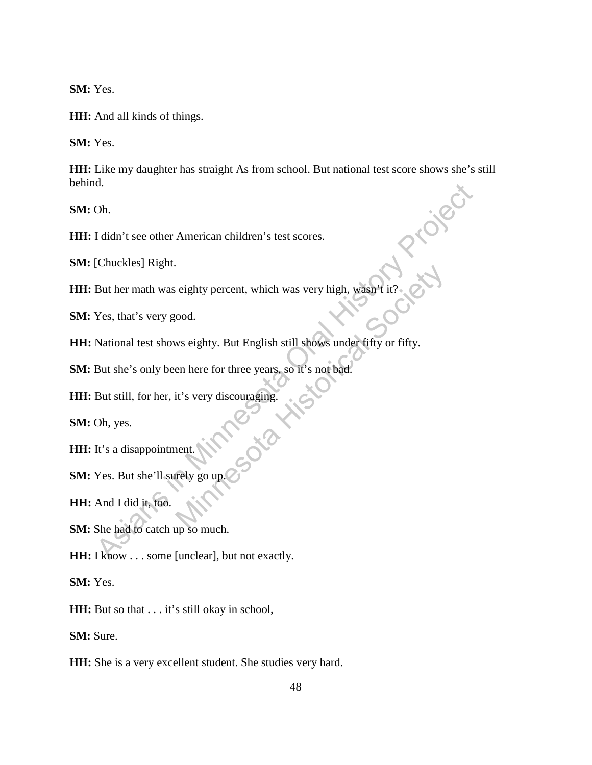**SM:** Yes.

**HH:** And all kinds of things.

**SM:** Yes.

**HH:** Like my daughter has straight As from school. But national test score shows she's still behind.

**SM:** Oh.

**HH:** I didn't see other American children's test scores.

**SM:** [Chuckles] Right.

**HH:** But her math was eighty percent, which was very high, wasn't it?

**SM:** Yes, that's very good.

**HH:** National test shows eighty. But English still shows under fifty or fifty. as<br>
As I didn't see other American children's test scores.<br>
IChuckles] Right.<br>
But her math was eighty percent, which was very high, wasn't it?<br>
Yes, that's very good.<br>
National test shows eighty. But English still shows u eighty percent, which was very high, wasn't it?<br>
cood.<br>
ws eighty. But English still shows under fifty or fifty.<br>
en here for three years, so it's not bad.<br>
it's very discouraging.<br>
it's very discouraging.<br>
ent.<br>
rely go u

**SM:** But she's only been here for three years, so it's not bad.

**HH:** But still, for her, it's very discouraging.

**SM:** Oh, yes.

**HH:** It's a disappointment.

**SM:** Yes. But she'll surely go

**HH:** And I did it, too.

**SM:** She had to catch up so much.

**HH:** I know . . . some [unclear], but not exactly.

**SM:** Yes.

**HH:** But so that . . . it's still okay in school,

**SM:** Sure.

**HH:** She is a very excellent student. She studies very hard.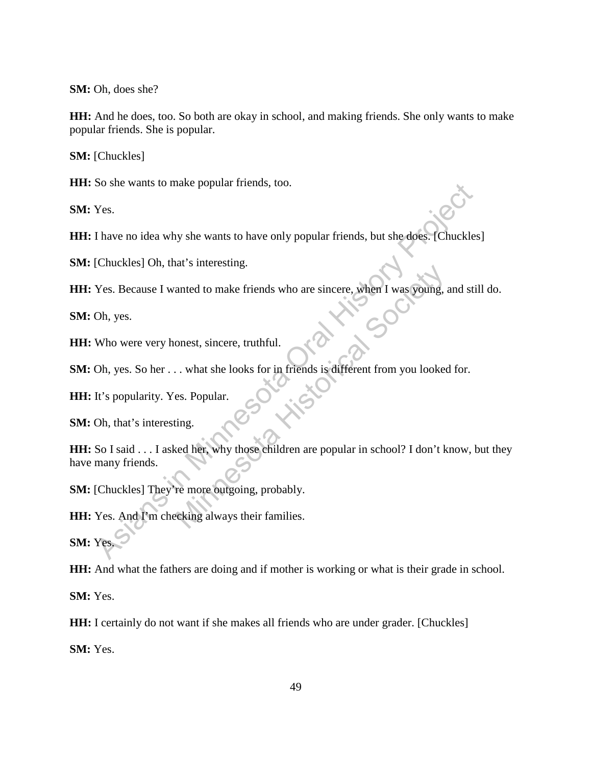**SM:** Oh, does she?

**HH:** And he does, too. So both are okay in school, and making friends. She only wants to make popular friends. She is popular.

**SM:** [Chuckles]

**HH:** So she wants to make popular friends, too.

**SM:** Yes.

**HH:** I have no idea why she wants to have only popular friends, but she does. [Chuckles]

**SM:** [Chuckles] Oh, that's interesting.

**HH:** Yes. Because I wanted to make friends who are sincere, when I was young, and still do.

**SM:** Oh, yes.

**HH:** Who were very honest, sincere, truthful.

**SM:** Oh, yes. So her . . . what she looks for in friends is different from you looked for.

**HH:** It's popularity. Yes. Popular.

**SM:** Oh, that's interesting.

**HH:** So I said . . . I asked her, why those children are popular in school? I don't know, but they have many friends. So she wants to make popular ments, too.<br>
Yes.<br>
Thave no idea why she wants to have only popular friends, but she does. Chuckles<br>
Chuckles] Oh, that's interesting.<br>
Yes. Because I wanted to make friends who are sincere, wh anted to make friends who are sincere, when I was young, and a sinceresing.<br>
onest, sincere, truthful.<br>
... what she looks for in friends is different from you looked<br>
es. Popular.<br>
ing.<br>
red her, why those children are po

**SM:** [Chuckles] They're more outgoing, probably.

HH: Yes. And I'm checking always their families.

**SM:** Yes.

**HH:** And what the fathers are doing and if mother is working or what is their grade in school.

**SM:** Yes.

**HH:** I certainly do not want if she makes all friends who are under grader. [Chuckles]

**SM:** Yes.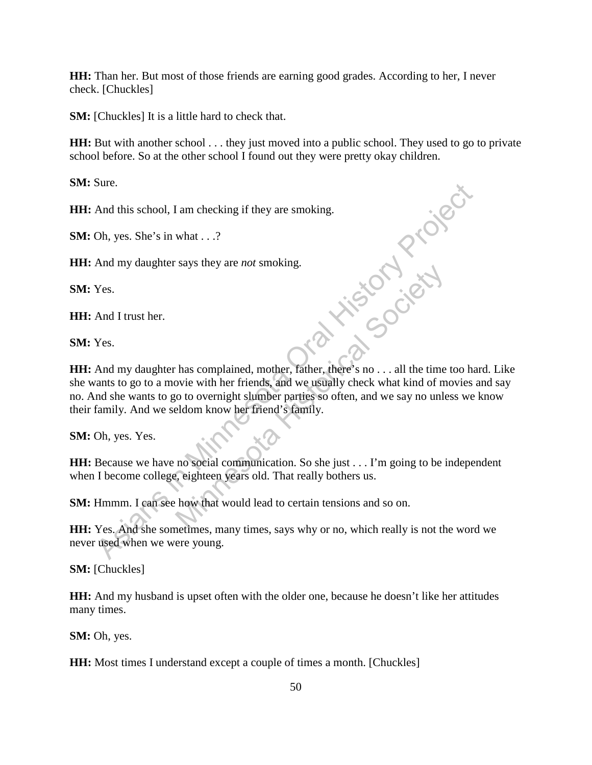**HH:** Than her. But most of those friends are earning good grades. According to her, I never check. [Chuckles]

**SM:** [Chuckles] It is a little hard to check that.

**HH:** But with another school . . . they just moved into a public school. They used to go to private school before. So at the other school I found out they were pretty okay children.

**SM:** Sure.

**HH:** And this school, I am checking if they are smoking.

**SM:** Oh, yes. She's in what . . .?

**HH:** And my daughter says they are *not* smoking.

**SM:** Yes.

**HH:** And I trust her.

**SM:** Yes.

**HH:** And my daughter has complained, mother, father, there's no . . . all the time too hard. Like she wants to go to a movie with her friends, and we usually check what kind of movies and say no. And she wants to go to overnight slumber parties so often, and we say no unless we know their family. And we seldom know her friend's family. Sure.<br>
And this school, I am checking if they are smoking.<br>
Oh, yes. She's in what ...?<br>
And my daughter says they are *not* smoking.<br>
Yes.<br>
And I trust her.<br>
Yes.<br>
And I trust her.<br>
Yes.<br>
And I trust here is no to a movie Minnesota Complained, mother, father, there's no ... all the time<br>view with her friends, and we usually check what kind of m<br>o to overnight slumber parties so often, and we say no unle<br>eldom know her friend's family.<br>no so

**SM:** Oh, yes. Yes.

**HH:** Because we have no social communication. So she just . . . I'm going to be independent when I become college, eighteen years old. That really bothers us.

**SM:** Hmmm. I can see how that would lead to certain tensions and so on.

**HH:** Yes. And she sometimes, many times, says why or no, which really is not the word we never used when we were young.

**SM:** [Chuckles]

**HH:** And my husband is upset often with the older one, because he doesn't like her attitudes many times.

**SM:** Oh, yes.

**HH:** Most times I understand except a couple of times a month. [Chuckles]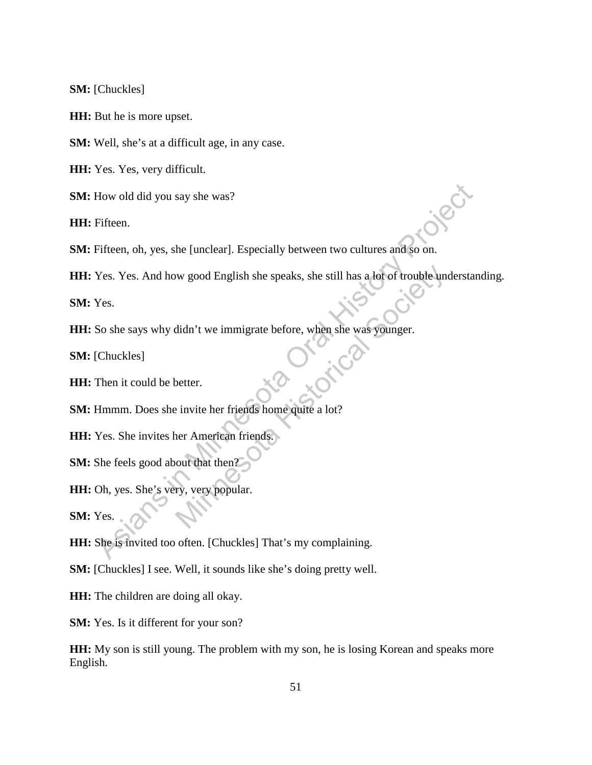**SM:** [Chuckles]

**HH:** But he is more upset.

**SM:** Well, she's at a difficult age, in any case.

**HH:** Yes. Yes, very difficult.

**SM:** How old did you say she was?

**HH:** Fifteen.

**SM:** Fifteen, oh, yes, she [unclear]. Especially between two cultures and so on.

**HH:** Yes. Yes. And how good English she speaks, she still has a lot of trouble understanding. How old did you say she was?<br>
Fifteen.<br>
Fifteen.<br>
Pifteen.<br>
And how good English she speaks, she still has a lot of trouble understan<br>
Yes.<br>
So she says why didn't we immigrate before, when she was younger.<br>
Chuckles!<br>
The We good English she speaks, she still has a lot of trouble undidn't we immigrate before, when she was younger.<br>
Southernly invite the friends home quite a lot?<br>
Next American friends.<br>
Next American friends.

**SM:** Yes.

**HH:** So she says why didn't we immigrate before, when she was younger.

**SM:** [Chuckles]

**HH:** Then it could be better.

**SM:** Hmmm. Does she invite her friends home quite a lot?

**HH:** Yes. She invites her American friends.

**SM:** She feels good about that then?

**HH:** Oh, yes. She's very, very popular.

**SM:** Yes.

**HH:** She is invited too often. [Chuckles] That's my complaining.

**SM:** [Chuckles] I see. Well, it sounds like she's doing pretty well.

**HH:** The children are doing all okay.

**SM:** Yes. Is it different for your son?

**HH:** My son is still young. The problem with my son, he is losing Korean and speaks more English.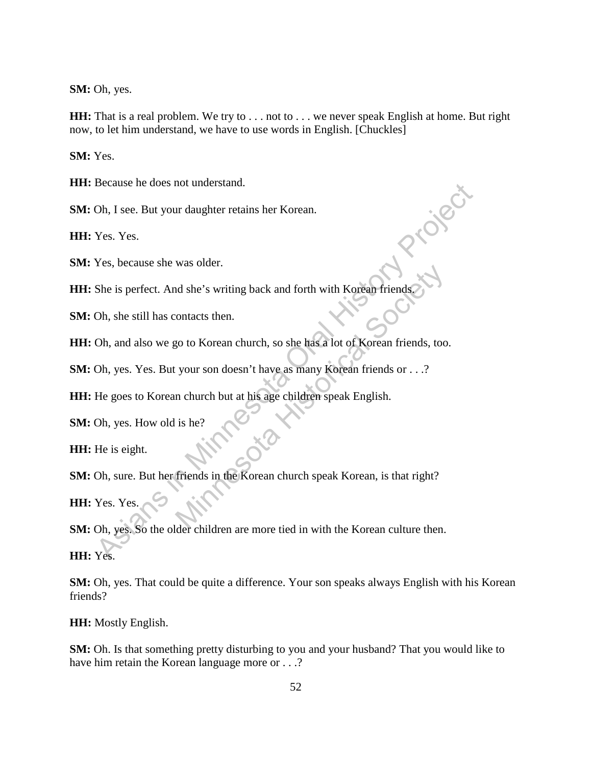**SM:** Oh, yes.

**HH:** That is a real problem. We try to . . . not to . . . we never speak English at home. But right now, to let him understand, we have to use words in English. [Chuckles]

**SM:** Yes.

**HH:** Because he does not understand.

**SM:** Oh, I see. But your daughter retains her Korean.

**HH:** Yes. Yes.

**SM:** Yes, because she was older.

**HH:** She is perfect. And she's writing back and forth with Korean friends.

**SM:** Oh, she still has contacts then.

**HH:** Oh, and also we go to Korean church, so she has a lot of Korean friends, too.

**SM:** Oh, yes. Yes. But your son doesn't have as many Korean friends or . . .?

**HH:** He goes to Korean church but at his age children speak English.

**SM:** Oh, yes. How old is he?

**HH:** He is eight.

**SM:** Oh, sure. But her friends in the Korean church speak Korean, is that right? Mas shace.<br>
In she's writing back and forth with Korean friends<br>
ontacts then.<br>
20 to Korean church, so she has a lot of Korean friends, too<br>
your son doesn't have as many Korean friends or . . .?<br>
11 church but at his age

**HH:** Yes. Yes.

**SM:** Oh, yes. So the older children are more tied in with the Korean culture then. Because ne does not understand.<br>
The secalist energy of the Washington Control Test of Control Test of Control Test Secalistic Secalistic Secalistic Secalistic Secalistic Secalistic Secalistic Secalistic Secalistic Secalis

**HH:** Yes.

**SM:** Oh, yes. That could be quite a difference. Your son speaks always English with his Korean friends?

**HH:** Mostly English.

**SM:** Oh. Is that something pretty disturbing to you and your husband? That you would like to have him retain the Korean language more or . . .?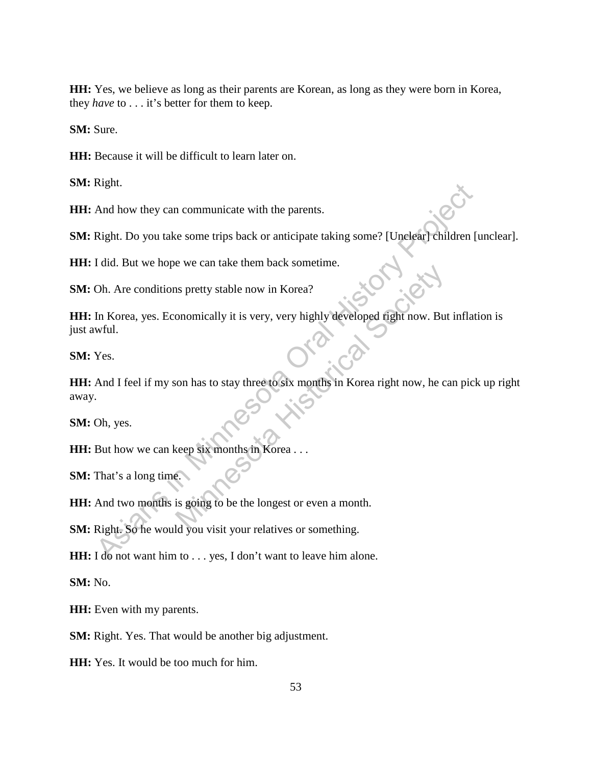**HH:** Yes, we believe as long as their parents are Korean, as long as they were born in Korea, they *have* to . . . it's better for them to keep.

**SM:** Sure.

**HH:** Because it will be difficult to learn later on.

**SM:** Right.

**HH:** And how they can communicate with the parents.

**SM:** Right. Do you take some trips back or anticipate taking some? [Unclear] children [unclear].

**HH:** I did. But we hope we can take them back sometime.

**SM:** Oh. Are conditions pretty stable now in Korea?

**HH:** In Korea, yes. Economically it is very, very highly developed right now. But inflation is just awful.

**SM:** Yes.

**HH:** And I feel if my son has to stay three to six months in Korea right now, he can pick up right away. And how they can communicate with the parents.<br>
Right. Do you take some trips back or anticipate taking some? [Unelear] children [t]<br>
Idid. But we hope we can take them back sometime.<br>
Oh. Are conditions pretty stable now Solid Society stable now in Korea?<br>
Solid Society stable now in Korea?<br>
Solid Society wery, very highly developed fight now. But<br>
something the society of the longest or even a month.<br>
Solid Society were platting as a comp

**SM:** Oh, yes.

**HH:** But how we can keep six months in Korea . . .

**SM:** That's a long time.

**HH:** And two months is going to be the longest or even a month.

**SM:** Right. So he would you visit your relatives or something.

**HH:** I do not want him to . . . yes, I don't want to leave him alone.

**SM:** No.

**HH:** Even with my parents.

**SM:** Right. Yes. That would be another big adjustment.

**HH:** Yes. It would be too much for him.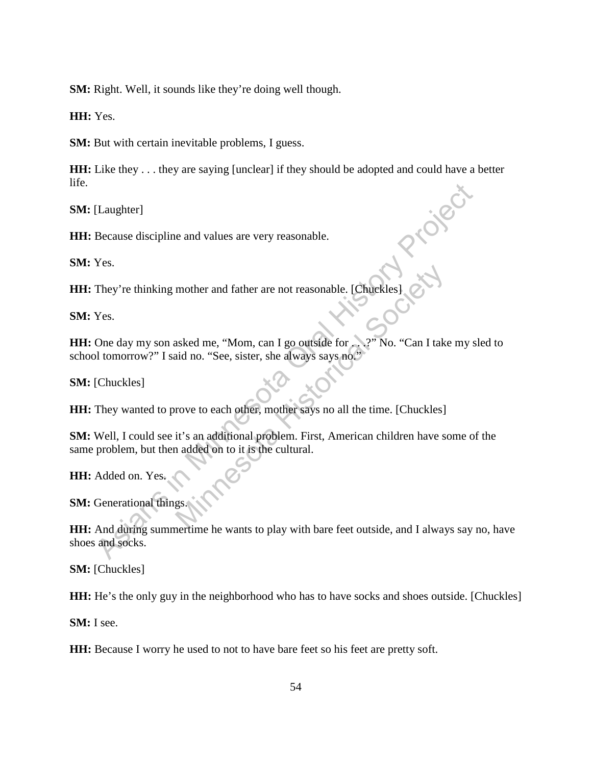**SM:** Right. Well, it sounds like they're doing well though.

**HH:** Yes.

**SM:** But with certain inevitable problems, I guess.

**HH:** Like they ... they are saying [unclear] if they should be adopted and could have a better life.

**SM:** [Laughter]

**HH:** Because discipline and values are very reasonable.

**SM:** Yes.

**HH:** Because discipline and values are very reasonable.<br> **SM:** Yes.<br> **HH:** They're thinking mother and father are not reasonable. [Chuckles]

**SM:** Yes.

**HH:** One day my son asked me, "Mom, can I go outside for . . .?" No. "Can I take my sled to school tomorrow?" I said no. "See, sister, she always says no."

**SM:** [Chuckles]

**HH:** They wanted to prove to each other, mother says no all the time. [Chuckles]

**SM:** Well, I could see it's an additional problem. First, American children have some of the same problem, but then added on to it is the cultural. [Laughter]<br>
Because discipline and values are very reasonable.<br>
Yes.<br>
They're thinking mother and father are not reasonable. [Chuckles]<br>
Yes.<br>
One day my son asked me, "Mom, can I go outside for all the community Projecti mother and father are not reasonable. [Chuckles]<br>
asked me, "Mom, can I go outside for ...?" No. "Can I take<br>
id no. "See, sister, she always says no."<br>
rove to each other, mother says no all the time. [Chuckles]<br>
it's an

**HH:** Added on. Yes.

**SM:** Generational things.

**HH:** And during summertime he wants to play with bare feet outside, and I always say no, have shoes and socks.

**SM:** [Chuckles]

**HH:** He's the only guy in the neighborhood who has to have socks and shoes outside. [Chuckles]

**SM:** I see.

**HH:** Because I worry he used to not to have bare feet so his feet are pretty soft.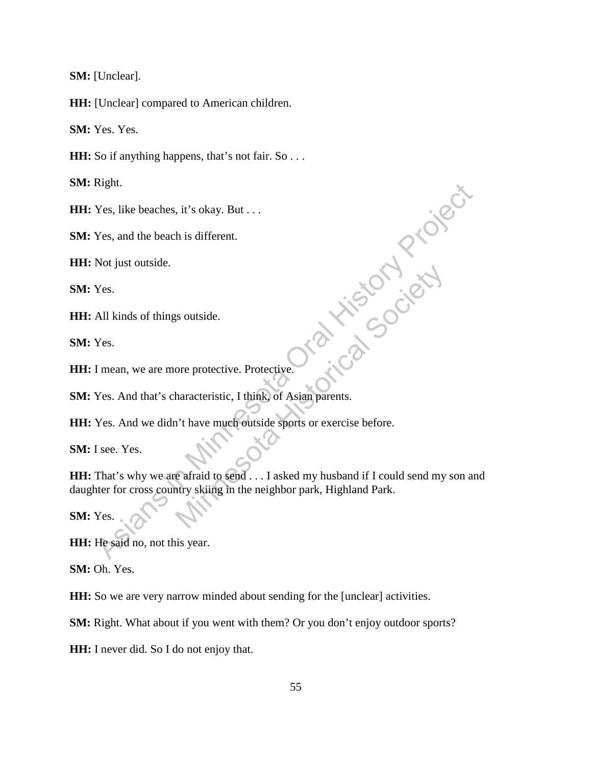**SM:** [Unclear].

**HH:** [Unclear] compared to American children.

**SM:** Yes. Yes.

**HH:** So if anything happens, that's not fair. So . . .

**SM:** Right.

**HH:** Yes, like beaches, it's okay. But . . .

**SM:** Yes, and the beach is different.

**HH:** Not just outside.

**SM:** Yes.

**HH:** All kinds of things outside.

**SM:** Yes.

**HH:** I mean, we are more protective. Protective.

**SM:** Yes. And that's characteristic, I think, of Asian parents.

**HH:** Yes. And we didn't have much outside sports or exercise before.

**SM:** I see. Yes.

**HH:** That's why we are afraid to send . . . I asked my husband if I could send my son and daughter for cross country skiing in the neighbor park, Highland Park. Nes, like beaches, it's okay. But ...<br>
Yes, and the beach is different.<br>
Not just outside.<br>
Yes.<br>
All kinds of things outside.<br>
Yes.<br>
All kinds of things outside.<br>
Yes.<br>
All kinds of things outside.<br>
Yes.<br>
And that's chara Societives outside.<br>
Society and the protective Protective Protective Contract Protective.<br>
The protective Asian parents.<br>
The partial to send . . . I asked my husband if I could send my<br>
Nature Society and the neighbor pa

**SM:** Yes.

**HH:** He said no, not this year.

**SM:** Oh. Yes.

**HH:** So we are very narrow minded about sending for the [unclear] activities.

**SM:** Right. What about if you went with them? Or you don't enjoy outdoor sports?

**HH:** I never did. So I do not enjoy that.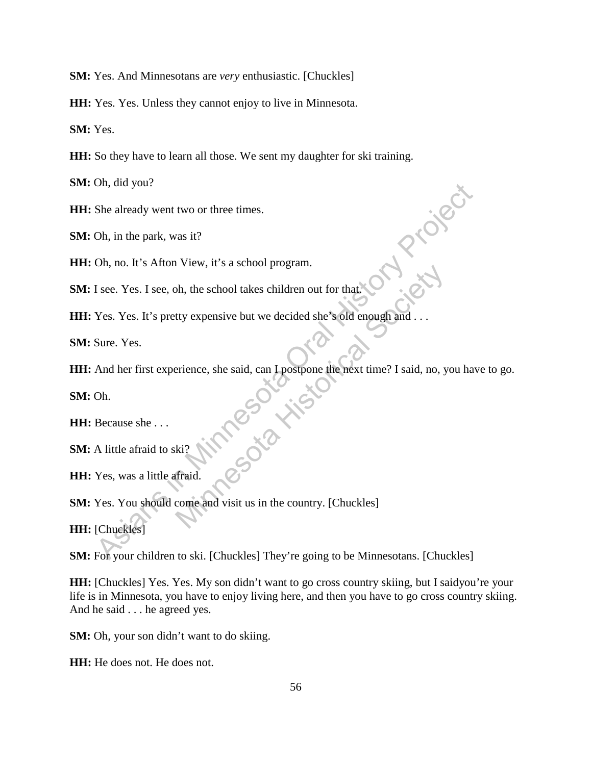**SM:** Yes. And Minnesotans are *very* enthusiastic. [Chuckles]

**HH:** Yes. Yes. Unless they cannot enjoy to live in Minnesota.

**SM:** Yes.

**HH:** So they have to learn all those. We sent my daughter for ski training.

**SM:** Oh, did you?

**HH:** She already went two or three times.

**SM:** Oh, in the park, was it?

**HH:** Oh, no. It's Afton View, it's a school program.

**SM:** I see. Yes. I see, oh, the school takes children out for that.

**HH:** Yes. Yes. It's pretty expensive but we decided she's old enough and . . .

**SM:** Sure. Yes.

**HH:** And her first experience, she said, can I postpone the next time? I said, no, you have to go. She already went two or three times.<br>
Oh, in the park, was it?<br>
Oh, no. It's Afton View, it's a school program.<br>
Tsee. Yes. If 's pretty expensive but we decided she's old enough and ...<br>
Sure. Yes.<br>
And her first experie Minnesota Historical Society

**SM:** Oh.

**HH:** Because she . . .

**SM:** A little afraid to ski?

**HH:** Yes, was a little afraid.

**SM:** Yes. You should come and visit us in the country. [Chuckles]

**HH:** [Chuckles]

**SM:** For your children to ski. [Chuckles] They're going to be Minnesotans. [Chuckles]

**HH:** [Chuckles] Yes. Yes. My son didn't want to go cross country skiing, but I saidyou're your life is in Minnesota, you have to enjoy living here, and then you have to go cross country skiing. And he said . . . he agreed yes.

**SM:** Oh, your son didn't want to do skiing.

**HH:** He does not. He does not.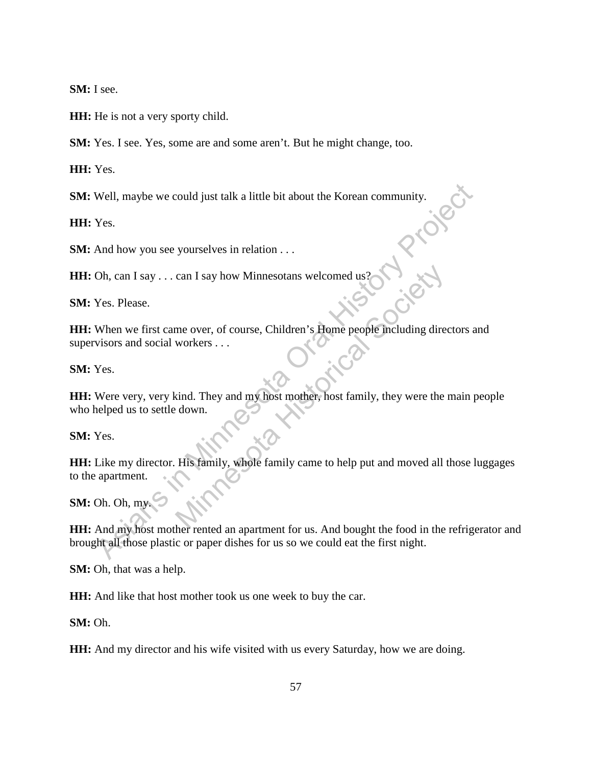**SM:** I see.

**HH:** He is not a very sporty child.

**SM:** Yes. I see. Yes, some are and some aren't. But he might change, too.

**HH:** Yes.

**SM:** Well, maybe we could just talk a little bit about the Korean community.

**HH:** Yes.

**SM:** And how you see yourselves in relation . . .

**HH:** Oh, can I say . . . can I say how Minnesotans welcomed us?

**SM:** Yes. Please.

**HH:** When we first came over, of course, Children's Home people including directors and supervisors and social workers . . .

**SM:** Yes.

**HH:** Were very, very kind. They and my host mother, host family, they were the main people who helped us to settle down. Well, maybe we could just talk a little bit about the Korean community.<br>
Yes.<br>
And how you see yourselves in relation ...<br>
Oh, can I say ... can I say how Minnesotans welcomed us?<br>
Yes. Please.<br>
When we first came over, of can I say how Minnesotans welcomed us?<br>
The over, of course, Children's Home people including direct<br>
workers ...<br>
Mind. They and my host mother, host family, they were the<br>
down.<br>
His family, whole family came to help put

**SM:** Yes.

**HH:** Like my director. His family, whole family came to help put and moved all those luggages to the apartment.

**SM:** Oh. Oh, my.

**HH:** And my host mother rented an apartment for us. And bought the food in the refrigerator and brought all those plastic or paper dishes for us so we could eat the first night.

**SM:** Oh, that was a help.

**HH:** And like that host mother took us one week to buy the car.

**SM:** Oh.

**HH:** And my director and his wife visited with us every Saturday, how we are doing.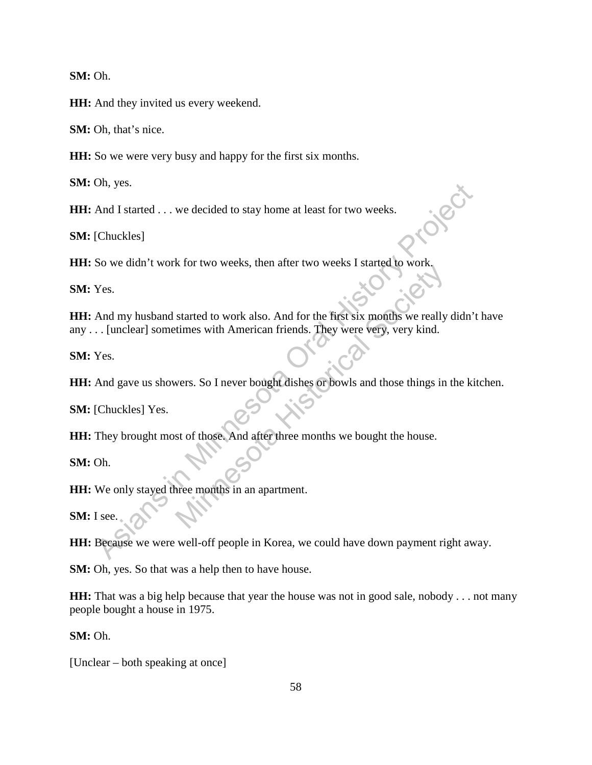**SM:** Oh.

**HH:** And they invited us every weekend.

**SM:** Oh, that's nice.

**HH:** So we were very busy and happy for the first six months.

**SM:** Oh, yes.

**HH:** And I started . . . we decided to stay home at least for two weeks.

**SM:** [Chuckles]

**HH:** So we didn't work for two weeks, then after two weeks I started to work

**SM:** Yes.

**HH:** And my husband started to work also. And for the first six months we really didn't have any . . . [unclear] sometimes with American friends. They were very, very kind. on, yes.<br>
And I started . . . we decided to stay home at least for two weeks.<br>
Chuckles]<br>
So we didn't work for two weeks, then after two weeks I started to work<br>
Yes.<br>
And my husband started to work also. And for the firs Started to work also. And for the first six months we really<br>times with American friends. They were very, very kind.<br>Wers. So I never bought dishes or bowls and those things in<br>st of those. And after three months we bought

**SM:** Yes.

**HH:** And gave us showers. So I never bought dishes or bowls and those things in the kitchen.

**SM:** [Chuckles] Yes.

**HH:** They brought most of those. And after three months we bought the house.

**SM:** Oh.

**HH:** We only stayed three months in an apartment.

**SM:** I see.

**HH:** Because we were well-off people in Korea, we could have down payment right away.

**SM:** Oh, yes. So that was a help then to have house.

**HH:** That was a big help because that year the house was not in good sale, nobody . . . not many people bought a house in 1975.

**SM:** Oh.

[Unclear – both speaking at once]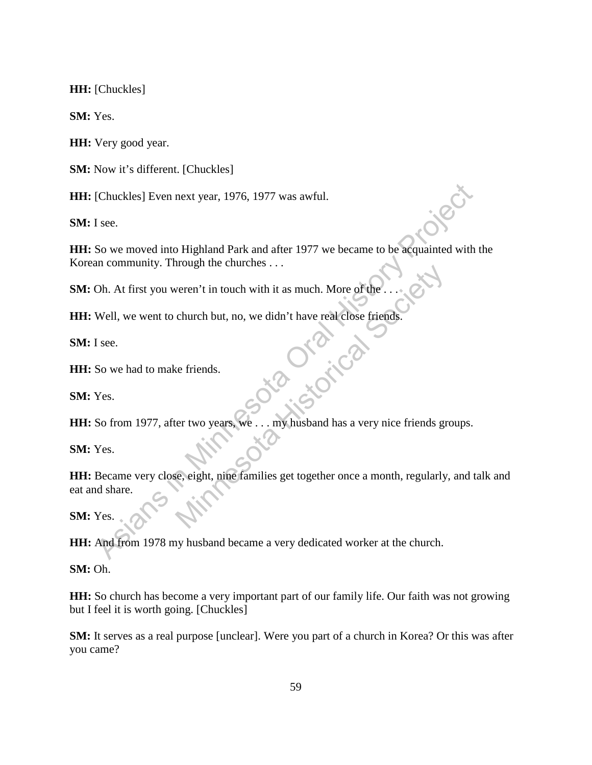**HH:** [Chuckles]

**SM:** Yes.

**HH:** Very good year.

**SM:** Now it's different. [Chuckles]

**HH:** [Chuckles] Even next year, 1976, 1977 was awful.

**SM:** I see.

**HH:** So we moved into Highland Park and after 1977 we became to be acquainted with the Korean community. Through the churches . . .

**SM:** Oh. At first you weren't in touch with it as much. More of the

**HH:** Well, we went to church but, no, we didn't have real close friends.

**SM:** I see.

**HH:** So we had to make friends.

**SM:** Yes.

HH: So from 1977, after two years, we . . . my husband has a very nice friends groups.

**SM:** Yes.

**HH:** Became very close, eight, nine families get together once a month, regularly, and talk and eat and share. Chuckles] Even next year, 1976, 1977 was awful.<br>
I see.<br>
So we moved into Highland Park and after 1977 we became to be acquainted with in community. Through the churchs ...<br>
Oh. At first you weren't in touch with it as muc Weren't in touch with it as much. More of the ... and the church but, no, we didn't have real close friends.

**SM:** Yes.

**HH:** And from 1978 my husband became a very dedicated worker at the church.

**SM:** Oh.

**HH:** So church has become a very important part of our family life. Our faith was not growing but I feel it is worth going. [Chuckles]

**SM:** It serves as a real purpose [unclear]. Were you part of a church in Korea? Or this was after you came?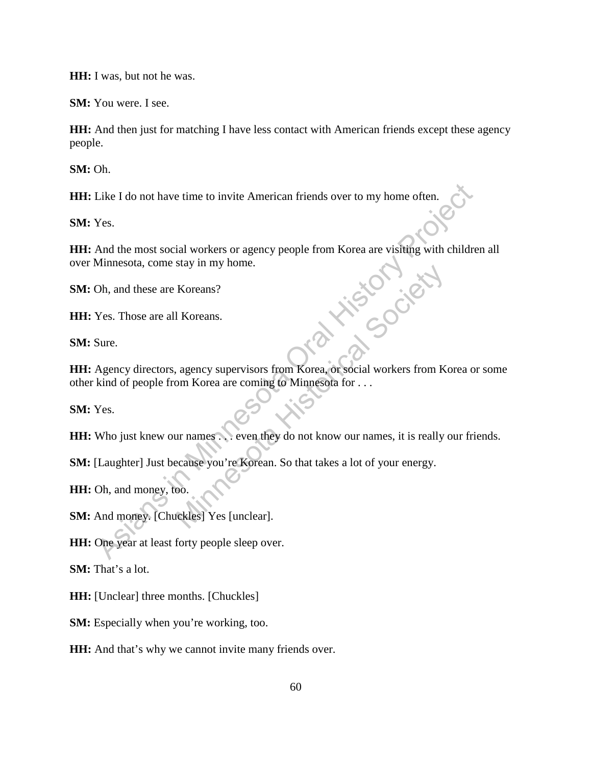**HH:** I was, but not he was.

**SM:** You were. I see.

**HH:** And then just for matching I have less contact with American friends except these agency people.

**SM:** Oh.

**HH:** Like I do not have time to invite American friends over to my home often.

**SM:** Yes.

**HH:** And the most social workers or agency people from Korea are visiting with children all over Minnesota, come stay in my home. Like I do not have time to invite American friends over to my home often.<br>
Yes.<br>
And the most social workers or agency people from Korea are visiting with childre<br>
Minnesota, come stay in my home.<br>
Oh, and these are Korean in Society

**SM:** Oh, and these are Koreans?

**HH:** Yes. Those are all Koreans.

**SM:** Sure.

**HH:** Agency directors, agency supervisors from Korea, or social workers from Korea or some other kind of people from Korea are coming to Minnesota for . . .

**SM:** Yes.

**HH:** Who just knew our names . . . even they do not know our names, it is really our friends.

**SM:** [Laughter] Just because you're Korean. So that takes a lot of your energy.

**HH:** Oh, and money, too.

**SM:** And money. [Chuckles] Yes [unclear].

**HH:** One year at least forty people sleep over.

**SM:** That's a lot.

**HH:** [Unclear] three months. [Chuckles]

**SM:** Especially when you're working, too.

**HH:** And that's why we cannot invite many friends over.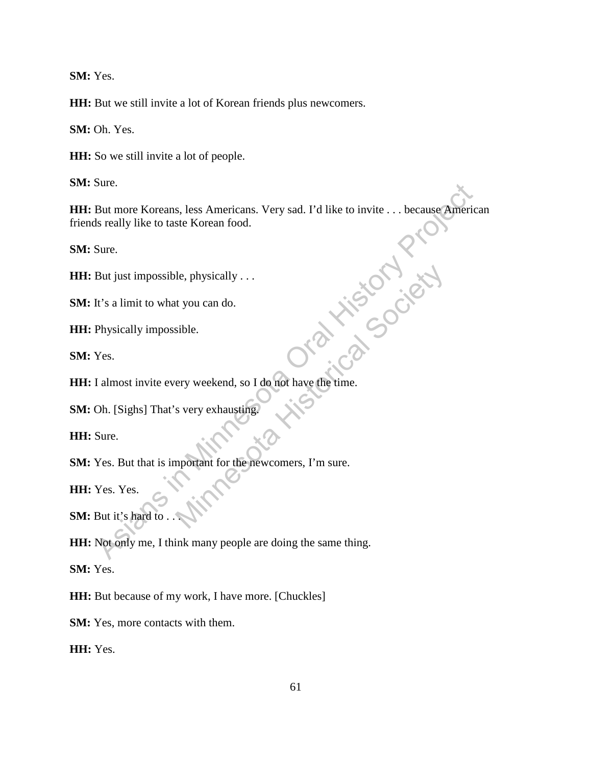**SM:** Yes.

**HH:** But we still invite a lot of Korean friends plus newcomers.

**SM:** Oh. Yes.

**HH:** So we still invite a lot of people.

**SM:** Sure.

**HH:** But more Koreans, less Americans. Very sad. I'd like to invite . . . because American friends really like to taste Korean food. But more Koreans, less Americans. Very sad. I'd like to invite . . . because America<br>
Si really like to taste Korean food.<br>
Sure.<br>
But just impossible, physically . . .<br>
It's a limit to what you can do.<br>
Physically impossi

**SM:** Sure.

**HH:** But just impossible, physically . . .

**SM:** It's a limit to what you can do.

**HH:** Physically impossible.

**SM:** Yes.

**HH:** I almost invite every weekend, so I do not have the time. le, physically ...<br>
at you can do.<br>
sible.<br>
ery weekend, so I do not have the time.<br>
s very exhausting.<br>
<br>
physical Society of the newcomers, I'm sure.

**SM:** Oh. [Sighs] That's very exhausting.

**HH:** Sure.

**SM:** Yes. But that is important for the newcomers, I'm sure.

**HH:** Yes. Yes.

SM: But it's hard to .

**HH:** Not only me, I think many people are doing the same thing.

**SM:** Yes.

**HH:** But because of my work, I have more. [Chuckles]

**SM:** Yes, more contacts with them.

**HH:** Yes.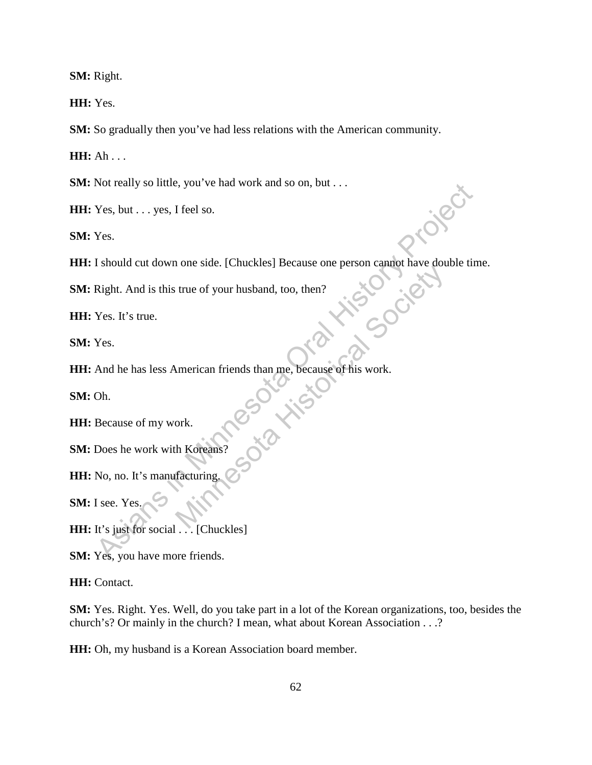**SM:** Right.

**HH:** Yes.

**SM:** So gradually then you've had less relations with the American community.

**HH:** Ah . . .

**SM:** Not really so little, you've had work and so on, but . . .

**HH:** Yes, but . . . yes, I feel so.

**SM:** Yes.

**HH:** I should cut down one side. [Chuckles] Because one person cannot have double time. Not reality so ntile, you ve had work and so on, but...<br>
Yes, but... yes, I feel so.<br>
Yes.<br>
I should cut down one side. [Chuckles] Because one person cannot have double tin<br>
Right. And is this true of your husband, too, th

**SM:** Right. And is this true of your husband, too, then?

**HH:** Yes. It's true.

**SM:** Yes.

**HH:** And he has less American friends than me, because of his work. usband, too, then?<br>
than me, because of his work.

**SM:** Oh.

**HH:** Because of my work.

**SM:** Does he work with Koreans

**HH:** No, no. It's manufacturing.

**SM:** I see. Yes.

**HH:** It's just for social . . . [Chuckles]

**SM:** Yes, you have more friends.

**HH:** Contact.

**SM:** Yes. Right. Yes. Well, do you take part in a lot of the Korean organizations, too, besides the church's? Or mainly in the church? I mean, what about Korean Association . . .?

**HH:** Oh, my husband is a Korean Association board member.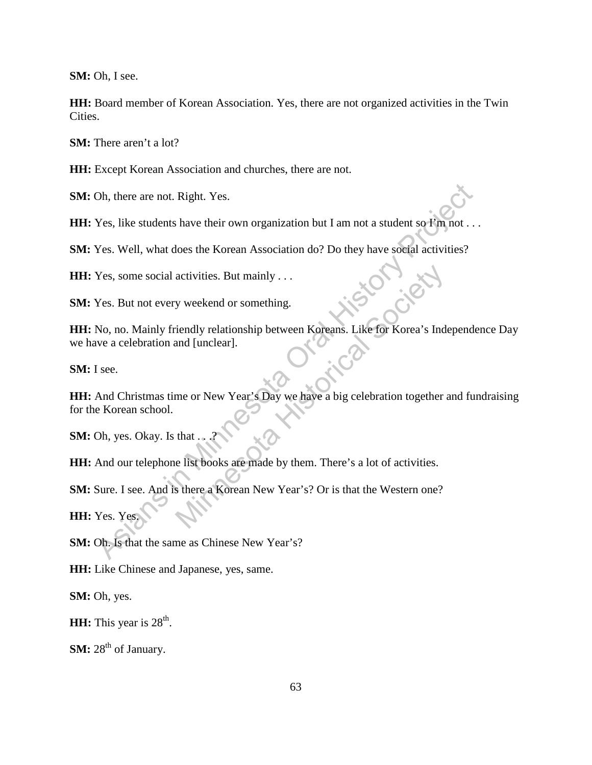**SM:** Oh, I see.

**HH:** Board member of Korean Association. Yes, there are not organized activities in the Twin Cities.

**SM:** There aren't a lot?

**HH:** Except Korean Association and churches, there are not.

**SM:** Oh, there are not. Right. Yes.

HH: Yes, like students have their own organization but I am not a student so I'm not . . .

**SM:** Yes. Well, what does the Korean Association do? Do they have social activities?

**HH:** Yes, some social activities. But mainly . . .

**SM:** Yes. But not every weekend or something.

HH: No, no. Mainly friendly relationship between Koreans. Like for Korea's Independence Day we have a celebration and [unclear].

**SM:** I see.

**HH:** And Christmas time or New Year's Day we have a big celebration together and fundraising for the Korean school. Oh, there are not. Right. Yes.<br>
Yes, like students have their own organization but I am not a student so Km not . .<br>
Yes. Well, what does the Korean Association do? Do they have sootal activities?<br>
Yes, some social activit activities. But mainly . . .<br>
y weekend or something.<br>
iendly relationship between Koreans. Like for Korea's Indianal [unclear].<br>
me or New Year's Day we have a big celebration together a<br>
that . . .?<br>
e list books are mad

**SM:** Oh, yes. Okay. Is that ...

**HH:** And our telephone list books are made by them. There's a lot of activities.

**SM:** Sure. I see. And is there a Korean New Year's? Or is that the Western one?

**HH:** Yes. Yes.

**SM:** Oh. Is that the same as Chinese New Year's?

**HH:** Like Chinese and Japanese, yes, same.

**SM:** Oh, yes.

**HH:** This year is 28<sup>th</sup>.

**SM:** 28<sup>th</sup> of January.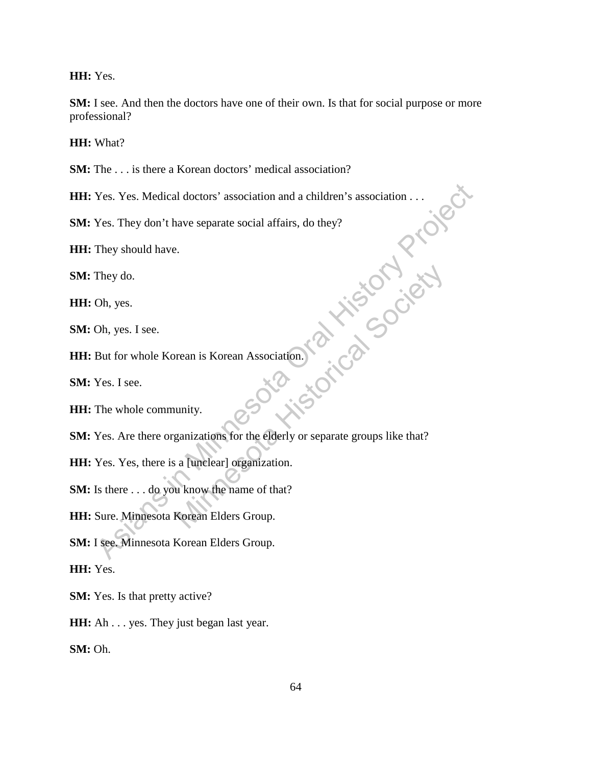**HH:** Yes.

**SM:** I see. And then the doctors have one of their own. Is that for social purpose or more professional?

**HH:** What?

**SM:** The ... is there a Korean doctors' medical association?

**HH:** Yes. Yes. Medical doctors' association and a children's association . . .

**SM:** Yes. They don't have separate social affairs, do they?

**HH:** They should have.

**SM:** They do.

**HH:** Oh, yes.

**SM:** Oh, yes. I see.

**HH:** But for whole Korean is Korean Association.

**SM:** Yes. I see.

**HH:** The whole community.

**SM:** Yes. Are there organizations for the elderly or separate groups like that? Yes. Yes. Medical doctors' association and a children's association ...<br>
Yes. They don't have separate social affairs, do they?<br>
They should have.<br>
They do.<br>
Oh, yes.<br>
The whole Korean is Korean Association.<br>
Yes. I see.<br> Frean is Korean Association.<br>
The elderly or separate groups like that?<br>
a [unelear] organization.<br>
a know the name of that?<br>
Korean Elders Group.

**HH:** Yes. Yes, there is a [unclear] organization.

**SM:** Is there . . . do you know the name of that?

**HH:** Sure. Minnesota Korean Elders Group.

**SM:** I see. Minnesota Korean Elders Group.

**HH:** Yes.

**SM:** Yes. Is that pretty active?

**HH:** Ah . . . yes. They just began last year.

**SM:** Oh.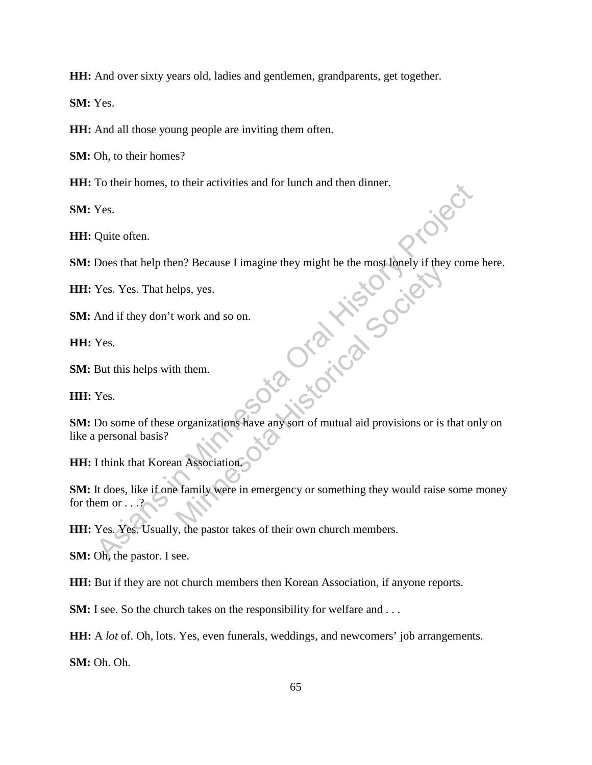**HH:** And over sixty years old, ladies and gentlemen, grandparents, get together.

**SM:** Yes.

**HH:** And all those young people are inviting them often.

**SM:** Oh, to their homes?

**HH:** To their homes, to their activities and for lunch and then dinner.

**SM:** Yes.

**HH:** Quite often.

**SM:** Does that help then? Because I imagine they might be the most lonely if they come here.

**HH:** Yes. Yes. That helps, yes.

**SM:** And if they don't work and so on.

**HH:** Yes.

**SM:** But this helps with them.

**HH:** Yes.

**SM:** Do some of these organizations have any sort of mutual aid provisions or is that only on like a personal basis? For their nomes, to their activities and for their and then dinner.<br>
Yes.<br>
Quite often.<br>
Does that help then? Because I imagine they might be the most lonely if they come<br>
Yes. Yes. That helps, yes.<br>
And if they don't work Minnesota Historical Society Angles<br>
Minnesota Andrea Society<br>
Minnesota Angles<br>
Minnesota Historical Society<br>
Minnesota Historical Society<br>
Minnesota Historical Society<br>
Minnesota Historical Society<br>
Minnesota Historical

**HH:** I think that Korean Association.

**SM:** It does, like if one family were in emergency or something they would raise some money for them or . . .?

**HH:** Yes. Yes. Usually, the pastor takes of their own church members.

**SM:** Oh, the pastor. I see.

**HH:** But if they are not church members then Korean Association, if anyone reports.

**SM:** I see. So the church takes on the responsibility for welfare and ...

**HH:** A *lot* of. Oh, lots. Yes, even funerals, weddings, and newcomers' job arrangements.

**SM:** Oh. Oh.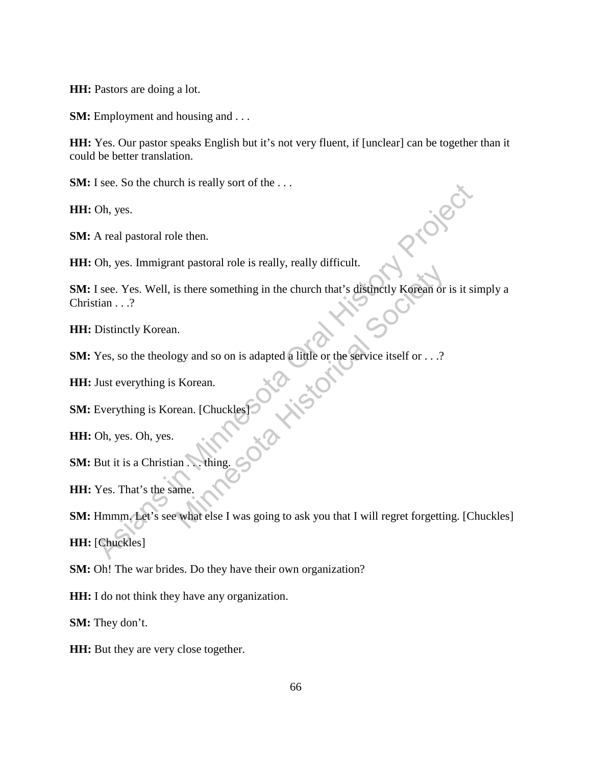**HH:** Pastors are doing a lot.

**SM:** Employment and housing and . . .

**HH:** Yes. Our pastor speaks English but it's not very fluent, if [unclear] can be together than it could be better translation.

**SM:** I see. So the church is really sort of the ...

**HH:** Oh, yes.

**SM:** A real pastoral role then.

**HH:** Oh, yes. Immigrant pastoral role is really, really difficult.

**SM:** I see. Yes. Well, is there something in the church that's distinctly Korean or is it simply a Christian . . .? Solar Fore Society, Fearly annuality.<br>
Solar Fore Society Reference is the Solar Control of the Service itself or ...?<br>
Korean.<br>
The Society Control of the Service itself or ...?<br>
Korean.<br>
IChuckles Control of the Service

**HH:** Distinctly Korean.

**SM:** Yes, so the theology and so on is adapted a little or the service itself or . . .?

**HH:** Just everything is Korean.

**SM:** Everything is Korean. [Chuckles]

**HH:** Oh, yes. Oh, yes.

**SM:** But it is a Christian . . . thing.

**HH:** Yes. That's the same.

**SM:** Hmmm. Let's see what else I was going to ask you that I will regret forgetting. [Chuckles] **HH:** [Chuckles] See. So the entrent is really sort of the ...<br>
A real pastoral role then.<br>
Oh, yes. Immigrant pastoral role is really, really difficult.<br>
Sols. There is much that's distinctly Korean or is it sites<br>
The see. Yes. Well, is

**SM:** Oh! The war brides. Do they have their own organization?

**HH:** I do not think they have any organization.

**SM:** They don't.

**HH:** But they are very close together.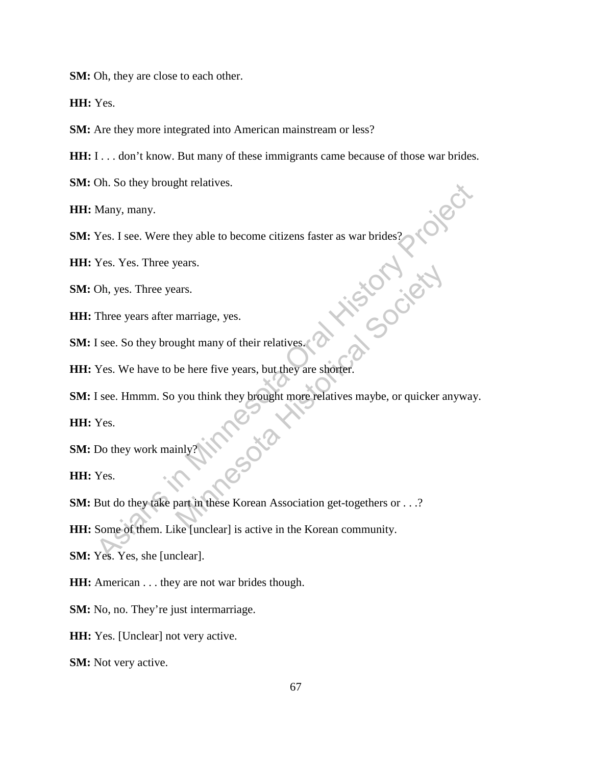**SM:** Oh, they are close to each other.

**HH:** Yes.

**SM:** Are they more integrated into American mainstream or less?

**HH:** I . . . don't know. But many of these immigrants came because of those war brides.

**SM:** Oh. So they brought relatives.

**HH:** Many, many.

**SM:** Yes. I see. Were they able to become citizens faster as war brides?

**HH:** Yes. Yes. Three years.

**SM:** Oh, yes. Three years.

**HH:** Three years after marriage, yes.

**SM:** I see. So they brought many of their relatives.

HH: Yes. We have to be here five years, but they are shorter.

**SM:** I see. Hmmm. So you think they brought more relatives maybe, or quicker anyway. Many, many.<br>
Many, many.<br>
Yes. I see. Were they able to become citizens faster as war brides?<br>
Yes. Yes. Three years.<br>
Three years after marriage, yes.<br>
I see. So they brought many of their relatives.<br>
Yes. We have to be h Art marriage, yes.<br>
want many of their relatives.<br>
be here five years, but they are shorter.<br>
you think they brought more relatives maybe, or quicker a<br>
sociation for the Korean Association get-togethers or . . .?<br>
lead un

**HH:** Yes.

**SM:** Do they work mainly?

**HH:** Yes.

**SM:** But do they take part in these Korean Association get-togethers or . . .?

**HH:** Some of them. Like [unclear] is active in the Korean community.

**SM:** Yes. Yes, she [unclear].

**HH:** American . . . they are not war brides though.

**SM:** No, no. They're just intermarriage.

**HH:** Yes. [Unclear] not very active.

**SM:** Not very active.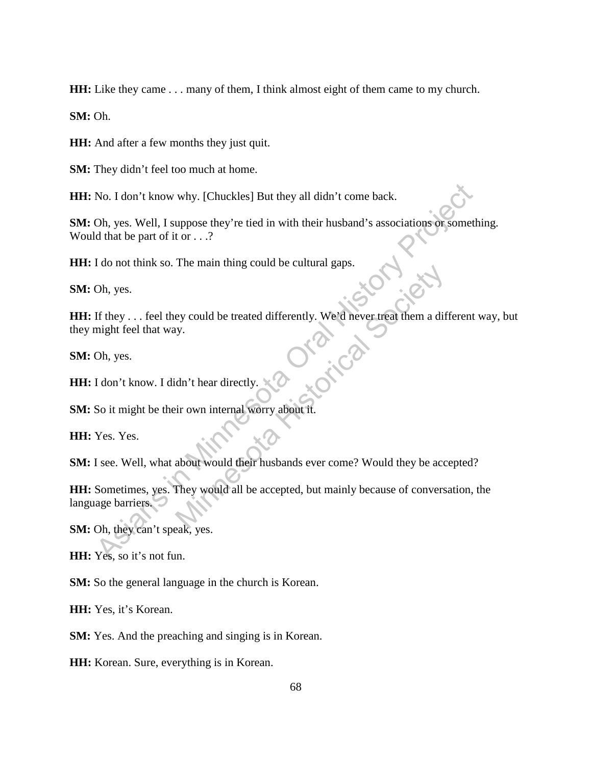**HH:** Like they came . . . many of them, I think almost eight of them came to my church.

**SM:** Oh.

**HH:** And after a few months they just quit.

**SM:** They didn't feel too much at home.

**HH:** No. I don't know why. [Chuckles] But they all didn't come back.

**SM:** Oh, yes. Well, I suppose they're tied in with their husband's associations or something. Would that be part of it or . . .?

**HH:** I do not think so. The main thing could be cultural gaps.

**SM:** Oh, yes.

**HH:** If they . . . feel they could be treated differently. We'd never treat them a different way, but they might feel that way.

**SM:** Oh, yes.

HH: I don't know. I didn't hear directly.

**SM:** So it might be their own internal worry about it.

**HH:** Yes. Yes.

**SM:** I see. Well, what about would their husbands ever come? Would they be accepted?

**HH:** Sometimes, yes. They would all be accepted, but mainly because of conversation, the language barriers. No. I don't know why. [Chuckles] But they all didn't come back.<br>
Oh, yes. Well, I suppose they're tied in with their husband's associations or someth<br>
d that be part of it or . . .?<br>
I do not think so. The main thing could The main ding colla be trated differently. We'd never treat them a differently.<br>
Let you could be treated differently. We'd never treat them a different<br>
of the society.<br>
The word of the society of the society of the socie

**SM:** Oh, they can't speak, yes.

**HH:** Yes, so it's not fun.

**SM:** So the general language in the church is Korean.

**HH:** Yes, it's Korean.

**SM:** Yes. And the preaching and singing is in Korean.

**HH:** Korean. Sure, everything is in Korean.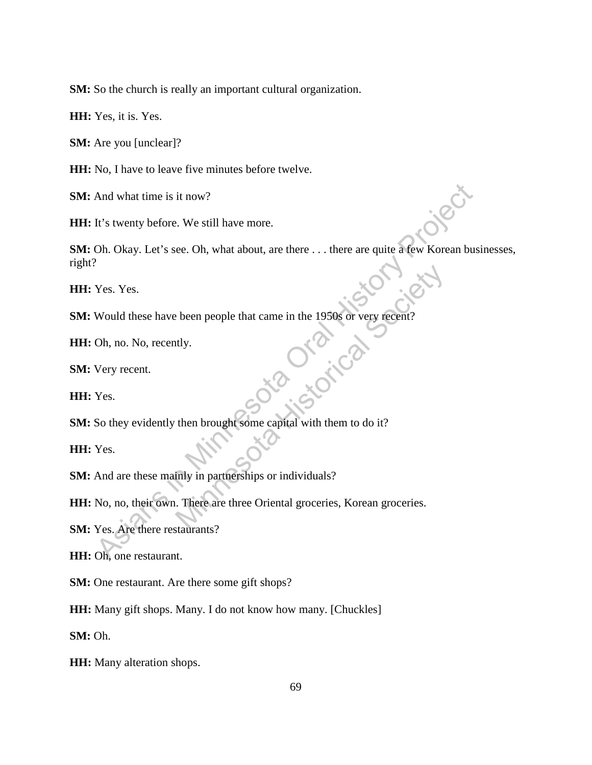**SM:** So the church is really an important cultural organization.

**HH:** Yes, it is. Yes.

**SM:** Are you [unclear]?

**HH:** No, I have to leave five minutes before twelve.

**SM:** And what time is it now?

HH: It's twenty before. We still have more.

SM: Oh. Okay. Let's see. Oh, what about, are there . . . there are quite a few Korean businesses, right? And what time is it now?<br>
It's twenty before. We still have more.<br>
Oh. Okay. Let's see. Oh, what about, are there ... there are quite a few Korean bus<br>
Yes. Yes.<br>
Would these have been people that came in the 1950s or very

**HH:** Yes. Yes.

**SM:** Would these have been people that came in the 1950s or very recent?<br> **HH:** Oh, no. No, recently.<br> **SM:** Very recent.

**HH:** Oh, no. No, recently.

**SM:** Very recent.

**HH:** Yes.

**SM:** So they evidently then brought some capital with them to do it?

**HH:** Yes.

**SM:** And are these mainly in partnerships or individuals?

**HH:** No, no, their own. There are three Oriental groceries, Korean groceries. Motocompoorted that came in the 1950s or very recent?<br>
Minutes Alternative Contract Contract Contract Contract Contract Contract Contract Contract Contract Contract Contract Contract Contract Contract Contract Contract Con

**SM:** Yes. Are there restaurants?

**HH:** Oh, one restaurant.

**SM:** One restaurant. Are there some gift shops?

**HH:** Many gift shops. Many. I do not know how many. [Chuckles]

**SM:** Oh.

**HH:** Many alteration shops.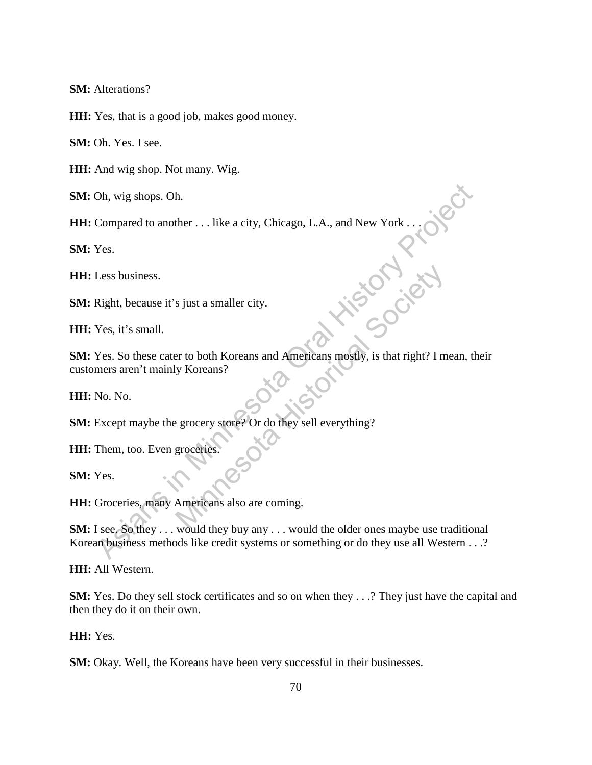**SM:** Alterations?

**HH:** Yes, that is a good job, makes good money.

**SM:** Oh. Yes. I see.

**HH:** And wig shop. Not many. Wig.

**SM:** Oh, wig shops. Oh.

**HH:** Compared to another . . . like a city, Chicago, L.A., and New York . . .

**SM:** Yes.

**HH:** Less business.

**SM:** Right, because it's just a smaller city.

**HH:** Yes, it's small.

**SM:** Yes. So these cater to both Koreans and Americans mostly, is that right? I mean, their customers aren't mainly Koreans? Oh, wig shops. Oh.<br>
Compared to another . . . like a city, Chicago, L.A., and New York . . . . . . . . . . .<br>
Yes.<br>
Less business.<br>
Right, because it's just a smaller city.<br>
Yes, it's small.<br>
Yes. So these cater to both Ko Society<br>
Society<br>
Society<br>
Society<br>
Society<br>
Society<br>
Society<br>
Minnesota History<br>
Society<br>
Society<br>
Society<br>
Society<br>
Society<br>
Society<br>
Society<br>
Society<br>
Society<br>
Society<br>
Society<br>
Society<br>
Society<br>
Society<br>
Society<br>
Socie

**HH:** No. No.

**SM:** Except maybe the grocery store? Or do they sell everything?

**HH:** Them, too. Even groceries

**SM:** Yes.

**HH:** Groceries, many Americans also are coming.

**SM:** I see. So they . . . would they buy any . . . would the older ones maybe use traditional Korean business methods like credit systems or something or do they use all Western . . .?

**HH:** All Western.

**SM:** Yes. Do they sell stock certificates and so on when they . . .? They just have the capital and then they do it on their own.

**HH:** Yes.

**SM:** Okay. Well, the Koreans have been very successful in their businesses.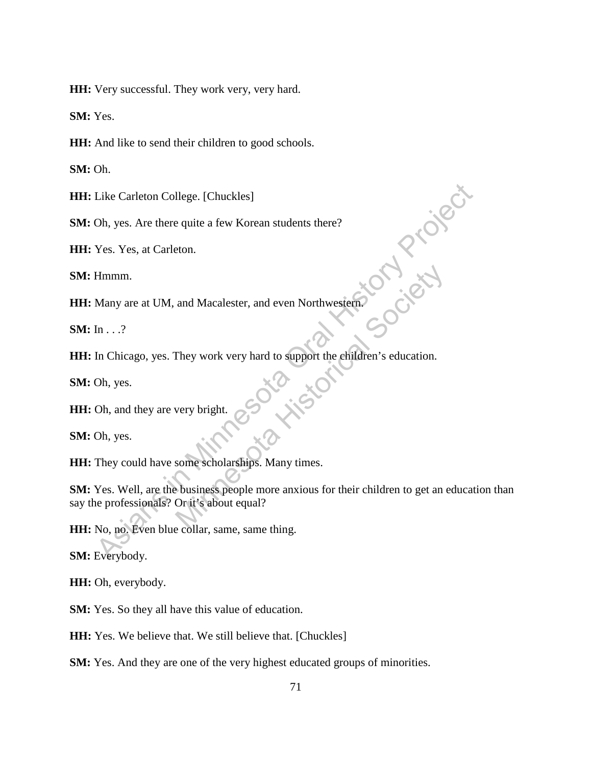**HH:** Very successful. They work very, very hard.

**SM:** Yes.

**HH:** And like to send their children to good schools.

**SM:** Oh.

**HH:** Like Carleton College. [Chuckles]

**SM:** Oh, yes. Are there quite a few Korean students there?

**HH:** Yes. Yes, at Carleton.

**SM:** Hmmm.

**HH:** Many are at UM, and Macalester, and even Northwestern.

**SM:** In . . .?

**HH:** In Chicago, yes. They work very hard to support the children's education.

**SM:** Oh, yes.

**HH:** Oh, and they are very bright.

**SM:** Oh, yes.

**HH:** They could have some scholarships. Many times.

**SM:** Yes. Well, are the business people more anxious for their children to get an education than say the professionals? Or it's about equal? Like Carleton College. [Chuckles]<br>
Oh, yes. Are there quite a few Korean students there?<br>
Yes. Yes, at Carleton.<br>
Hmmm.<br>
Many are at UM, and Macalester, and even Northwestern<br>
In ...?<br>
In Chicago, yes. They work very hard and Macalester, and even Northwestern<br>
They work very hard to support the children's education.<br>
Very bright.<br>
Society of the children's education.<br>
Society bright.<br>
Society of the children's education.<br>
Society bright.<br>
S

**HH:** No, no. Even blue collar, same, same thing.

**SM:** Everybody.

**HH:** Oh, everybody.

**SM:** Yes. So they all have this value of education.

**HH:** Yes. We believe that. We still believe that. [Chuckles]

**SM:** Yes. And they are one of the very highest educated groups of minorities.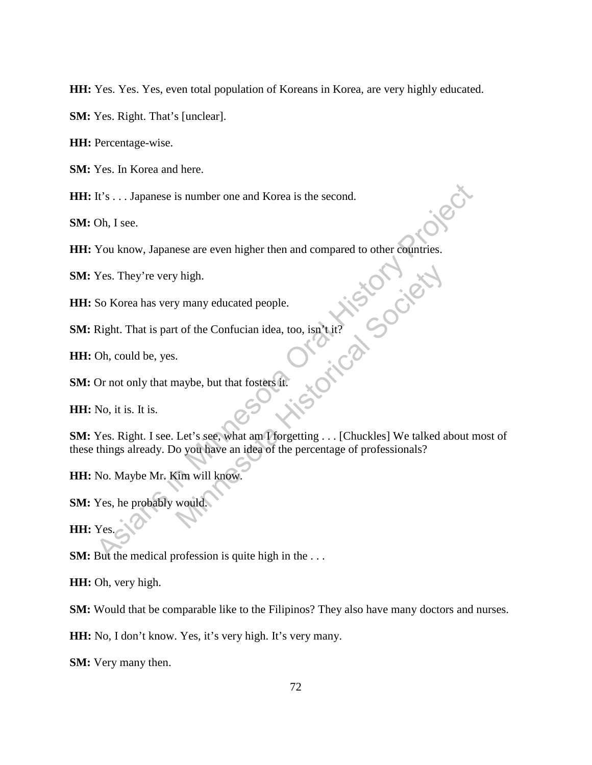**HH:** Yes. Yes. Yes, even total population of Koreans in Korea, are very highly educated.

**SM:** Yes. Right. That's [unclear].

**HH:** Percentage-wise.

**SM:** Yes. In Korea and here.

**HH:** It's . . . Japanese is number one and Korea is the second.

**SM:** Oh, I see.

**HH:** You know, Japanese are even higher then and compared to other countries.

**SM:** Yes. They're very high.

**HH:** So Korea has very many educated people.

**SM:** Right. That is part of the Confucian idea, too, isn't it?

**HH:** Oh, could be, yes.

**SM:** Or not only that maybe, but that fosters it.

**HH:** No, it is. It is.

**SM:** Yes. Right. I see. Let's see, what am I forgetting . . . [Chuckles] We talked about most of these things already. Do you have an idea of the percentage of professionals? It's ... Japanese is number one and Korea is the second.<br>
Oh, I see.<br>
You know, Japanese are even higher then and compared to other countries.<br>
Yes. They're very high.<br>
So Korea has very many educated people.<br>
Right. That w many educated people.<br>
t of the Confucian idea, too, isn't it?<br>
.<br>
haybe, but that fosters it.<br>
Let's see, what am I forgetting . . . [Chuckles] We talked a<br>
o you have an idea of the percentage of professionals?<br>
tim w

**HH:** No. Maybe Mr. Kim will know.

**SM:** Yes, he probably would.

**HH:** Yes.

**SM:** But the medical profession is quite high in the ...

**HH:** Oh, very high.

**SM:** Would that be comparable like to the Filipinos? They also have many doctors and nurses.

**HH:** No, I don't know. Yes, it's very high. It's very many.

**SM:** Very many then.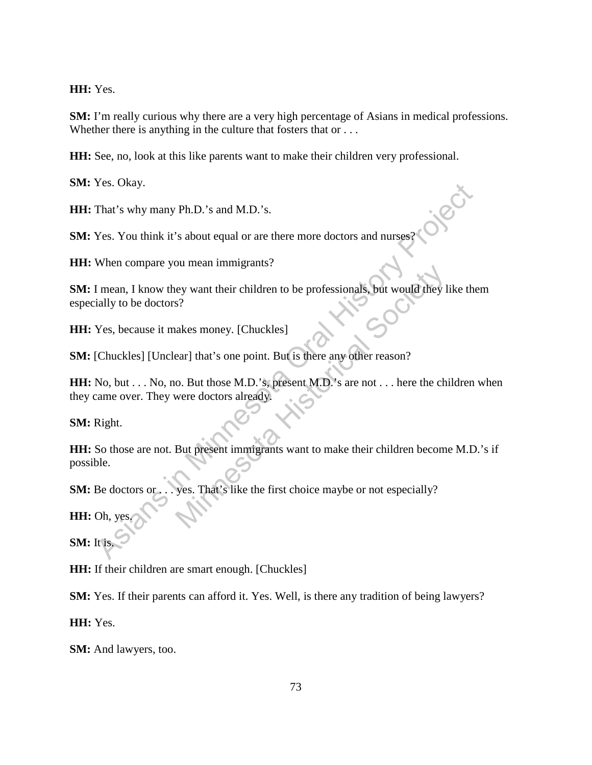**HH:** Yes.

**SM:** I'm really curious why there are a very high percentage of Asians in medical professions. Whether there is anything in the culture that fosters that or . . .

**HH:** See, no, look at this like parents want to make their children very professional.

**SM:** Yes. Okay.

**HH:** That's why many Ph.D.'s and M.D.'s.

**SM:** Yes. You think it's about equal or are there more doctors and nurses?

**HH:** When compare you mean immigrants?

**SM:** I mean, I know they want their children to be professionals, but would they like them especially to be doctors?

**HH:** Yes, because it makes money. [Chuckles]

**SM:** [Chuckles] [Unclear] that's one point. But is there any other reason?

**HH:** No, but . . . No, no. But those M.D.'s, present M.D.'s are not . . . here the children when they came over. They were doctors already. That's why many Ph.D.'s and M.D.'s.<br>
That's why many Ph.D.'s and M.D.'s.<br>
Yes. You think it's about equal or are there more doctors and nurses?<br>
When compare you mean immigrants?<br>
When compare you mean immigrants?<br>
The con ey want their children to be professionals, but would they 1<br>
s?<br>
akes money. [Chuckles]<br>
ear] that's one point. But is there any other reason?<br>
o. But those M.D.'s, present M.D.'s are not . . . here the ch<br>
were doctors a

**SM:** Right.

**HH:** So those are not. But present immigrants want to make their children become M.D.'s if possible.

**SM:** Be doctors or . . . yes. That's like the first choice maybe or not especially?

**HH:** Oh, yes.

**SM:** It is.

**HH:** If their children are smart enough. [Chuckles]

**SM:** Yes. If their parents can afford it. Yes. Well, is there any tradition of being lawyers?

**HH:** Yes.

**SM:** And lawyers, too.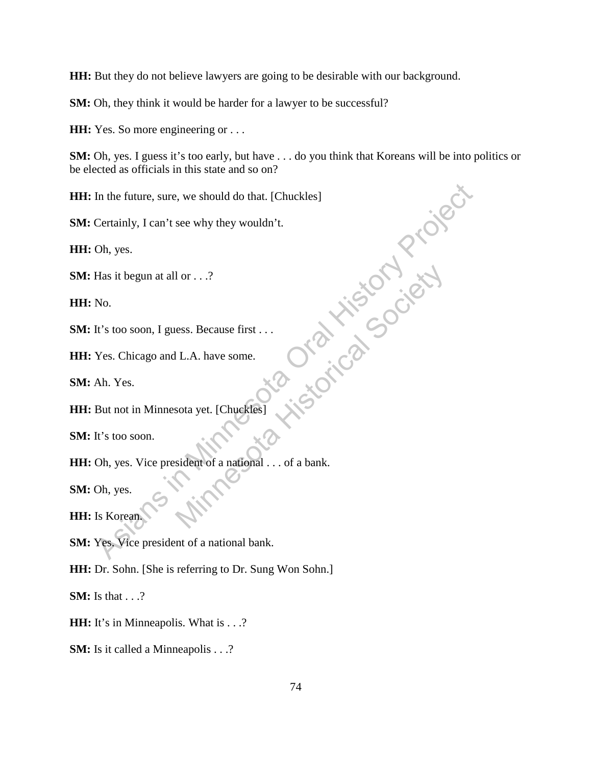**HH:** But they do not believe lawyers are going to be desirable with our background.

**SM:** Oh, they think it would be harder for a lawyer to be successful?

**HH:** Yes. So more engineering or ...

**SM:** Oh, yes. I guess it's too early, but have . . . do you think that Koreans will be into politics or be elected as officials in this state and so on?

**HH:** In the future, sure, we should do that. [Chuckles]

**SM:** Certainly, I can't see why they wouldn't.

**HH:** Oh, yes.

**SM:** Has it begun at all or . . .?

**HH:** No.

**SM:** It's too soon, I guess. Because first . . .

**HH:** Yes. Chicago and L.A. have some.

**SM:** Ah. Yes.

**HH:** But not in Minnesota yet. [Chuckles]

**SM:** It's too soon.

**HH:** Oh, yes. Vice president of a national . . . of a bank. In the future, sure, we should do that. [Chuckles]<br>
Certainly, I can't see why they wouldn't.<br>
Oh, yes.<br>
Has it begun at all or ...?<br>
No.<br>
It's too soon, I guess. Because first<br>
The S. Chicago and L.A. have some.<br>
Ah. Yes Recause first<br>
E.A. have some.<br>
Minnesota yet. [Chuckles]<br>
Socia yet. [Chuckles]<br>
Society of a national . . . of a bank.

**SM:** Oh, yes.

**HH:** Is Korean.

**SM:** Yes. Vice president of a national bank.

**HH:** Dr. Sohn. [She is referring to Dr. Sung Won Sohn.]

**SM:** Is that . . .?

**HH:** It's in Minneapolis. What is . . .?

**SM:** Is it called a Minneapolis . . .?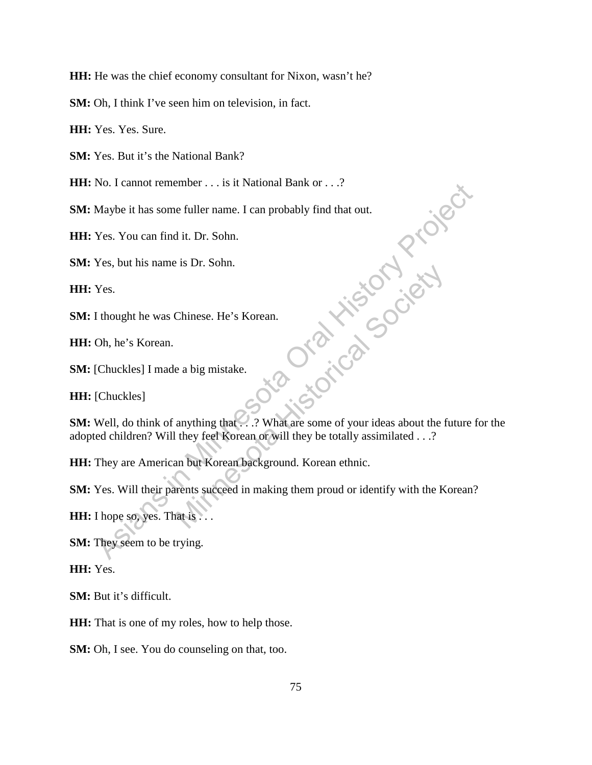**HH:** He was the chief economy consultant for Nixon, wasn't he?

**SM:** Oh, I think I've seen him on television, in fact.

**HH:** Yes. Yes. Sure.

**SM:** Yes. But it's the National Bank?

**HH:** No. I cannot remember . . . is it National Bank or . . .?

**SM:** Maybe it has some fuller name. I can probably find that out.

**HH:** Yes. You can find it. Dr. Sohn.

**SM:** Yes, but his name is Dr. Sohn.

**HH:** Yes.

**SM:** I thought he was Chinese. He's Korean.

**HH:** Oh, he's Korean.

**SM:** [Chuckles] I made a big mistake.

**HH:** [Chuckles]

**SM:** Well, do think of anything that . . .? What are some of your ideas about the future for the adopted children? Will they feel Korean or will they be totally assimilated . . .? Naybe it has some fuller name. I can probably find that out.<br>
Maybe it has some fuller name. I can probably find that out.<br>
Yes. You can find it. Dr. Sohn.<br>
Yes. but his name is Dr. Sohn.<br>
Yes.<br>
It hought he was Chinese. H Chinese. He's Korean.<br>
e a big mistake.<br>
anything that  $\therefore$  ? What are some of your ideas about the f<br>
they feel Korean or will they be totally assimilated . . .?<br>
an but Korean background. Korean ethnic.<br>
The same succee

**HH:** They are American but Korean background. Korean ethnic.

**SM:** Yes. Will their parents succeed in making them proud or identify with the Korean?

**HH:** I hope so, yes. That is . . .

**SM:** They seem to be trying.

**HH:** Yes.

**SM:** But it's difficult.

**HH:** That is one of my roles, how to help those.

**SM:** Oh, I see. You do counseling on that, too.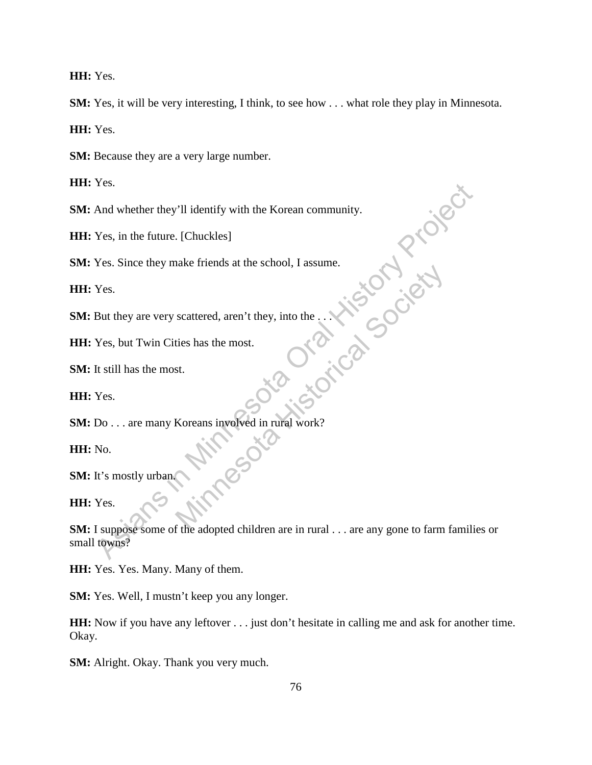**HH:** Yes.

**SM:** Yes, it will be very interesting, I think, to see how . . . what role they play in Minnesota.

**HH:** Yes.

**SM:** Because they are a very large number.

**HH:** Yes.

**SM:** And whether they'll identify with the Korean community.

**HH:** Yes, in the future. [Chuckles]

**SM:** Yes. Since they make friends at the school, I assume.

**HH:** Yes.

**SM:** But they are very scattered, aren't they, into the ...

**HH:** Yes, but Twin Cities has the most.

**SM:** It still has the most.

**HH:** Yes.

**SM:** Do . . . are many Koreans involved in rural work? Society of the state of the state History and the state history of the state has the most.

**HH:** No.

**SM:** It's mostly urban.

**HH:** Yes.

**SM:** I suppose some of the adopted children are in rural . . . are any gone to farm families or small towns? Thes.<br>
And whether they'll identify with the Korean community.<br>
Yes, in the future. [Chuckles]<br>
Yes. Since they make friends at the school, I assume.<br>
Yes.<br>
But they are very scattered, aren't they, into the ...<br>
Yes, but

**HH:** Yes. Yes. Many. Many of them.

**SM:** Yes. Well, I mustn't keep you any longer.

**HH:** Now if you have any leftover . . . just don't hesitate in calling me and ask for another time. Okay.

**SM:** Alright. Okay. Thank you very much.